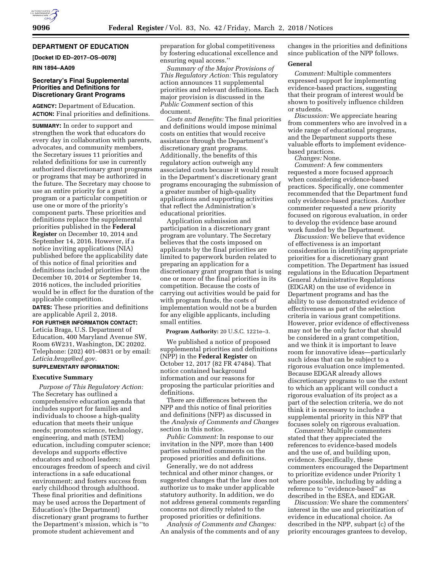# **DEPARTMENT OF EDUCATION**

# **[Docket ID ED–2017–OS–0078]**

**RIN 1894–AA09** 

# **Secretary's Final Supplemental Priorities and Definitions for Discretionary Grant Programs**

**AGENCY:** Department of Education. **ACTION:** Final priorities and definitions.

**SUMMARY:** In order to support and strengthen the work that educators do every day in collaboration with parents, advocates, and community members, the Secretary issues 11 priorities and related definitions for use in currently authorized discretionary grant programs or programs that may be authorized in the future. The Secretary may choose to use an entire priority for a grant program or a particular competition or use one or more of the priority's component parts. These priorities and definitions replace the supplemental priorities published in the **Federal Register** on December 10, 2014 and September 14, 2016. However, if a notice inviting applications (NIA) published before the applicability date of this notice of final priorities and definitions included priorities from the December 10, 2014 or September 14, 2016 notices, the included priorities would be in effect for the duration of the applicable competition.

**DATES:** These priorities and definitions are applicable April 2, 2018.

**FOR FURTHER INFORMATION CONTACT:**  Leticia Braga, U.S. Department of Education, 400 Maryland Avenue SW, Room 6W231, Washington, DC 20202. Telephone: (202) 401–0831 or by email: *[Leticia.braga@ed.gov.](mailto:Leticia.braga@ed.gov)* 

#### **SUPPLEMENTARY INFORMATION:**

#### **Executive Summary**

*Purpose of This Regulatory Action:*  The Secretary has outlined a comprehensive education agenda that includes support for families and individuals to choose a high-quality education that meets their unique needs; promotes science, technology, engineering, and math (STEM) education, including computer science; develops and supports effective educators and school leaders; encourages freedom of speech and civil interactions in a safe educational environment; and fosters success from early childhood through adulthood. These final priorities and definitions may be used across the Department of Education's (the Department) discretionary grant programs to further the Department's mission, which is ''to promote student achievement and

preparation for global competitiveness by fostering educational excellence and ensuring equal access.''

*Summary of the Major Provisions of This Regulatory Action:* This regulatory action announces 11 supplemental priorities and relevant definitions. Each major provision is discussed in the *Public Comment* section of this document.

*Costs and Benefits:* The final priorities and definitions would impose minimal costs on entities that would receive assistance through the Department's discretionary grant programs. Additionally, the benefits of this regulatory action outweigh any associated costs because it would result in the Department's discretionary grant programs encouraging the submission of a greater number of high-quality applications and supporting activities that reflect the Administration's educational priorities.

Application submission and participation in a discretionary grant program are voluntary. The Secretary believes that the costs imposed on applicants by the final priorities are limited to paperwork burden related to preparing an application for a discretionary grant program that is using one or more of the final priorities in its competition. Because the costs of carrying out activities would be paid for with program funds, the costs of implementation would not be a burden for any eligible applicants, including small entities.

**Program Authority:** 20 U.S.C. 1221e–3.

We published a notice of proposed supplemental priorities and definitions (NPP) in the **Federal Register** on October 12, 2017 (82 FR 47484). That notice contained background information and our reasons for proposing the particular priorities and definitions.

There are differences between the NPP and this notice of final priorities and definitions (NFP) as discussed in the *Analysis of Comments and Changes*  section in this notice.

*Public Comment:* In response to our invitation in the NPP, more than 1400 parties submitted comments on the proposed priorities and definitions.

Generally, we do not address technical and other minor changes, or suggested changes that the law does not authorize us to make under applicable statutory authority. In addition, we do not address general comments regarding concerns not directly related to the proposed priorities or definitions.

*Analysis of Comments and Changes:*  An analysis of the comments and of any

changes in the priorities and definitions since publication of the NPP follows.

#### **General**

*Comment:* Multiple commenters expressed support for implementing evidence-based practices, suggesting that their program of interest would be shown to positively influence children or students.

*Discussion:* We appreciate hearing from commenters who are involved in a wide range of educational programs, and the Department supports these valuable efforts to implement evidencebased practices.

*Changes:* None.

*Comment:* A few commenters requested a more focused approach when considering evidence-based practices. Specifically, one commenter recommended that the Department fund only evidence-based practices. Another commenter requested a new priority focused on rigorous evaluation, in order to develop the evidence base around work funded by the Department.

*Discussion:* We believe that evidence of effectiveness is an important consideration in identifying appropriate priorities for a discretionary grant competition. The Department has issued regulations in the Education Department General Administrative Regulations (EDGAR) on the use of evidence in Department programs and has the ability to use demonstrated evidence of effectiveness as part of the selection criteria in various grant competitions. However, prior evidence of effectiveness may not be the only factor that should be considered in a grant competition, and we think it is important to leave room for innovative ideas—particularly such ideas that can be subject to a rigorous evaluation once implemented. Because EDGAR already allows discretionary programs to use the extent to which an applicant will conduct a rigorous evaluation of its project as a part of the selection criteria, we do not think it is necessary to include a supplemental priority in this NFP that focuses solely on rigorous evaluation.

*Comment:* Multiple commenters stated that they appreciated the references to evidence-based models and the use of, and building upon, evidence. Specifically, these commenters encouraged the Department to prioritize evidence under Priority 1 where possible, including by adding a reference to ''evidence-based'' as described in the ESEA, and EDGAR.

*Discussion:* We share the commenters' interest in the use and prioritization of evidence in educational choice. As described in the NPP, subpart (c) of the priority encourages grantees to develop,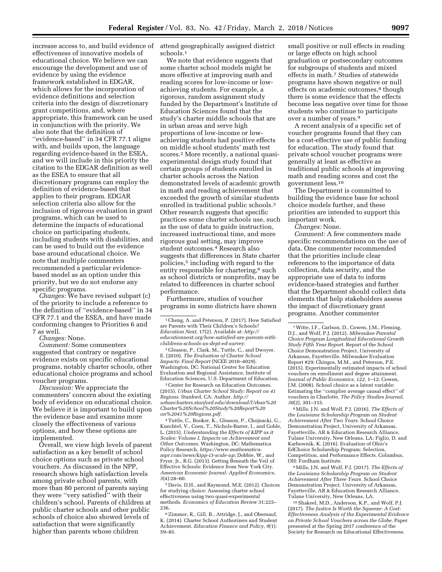increase access to, and build evidence of effectiveness of innovative models of educational choice. We believe we can encourage the development and use of evidence by using the evidence framework established in EDGAR, which allows for the incorporation of evidence definitions and selection criteria into the design of discretionary grant competitions, and, where appropriate, this framework can be used in conjunction with the priority. We also note that the definition of ''evidence-based'' in 34 CFR 77.1 aligns with, and builds upon, the language regarding evidence-based in the ESEA, and we will include in this priority the citation to the EDGAR definition as well as the ESEA to ensure that all discretionary programs can employ the definition of evidence-based that applies to their program. EDGAR selection criteria also allow for the inclusion of rigorous evaluation in grant programs, which can be used to determine the impacts of educational choice on participating students, including students with disabilities, and can be used to build out the evidence base around educational choice. We note that multiple commenters recommended a particular evidencebased model as an option under this priority, but we do not endorse any specific programs.

*Changes:* We have revised subpart (c) of the priority to include a reference to the definition of ''evidence-based'' in 34 CFR 77.1 and the ESEA, and have made conforming changes to Priorities 6 and 7 as well.

*Changes:* None.

*Comment:* Some commenters suggested that contrary or negative evidence exists on specific educational programs, notably charter schools, other educational choice programs and school voucher programs.

*Discussion:* We appreciate the commenters' concern about the existing body of evidence on educational choice. We believe it is important to build upon the evidence base and examine more closely the effectiveness of various options, and how these options are implemented.

Overall, we view high levels of parent satisfaction as a key benefit of school choice options such as private school vouchers. As discussed in the NPP, research shows high satisfaction levels among private school parents, with more than 80 percent of parents saying they were ''very satisfied'' with their children's school. Parents of children at public charter schools and other public schools of choice also showed levels of satisfaction that were significantly higher than parents whose children

attend geographically assigned district schools.1

We note that evidence suggests that some charter school models might be more effective at improving math and reading scores for low-income or lowachieving students. For example, a rigorous, random assignment study funded by the Department's Institute of Education Sciences found that the study's charter middle schools that are in urban areas and serve high proportions of low-income or lowachieving students had positive effects on middle school students' math test scores.2 More recently, a national quasiexperimental design study found that certain groups of students enrolled in charter schools across the Nation demonstrated levels of academic growth in math and reading achievement that exceeded the growth of similar students enrolled in traditional public schools.3 Other research suggests that specific practices some charter schools use, such as the use of data to guide instruction, increased instructional time, and more rigorous goal setting, may improve student outcomes.4 Research also suggests that differences in State charter policies,5 including with regard to the entity responsible for chartering,<sup>6</sup> such as school districts or nonprofits, may be related to differences in charter school performance.

Furthermore, studies of voucher programs in some districts have shown

2 Gleason, P., Clark, M., Tuttle, C., and Dwoyer, E. (2010). *The Evaluation of Charter School Impacts: Final Report* (NCEE 2010–4029). Washington, DC: National Center for Education Evaluation and Regional Assistance, Institute of Education Sciences, U.S. Department of Education.

<sup>3</sup> Center for Research on Education Outcomes. (2015). *Urban Charter School Study: Report on 41 Regions.* Stanford, CA: Author. *[http://](http://urbancharters.stanford.edu/download/Urban%20Charter%20School%20Study%20Report%20on%2041%20Regions.pdf) [urbancharters.stanford.edu/download/Urban%20](http://urbancharters.stanford.edu/download/Urban%20Charter%20School%20Study%20Report%20on%2041%20Regions.pdf) [Charter%20School%20Study%20Report%20](http://urbancharters.stanford.edu/download/Urban%20Charter%20School%20Study%20Report%20on%2041%20Regions.pdf) [on%2041%20Regions.pdf.](http://urbancharters.stanford.edu/download/Urban%20Charter%20School%20Study%20Report%20on%2041%20Regions.pdf)* 

4Tuttle, C., Booker, K., Gleason, P., Chojnacki, G., Knechtel, V., Coen, T., Nichols-Barrer, I., and Goble, L. (2015). *Understanding the Effects of KIPP as it Scales: Volume I, Impacts on Achievement and Other Outcomes.* Washington, DC: Mathematica Policy Research. *[https://www.mathematica](https://www.mathematica-mpr.com/news/kipp-i3-scale-up)[mpr.com/news/kipp-i3-scale-up](https://www.mathematica-mpr.com/news/kipp-i3-scale-up)*; Dobbie, W., and Fryer, Jr., R.G. (2013). Getting Beneath the Veil of Effective Schools: Evidence from New York City. *American Economic Journal: Applied Economics, 5*(4):28–60.

5 Davis, D.H., and Raymond, M.E. (2012). Choices for studying choice: Assessing charter school effectiveness using two quasi-experimental methods. *Economics of Education Review* 31:225– 236.

6Zimmer, R., Gill, B., Attridge, J., and Obernauf, K. (2014). Charter School Authorizers and Student Achievement. *Education Finance and Policy, 9*(1): 59–85.

small positive or null effects in reading or large effects on high school graduation or postsecondary outcomes for subgroups of students and mixed effects in math.7 Studies of statewide programs have shown negative or null effects on academic outcomes,<sup>8</sup> though there is some evidence that the effects become less negative over time for those students who continue to participate over a number of years.9

A recent analysis of a specific set of voucher programs found that they can be a cost-effective use of public funding for education. The study found that private school voucher programs were generally at least as effective as traditional public schools at improving math and reading scores and cost the government less.10

The Department is committed to building the evidence base for school choice models further, and these priorities are intended to support this important work.

*Changes:* None.

*Comment:* A few commenters made specific recommendations on the use of data. One commenter recommended that the priorities include clear references to the importance of data collection, data security, and the appropriate use of data to inform evidence-based strategies and further that the Department should collect data elements that help stakeholders assess the impact of discretionary grant programs. Another commenter

8Mills, J.N. and Wolf, P.J. (2016). *The Effects of the Louisiana Scholarship Program on Student Achievement After Two Years.* School Choice Demonstration Project, University of Arkansas, Fayetteville, AR & Education Research Alliance, Tulane University, New Orleans, LA; Figlio, D. and Karbownik, K. (2016). Evaluation of Ohio's EdChoice Scholarship Program: Selection, Competition, and Performance Effects. Columbus, OH: Fordham Institute.

9Mills, J.N. and Wolf, P.J. (2017). *The Effects of the Louisiana Scholarship Program on Student Achievement After Three Years.* School Choice Demonstration Project, University of Arkansas, Fayetteville, AR & Education Research Alliance, Tulane University, New Orleans, LA.

10Shakeel, M.D., Anderson, K.P., and Wolf, P.J. (2017). *The Justice Is Worth the Squeeze: A Cost-Effectiveness Analysis of the Experimental Evidence on Private School Vouchers across the Globe.* Paper presented at the Spring 2017 conference of the Society for Research on Educational Effectiveness.

<sup>1</sup>Cheng, A. and Peterson, P. (2017). How Satisfied are Parents with Their Children's Schools? *Education Next,* 17(2). Available at: *[http://](http://educationnext.org/how-satisfied-are-parents-with-childrens-schools-us-dept-ed-survey) [educationnext.org/how-satisfied-are-parents-with](http://educationnext.org/how-satisfied-are-parents-with-childrens-schools-us-dept-ed-survey)[childrens-schools-us-dept-ed-survey.](http://educationnext.org/how-satisfied-are-parents-with-childrens-schools-us-dept-ed-survey)* 

<sup>7</sup>Witte, J.F., Carlson, D., Cowen, J.M., Fleming, D.J., and Wolf, P.J. (2012). *Milwaukee Parental Choice Program Longitudinal Educational Growth Study Fifth Year Report.* Report of the School Choice Demonstration Project, University of Arkansas, Fayetteville. Milwaukee Evaluation Report #29; Chingos, M.M., and Peterson, P.E. (2015). Experimentally estimated impacts of school vouchers on enrollment and degree attainment. *Journal of Public Economics, 122,* 1–12; Cowen, J.M. (2008). School choice as a latent variable: Estimating the ''complier average causal effect'' of vouchers in Charlotte. *The Policy Studies Journal, 36*(2), 301–315.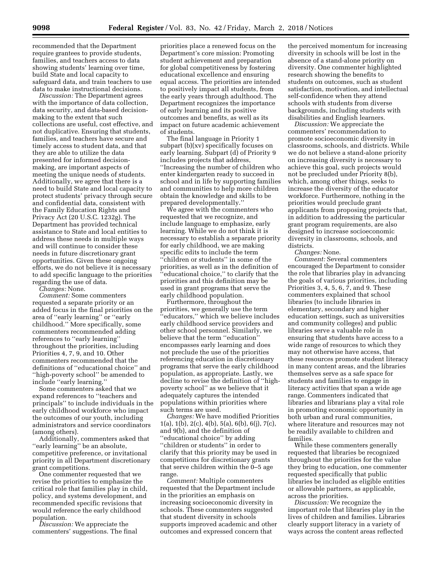recommended that the Department require grantees to provide students, families, and teachers access to data showing students' learning over time, build State and local capacity to safeguard data, and train teachers to use data to make instructional decisions.

*Discussion:* The Department agrees with the importance of data collection, data security, and data-based decisionmaking to the extent that such collections are useful, cost effective, and not duplicative. Ensuring that students, families, and teachers have secure and timely access to student data, and that they are able to utilize the data presented for informed decisionmaking, are important aspects of meeting the unique needs of students. Additionally, we agree that there is a need to build State and local capacity to protect students' privacy through secure and confidential data, consistent with the Family Education Rights and Privacy Act (20 U.S.C. 1232g). The Department has provided technical assistance to State and local entities to address these needs in multiple ways and will continue to consider these needs in future discretionary grant opportunities. Given these ongoing efforts, we do not believe it is necessary to add specific language to the priorities regarding the use of data.

*Changes:* None.

*Comment:* Some commenters requested a separate priority or an added focus in the final priorities on the area of ''early learning'' or ''early childhood.'' More specifically, some commenters recommended adding references to ''early learning'' throughout the priorities, including Priorities 4, 7, 9, and 10. Other commenters recommended that the definitions of ''educational choice'' and ''high-poverty school'' be amended to include ''early learning.''

Some commenters asked that we expand references to ''teachers and principals'' to include individuals in the early childhood workforce who impact the outcomes of our youth, including administrators and service coordinators (among others).

Additionally, commenters asked that ''early learning'' be an absolute, competitive preference, or invitational priority in all Department discretionary grant competitions.

One commenter requested that we revise the priorities to emphasize the critical role that families play in child, policy, and systems development, and recommended specific revisions that would reference the early childhood population.

*Discussion:* We appreciate the commenters' suggestions. The final

priorities place a renewed focus on the Department's core mission: Promoting student achievement and preparation for global competitiveness by fostering educational excellence and ensuring equal access. The priorities are intended to positively impact all students, from the early years through adulthood. The Department recognizes the importance of early learning and its positive outcomes and benefits, as well as its impact on future academic achievement of students.

The final language in Priority 1 subpart (b)(xv) specifically focuses on early learning. Subpart (d) of Priority 9 includes projects that address, ''Increasing the number of children who enter kindergarten ready to succeed in school and in life by supporting families and communities to help more children obtain the knowledge and skills to be prepared developmentally.''

We agree with the commenters who requested that we recognize, and include language to emphasize, early learning. While we do not think it is necessary to establish a separate priority for early childhood, we are making specific edits to include the term ''children or students'' in some of the priorities, as well as in the definition of 'educational choice," to clarify that the priorities and this definition may be used in grant programs that serve the early childhood population.

Furthermore, throughout the priorities, we generally use the term ''educators,'' which we believe includes early childhood service providers and other school personnel. Similarly, we believe that the term ''education'' encompasses early learning and does not preclude the use of the priorities referencing education in discretionary programs that serve the early childhood population, as appropriate. Lastly, we decline to revise the definition of ''highpoverty school'' as we believe that it adequately captures the intended populations within priorities where such terms are used.

*Changes:* We have modified Priorities 1(a), 1(b), 2(c), 4(b), 5(a), 6(b), 6(j), 7(c), and 9(b), and the definition of ''educational choice'' by adding ''children or students'' in order to clarify that this priority may be used in competitions for discretionary grants that serve children within the 0–5 age range.

*Comment:* Multiple commenters requested that the Department include in the priorities an emphasis on increasing socioeconomic diversity in schools. These commenters suggested that student diversity in schools supports improved academic and other outcomes and expressed concern that

the perceived momentum for increasing diversity in schools will be lost in the absence of a stand-alone priority on diversity. One commenter highlighted research showing the benefits to students on outcomes, such as student satisfaction, motivation, and intellectual self-confidence when they attend schools with students from diverse backgrounds, including students with disabilities and English learners.

*Discussion:* We appreciate the commenters' recommendation to promote socioeconomic diversity in classrooms, schools, and districts. While we do not believe a stand-alone priority on increasing diversity is necessary to achieve this goal, such projects would not be precluded under Priority 8(b), which, among other things, seeks to increase the diversity of the educator workforce. Furthermore, nothing in the priorities would preclude grant applicants from proposing projects that, in addition to addressing the particular grant program requirements, are also designed to increase socioeconomic diversity in classrooms, schools, and districts.

*Changes:* None.

*Comment:* Several commenters encouraged the Department to consider the role that libraries play in advancing the goals of various priorities, including Priorities 3, 4, 5, 6, 7, and 9. These commenters explained that school libraries (to include libraries in elementary, secondary and higher education settings, such as universities and community colleges) and public libraries serve a valuable role in ensuring that students have access to a wide range of resources to which they may not otherwise have access, that these resources promote student literacy in many content areas, and the libraries themselves serve as a safe space for students and families to engage in literacy activities that span a wide age range. Commenters indicated that libraries and librarians play a vital role in promoting economic opportunity in both urban and rural communities, where literature and resources may not be readily available to children and families.

While these commenters generally requested that libraries be recognized throughout the priorities for the value they bring to education, one commenter requested specifically that public libraries be included as eligible entities or allowable partners, as applicable, across the priorities.

*Discussion:* We recognize the important role that libraries play in the lives of children and families. Libraries clearly support literacy in a variety of ways across the content areas reflected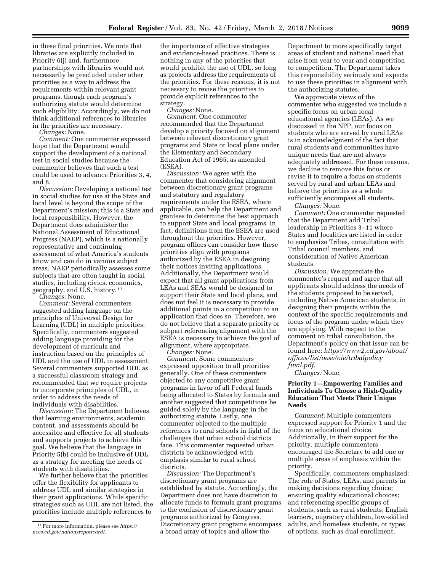in these final priorities. We note that libraries are explicitly included in Priority 6(j) and, furthermore, partnerships with libraries would not necessarily be precluded under other priorities as a way to address the requirements within relevant grant programs, though each program's authorizing statute would determine such eligibility. Accordingly, we do not think additional references to libraries in the priorities are necessary.

*Changes:* None.

*Comment:* One commenter expressed hope that the Department would support the development of a national test in social studies because the commenter believes that such a test could be used to advance Priorities 3, 4, and 8.

*Discussion:* Developing a national test in social studies for use at the State and local level is beyond the scope of the Department's mission; this is a State and local responsibility. However, the Department does administer the National Assessment of Educational Progress (NAEP), which is a nationally representative and continuing assessment of what America's students know and can do in various subject areas. NAEP periodically assesses some subjects that are often taught in social studies, including civics, economics, geography, and U.S. history.11

*Changes:* None.

*Comment:* Several commenters suggested adding language on the principles of Universal Design for Learning (UDL) in multiple priorities. Specifically, commenters suggested adding language providing for the development of curricula and instruction based on the principles of UDL and the use of UDL in assessment. Several commenters supported UDL as a successful classroom strategy and recommended that we require projects to incorporate principles of UDL, in order to address the needs of individuals with disabilities.

*Discussion:* The Department believes that learning environments, academic content, and assessments should be accessible and effective for all students and supports projects to achieve this goal. We believe that the language in Priority 5(b) could be inclusive of UDL as a strategy for meeting the needs of students with disabilities.

We further believe that the priorities offer the flexibility for applicants to address UDL and similar strategies in their grant applications. While specific strategies such as UDL are not listed, the priorities include multiple references to

the importance of effective strategies and evidence-based practices. There is nothing in any of the priorities that would prohibit the use of UDL, so long as projects address the requirements of the priorities. For these reasons, it is not necessary to revise the priorities to provide explicit references to the strategy.

*Changes:* None.

*Comment:* One commenter recommended that the Department develop a priority focused on alignment between relevant discretionary grant programs and State or local plans under the Elementary and Secondary Education Act of 1965, as amended (ESEA).

*Discussion:* We agree with the commenter that considering alignment between discretionary grant programs and statutory and regulatory requirements under the ESEA, where applicable, can help the Department and grantees to determine the best approach to support State and local programs. In fact, definitions from the ESEA are used throughout the priorities. However, program offices can consider how these priorities align with programs authorized by the ESEA in designing their notices inviting applications. Additionally, the Department would expect that all grant applications from LEAs and SEAs would be designed to support their State and local plans, and does not feel it is necessary to provide additional points in a competition to an application that does so. Therefore, we do not believe that a separate priority or subpart referencing alignment with the ESEA is necessary to achieve the goal of alignment, where appropriate.

*Changes:* None.

*Comment:* Some commenters expressed opposition to all priorities generally. One of these commenters objected to any competitive grant programs in favor of all Federal funds being allocated to States by formula and another suggested that competitions be guided solely by the language in the authorizing statute. Lastly, one commenter objected to the multiple references to rural schools in light of the challenges that urban school districts face. This commenter requested urban districts be acknowledged with emphasis similar to rural school districts.

*Discussion:* The Department's discretionary grant programs are established by statute. Accordingly, the Department does not have discretion to allocate funds to formula grant programs to the exclusion of discretionary grant programs authorized by Congress. Discretionary grant programs encompass a broad array of topics and allow the

Department to more specifically target areas of student and national need that arise from year to year and competition to competition. The Department takes this responsibility seriously and expects to use these priorities in alignment with the authorizing statutes.

We appreciate views of the commenter who suggested we include a specific focus on urban local educational agencies (LEAs). As we discussed in the NPP, our focus on students who are served by rural LEAs is in acknowledgment of the fact that rural students and communities have unique needs that are not always adequately addressed. For these reasons, we decline to remove this focus or revise it to require a focus on students served by rural and urban LEAs and believe the priorities as a whole sufficiently encompass all students.

*Changes:* None.

*Comment:* One commenter requested that the Department add Tribal leadership in Priorities 3–11 where States and localities are listed in order to emphasize Tribes, consultation with Tribal council members, and consideration of Native American students.

*Discussion:* We appreciate the commenter's request and agree that all applicants should address the needs of the students proposed to be served, including Native American students, in designing their projects within the context of the specific requirements and focus of the program under which they are applying. With respect to the comment on tribal consultation, the Department's policy on that issue can be found here: *[https://www2.ed.gov/about/](https://www2.ed.gov/about/offices/list/oese/oie/tribalpolicyfinal.pdf)  [offices/list/oese/oie/tribalpolicy](https://www2.ed.gov/about/offices/list/oese/oie/tribalpolicyfinal.pdf) [final.pdf.](https://www2.ed.gov/about/offices/list/oese/oie/tribalpolicyfinal.pdf)* 

*Changes:* None.

# **Priority 1—Empowering Families and Individuals To Choose a High-Quality Education That Meets Their Unique Needs**

*Comment:* Multiple commenters expressed support for Priority 1 and the focus on educational choice. Additionally, in their support for the priority, multiple commenters encouraged the Secretary to add one or multiple areas of emphasis within the priority.

Specifically, commenters emphasized: The role of States, LEAs, and parents in making decisions regarding choice; ensuring quality educational choices; and referencing specific groups of students, such as rural students, English learners, migratory children, low-skilled adults, and homeless students, or types of options, such as dual enrollment,

<sup>11</sup>For more information, please see *[https://](https://nces.ed.gov/nationsreportcard/) [nces.ed.gov/nationsreportcard/.](https://nces.ed.gov/nationsreportcard/)*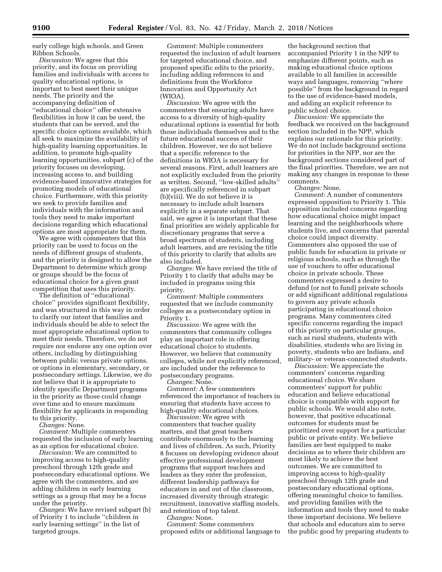early college high schools, and Green Ribbon Schools.

*Discussion:* We agree that this priority, and its focus on providing families and individuals with access to quality educational options, is important to best meet their unique needs. The priority and the accompanying definition of ''educational choice'' offer extensive flexibilities in how it can be used, the students that can be served, and the specific choice options available, which all seek to maximize the availability of high-quality learning opportunities. In addition, to promote high-quality learning opportunities, subpart (c) of the priority focuses on developing, increasing access to, and building evidence-based innovative strategies for promoting models of educational choice. Furthermore, with this priority we seek to provide families and individuals with the information and tools they need to make important decisions regarding which educational options are most appropriate for them.

We agree with commenters that this priority can be used to focus on the needs of different groups of students, and the priority is designed to allow the Department to determine which group or groups should be the focus of educational choice for a given grant competition that uses this priority.

The definition of ''educational choice'' provides significant flexibility, and was structured in this way in order to clarify our intent that families and individuals should be able to select the most appropriate educational option to meet their needs. Therefore, we do not require nor endorse any one option over others, including by distinguishing between public versus private options, or options in elementary, secondary, or postsecondary settings. Likewise, we do not believe that it is appropriate to identify specific Department programs in the priority as those could change over time and to ensure maximum flexibility for applicants in responding to this priority.

*Changes:* None.

*Comment:* Multiple commenters requested the inclusion of early learning as an option for educational choice.

*Discussion:* We are committed to improving access to high-quality preschool through 12th grade and postsecondary educational options. We agree with the commenters, and are adding children in early learning settings as a group that may be a focus under the priority.

*Changes:* We have revised subpart (b) of Priority 1 to include ''children in early learning settings'' in the list of targeted groups.

*Comment:* Multiple commenters requested the inclusion of adult learners for targeted educational choice, and proposed specific edits to the priority, including adding references to and definitions from the Workforce Innovation and Opportunity Act (WIOA).

*Discussion:* We agree with the commenters that ensuring adults have access to a diversity of high-quality educational options is essential for both those individuals themselves and to the future educational success of their children. However, we do not believe that a specific reference to the definitions in WIOA is necessary for several reasons. First, adult learners are not explicitly excluded from the priority as written. Second, ''low-skilled adults'' are specifically referenced in subpart (b)(viii). We do not believe it is necessary to include adult learners explicitly in a separate subpart. That said, we agree it is important that these final priorities are widely applicable for discretionary programs that serve a broad spectrum of students, including adult learners, and are revising the title of this priority to clarify that adults are also included.

*Changes:* We have revised the title of Priority 1 to clarify that adults may be included in programs using this priority.

*Comment:* Multiple commenters requested that we include community colleges as a postsecondary option in Priority 1.

*Discussion:* We agree with the commenters that community colleges play an important role in offering educational choice to students. However, we believe that community colleges, while not explicitly referenced, are included under the reference to postsecondary programs.

*Changes:* None.

*Comment:* A few commenters referenced the importance of teachers in ensuring that students have access to high-quality educational choices.

*Discussion:* We agree with commenters that teacher quality matters, and that great teachers contribute enormously to the learning and lives of children. As such, Priority 8 focuses on developing evidence about effective professional development programs that support teachers and leaders as they enter the profession, different leadership pathways for educators in and out of the classroom, increased diversity through strategic recruitment, innovative staffing models, and retention of top talent.

*Changes:* None.

*Comment:* Some commenters proposed edits or additional language to

the background section that accompanied Priority 1 in the NPP to emphasize different points, such as making educational choice options available to all families in accessible ways and languages, removing ''where possible'' from the background in regard to the use of evidence-based models, and adding an explicit reference to public school choice.

*Discussion:* We appreciate the feedback we received on the background section included in the NPP, which explains our rationale for this priority. We do not include background sections for priorities in the NFP, nor are the background sections considered part of the final priorities. Therefore, we are not making any changes in response to these comments.

*Changes:* None.

*Comment:* A number of commenters expressed opposition to Priority 1. This opposition included concerns regarding how educational choice might impact learning and the neighborhoods where students live, and concerns that parental choice could impact diversity. Commenters also opposed the use of public funds for education in private or religious schools, such as through the use of vouchers to offer educational choice in private schools. These commenters expressed a desire to defund (or not to fund) private schools or add significant additional regulations to govern any private schools participating in educational choice programs. Many commenters cited specific concerns regarding the impact of this priority on particular groups, such as rural students, students with disabilities, students who are living in poverty, students who are Indians, and military- or veteran-connected students.

*Discussion:* We appreciate the commenters' concerns regarding educational choice. We share commenters' support for public education and believe educational choice is compatible with support for public schools. We would also note, however, that positive educational outcomes for students must be prioritized over support for a particular public or private entity. We believe families are best equipped to make decisions as to where their children are most likely to achieve the best outcomes. We are committed to improving access to high-quality preschool through 12th grade and postsecondary educational options, offering meaningful choice to families, and providing families with the information and tools they need to make these important decisions. We believe that schools and educators aim to serve the public good by preparing students to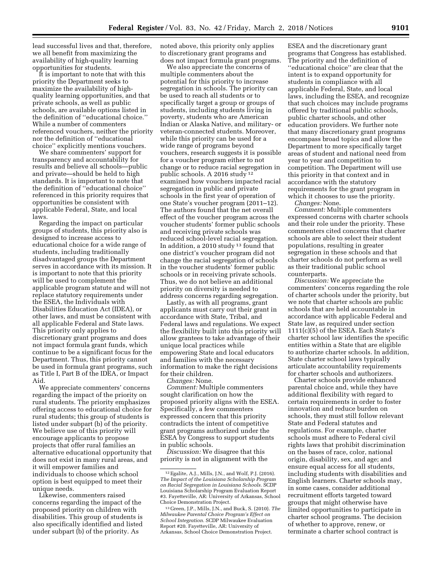lead successful lives and that, therefore, we all benefit from maximizing the availability of high-quality learning opportunities for students.

It is important to note that with this priority the Department seeks to maximize the availability of highquality learning opportunities, and that private schools, as well as public schools, are available options listed in the definition of ''educational choice.'' While a number of commenters referenced vouchers, neither the priority nor the definition of ''educational choice'' explicitly mentions vouchers.

We share commenters' support for transparency and accountability for results and believe all schools—public and private—should be held to high standards. It is important to note that the definition of ''educational choice'' referenced in this priority requires that opportunities be consistent with applicable Federal, State, and local laws.

Regarding the impact on particular groups of students, this priority also is designed to increase access to educational choice for a wide range of students, including traditionally disadvantaged groups the Department serves in accordance with its mission. It is important to note that this priority will be used to complement the applicable program statute and will not replace statutory requirements under the ESEA, the Individuals with Disabilities Education Act (IDEA), or other laws, and must be consistent with all applicable Federal and State laws. This priority only applies to discretionary grant programs and does not impact formula grant funds, which continue to be a significant focus for the Department. Thus, this priority cannot be used in formula grant programs, such as Title I, Part B of the IDEA, or Impact Aid.

We appreciate commenters' concerns regarding the impact of the priority on rural students. The priority emphasizes offering access to educational choice for rural students; this group of students is listed under subpart (b) of the priority. We believe use of this priority will encourage applicants to propose projects that offer rural families an alternative educational opportunity that does not exist in many rural areas, and it will empower families and individuals to choose which school option is best equipped to meet their unique needs.

Likewise, commenters raised concerns regarding the impact of the proposed priority on children with disabilities. This group of students is also specifically identified and listed under subpart (b) of the priority. As

noted above, this priority only applies to discretionary grant programs and does not impact formula grant programs.

We also appreciate the concerns of multiple commenters about the potential for this priority to increase segregation in schools. The priority can be used to reach all students or to specifically target a group or groups of students, including students living in poverty, students who are American Indian or Alaska Native, and military- or veteran-connected students. Moreover, while this priority can be used for a wide range of programs beyond vouchers, research suggests it is possible for a voucher program either to not change or to reduce racial segregation in public schools. A 2016 study 12 examined how vouchers impacted racial segregation in public and private schools in the first year of operation of one State's voucher program (2011–12). The authors found that the net overall effect of the voucher program across the voucher students' former public schools and receiving private schools was reduced school-level racial segregation. In addition, a 2010 study 13 found that one district's voucher program did not change the racial segregation of schools in the voucher students' former public schools or in receiving private schools. Thus, we do not believe an additional priority on diversity is needed to address concerns regarding segregation.

Lastly, as with all programs, grant applicants must carry out their grant in accordance with State, Tribal, and Federal laws and regulations. We expect the flexibility built into this priority will allow grantees to take advantage of their unique local practices while empowering State and local educators and families with the necessary information to make the right decisions for their children.

*Changes:* None.

*Comment:* Multiple commenters sought clarification on how the proposed priority aligns with the ESEA. Specifically, a few commenters expressed concern that this priority contradicts the intent of competitive grant programs authorized under the ESEA by Congress to support students in public schools.

*Discussion:* We disagree that this priority is not in alignment with the

ESEA and the discretionary grant programs that Congress has established. The priority and the definition of ''educational choice'' are clear that the intent is to expand opportunity for students in compliance with all applicable Federal, State, and local laws, including the ESEA, and recognize that such choices may include programs offered by traditional public schools, public charter schools, and other education providers. We further note that many discretionary grant programs encompass broad topics and allow the Department to more specifically target areas of student and national need from year to year and competition to competition. The Department will use this priority in that context and in accordance with the statutory requirements for the grant program in which it chooses to use the priority.

*Changes:* None.

*Comment:* Multiple commenters expressed concerns with charter schools and their role under the priority. These commenters cited concerns that charter schools are able to select their student populations, resulting in greater segregation in these schools and that charter schools do not perform as well as their traditional public school counterparts.

*Discussion:* We appreciate the commenters' concerns regarding the role of charter schools under the priority, but we note that charter schools are public schools that are held accountable in accordance with applicable Federal and State law, as required under section 1111(c)(5) of the ESEA. Each State's charter school law identifies the specific entities within a State that are eligible to authorize charter schools. In addition, State charter school laws typically articulate accountability requirements for charter schools and authorizers.

Charter schools provide enhanced parental choice and, while they have additional flexibility with regard to certain requirements in order to foster innovation and reduce burden on schools, they must still follow relevant State and Federal statutes and regulations. For example, charter schools must adhere to Federal civil rights laws that prohibit discrimination on the bases of race, color, national origin, disability, sex, and age; and ensure equal access for all students, including students with disabilities and English learners. Charter schools may, in some cases, consider additional recruitment efforts targeted toward groups that might otherwise have limited opportunities to participate in charter school programs. The decision of whether to approve, renew, or terminate a charter school contract is

<sup>12</sup>Egalite, A.J., Mills, J.N., and Wolf, P.J. (2016). *The Impact of the Louisiana Scholarship Program on Racial Segregation in Louisiana Schools.* SCDP Louisiana Scholarship Program Evaluation Report #3. Fayetteville, AR: University of Arkansas, School Choice Demonstration Project.

<sup>13</sup> Green, J.P., Mills, J.N., and Buck, S. (2010). *The Milwaukee Parental Choice Program's Effect on School Integration.* SCDP Milwaukee Evaluation Report #20. Fayetteville, AR: University of Arkansas, School Choice Demonstration Project.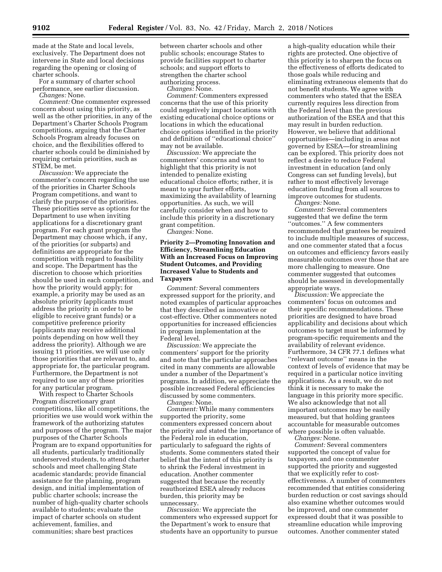made at the State and local levels, exclusively. The Department does not intervene in State and local decisions regarding the opening or closing of charter schools.

For a summary of charter school performance, see earlier discussion. *Changes:* None.

*Comment:* One commenter expressed concern about using this priority, as well as the other priorities, in any of the Department's Charter Schools Program competitions, arguing that the Charter Schools Program already focuses on choice, and the flexibilities offered to charter schools could be diminished by requiring certain priorities, such as STEM, be met.

*Discussion:* We appreciate the commenter's concern regarding the use of the priorities in Charter Schools Program competitions, and want to clarify the purpose of the priorities. These priorities serve as options for the Department to use when inviting applications for a discretionary grant program. For each grant program the Department may choose which, if any, of the priorities (or subparts) and definitions are appropriate for the competition with regard to feasibility and scope. The Department has the discretion to choose which priorities should be used in each competition, and how the priority would apply; for example, a priority may be used as an absolute priority (applicants must address the priority in order to be eligible to receive grant funds) or a competitive preference priority (applicants may receive additional points depending on how well they address the priority). Although we are issuing 11 priorities, we will use only those priorities that are relevant to, and appropriate for, the particular program. Furthermore, the Department is not required to use any of these priorities for any particular program.

With respect to Charter Schools Program discretionary grant competitions, like all competitions, the priorities we use would work within the framework of the authorizing statutes and purposes of the program. The major purposes of the Charter Schools Program are to expand opportunities for all students, particularly traditionally underserved students, to attend charter schools and meet challenging State academic standards; provide financial assistance for the planning, program design, and initial implementation of public charter schools; increase the number of high-quality charter schools available to students; evaluate the impact of charter schools on student achievement, families, and communities; share best practices

between charter schools and other public schools; encourage States to provide facilities support to charter schools; and support efforts to strengthen the charter school authorizing process.

*Changes:* None.

*Comment:* Commenters expressed concerns that the use of this priority could negatively impact locations with existing educational choice options or locations in which the educational choice options identified in the priority and definition of ''educational choice'' may not be available.

*Discussion:* We appreciate the commenters' concerns and want to highlight that this priority is not intended to penalize existing educational choice efforts; rather, it is meant to spur further efforts, maximizing the availability of learning opportunities. As such, we will carefully consider when and how to include this priority in a discretionary grant competition.

*Changes:* None.

### **Priority 2—Promoting Innovation and Efficiency, Streamlining Education With an Increased Focus on Improving Student Outcomes, and Providing Increased Value to Students and Taxpayers**

*Comment:* Several commenters expressed support for the priority, and noted examples of particular approaches that they described as innovative or cost-effective. Other commenters noted opportunities for increased efficiencies in program implementation at the Federal level.

*Discussion:* We appreciate the commenters' support for the priority and note that the particular approaches cited in many comments are allowable under a number of the Department's programs. In addition, we appreciate the possible increased Federal efficiencies discussed by some commenters.

*Changes:* None.

*Comment:* While many commenters supported the priority, some commenters expressed concern about the priority and stated the importance of the Federal role in education, particularly to safeguard the rights of students. Some commenters stated their belief that the intent of this priority is to shrink the Federal investment in education. Another commenter suggested that because the recently reauthorized ESEA already reduces burden, this priority may be unnecessary.

*Discussion:* We appreciate the commenters who expressed support for the Department's work to ensure that students have an opportunity to pursue a high-quality education while their rights are protected. One objective of this priority is to sharpen the focus on the effectiveness of efforts dedicated to those goals while reducing and eliminating extraneous elements that do not benefit students. We agree with commenters who stated that the ESEA currently requires less direction from the Federal level than the previous authorization of the ESEA and that this may result in burden reduction. However, we believe that additional opportunities—including in areas not governed by ESEA—for streamlining can be explored. This priority does not reflect a desire to reduce Federal investment in education (and only Congress can set funding levels), but rather to most effectively leverage education funding from all sources to improve outcomes for students.

*Changes:* None.

*Comment:* Several commenters suggested that we define the term ''outcomes.'' A few commenters recommended that grantees be required to include multiple measures of success, and one commenter stated that a focus on outcomes and efficiency favors easily measurable outcomes over those that are more challenging to measure. One commenter suggested that outcomes should be assessed in developmentally appropriate ways.

*Discussion:* We appreciate the commenters' focus on outcomes and their specific recommendations. These priorities are designed to have broad applicability and decisions about which outcomes to target must be informed by program-specific requirements and the availability of relevant evidence. Furthermore, 34 CFR 77.1 defines what ''relevant outcome'' means in the context of levels of evidence that may be required in a particular notice inviting applications. As a result, we do not think it is necessary to make the language in this priority more specific. We also acknowledge that not all important outcomes may be easily measured, but that holding grantees accountable for measurable outcomes where possible is often valuable.

*Changes:* None. *Comment:* Several commenters supported the concept of value for taxpayers, and one commenter supported the priority and suggested that we explicitly refer to costeffectiveness. A number of commenters recommended that entities considering burden reduction or cost savings should also examine whether outcomes would be improved, and one commenter expressed doubt that it was possible to streamline education while improving outcomes. Another commenter stated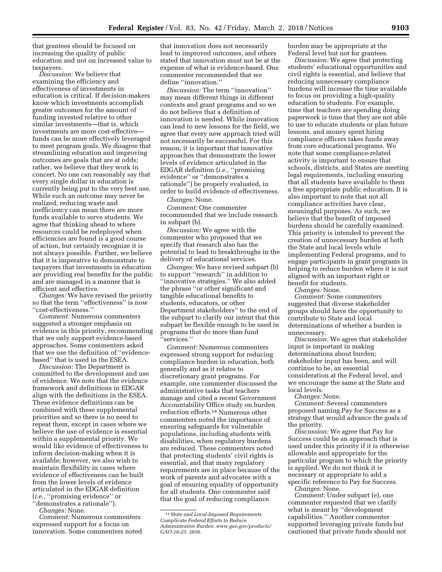that grantees should be focused on increasing the quality of public education and not on increased value to taxpayers.

*Discussion:* We believe that examining the efficiency and effectiveness of investments in education is critical. If decision-makers know which investments accomplish greater outcomes for the amount of funding invested relative to other similar investments—that is, which investments are more cost-effective funds can be more effectively leveraged to meet program goals. We disagree that streamlining education and improving outcomes are goals that are at odds; rather, we believe that they work in concert. No one can reasonably say that every single dollar in education is currently being put to the very best use. While such an outcome may never be realized, reducing waste and inefficiency can mean there are more funds available to serve students. We agree that thinking ahead to where resources could be redeployed when efficiencies are found is a good course of action, but certainly recognize it is not always possible. Further, we believe that it is imperative to demonstrate to taxpayers that investments in education are providing real benefits for the public and are managed in a manner that is efficient and effective.

*Changes:* We have revised the priority so that the term ''effectiveness'' is now ''cost-effectiveness.''

*Comment:* Numerous commenters suggested a stronger emphasis on evidence in this priority, recommending that we only support evidence-based approaches. Some commenters asked that we use the definition of ''evidencebased'' that is used in the ESEA.

*Discussion:* The Department is committed to the development and use of evidence. We note that the evidence framework and definitions in EDGAR align with the definitions in the ESEA. These evidence definitions can be combined with these supplemental priorities and so there is no need to repeat them, except in cases where we believe the use of evidence is essential within a supplemental priority. We would like evidence of effectiveness to inform decision-making when it is available; however, we also wish to maintain flexibility in cases where evidence of effectiveness can be built from the lower levels of evidence articulated in the EDGAR definition (*i.e.,* ''promising evidence'' or ''demonstrates a rationale'').

*Changes:* None.

*Comment:* Numerous commenters expressed support for a focus on innovation. Some commenters noted that innovation does not necessarily lead to improved outcomes, and others stated that innovation must not be at the expense of what is evidence-based. One commenter recommended that we define ''innovation.''

*Discussion:* The term ''innovation'' may mean different things in different contexts and grant programs and so we do not believe that a definition of innovation is needed. While innovation can lead to new lessons for the field, we agree that every new approach tried will not necessarily be successful. For this reason, it is important that innovative approaches that demonstrate the lower levels of evidence articulated in the EDGAR definition (*i.e.,* ''promising evidence'' or ''demonstrates a rationale'') be properly evaluated, in order to build evidence of effectiveness.

*Changes:* None.

*Comment:* One commenter recommended that we include research in subpart (b).

*Discussion:* We agree with the commenter who proposed that we specify that research also has the potential to lead to breakthroughs in the delivery of educational services.

*Changes:* We have revised subpart (b) to support ''research'' in addition to ''innovative strategies.'' We also added the phrase ''or other significant and tangible educational benefits to students, educators, or other Department stakeholders'' to the end of the subpart to clarify our intent that this subpart be flexible enough to be used in programs that do more than fund 'services.'

*Comment:* Numerous commenters expressed strong support for reducing compliance burden in education, both generally and as it relates to discretionary grant programs. For example, one commenter discussed the administrative tasks that teachers manage and cited a recent Government Accountability Office study on burden reduction efforts.14 Numerous other commenters noted the importance of ensuring safeguards for vulnerable populations, including students with disabilities, when regulatory burdens are reduced. These commenters noted that protecting students' civil rights is essential, and that many regulatory requirements are in place because of the work of parents and advocates with a goal of ensuring equality of opportunity for all students. One commenter said that the goal of reducing compliance

burden may be appropriate at the Federal level but not for grantees.

*Discussion:* We agree that protecting students' educational opportunities and civil rights is essential, and believe that reducing unnecessary compliance burdens will increase the time available to focus on providing a high-quality education to students. For example, time that teachers are spending doing paperwork is time that they are not able to use to educate students or plan future lessons, and money spent hiring compliance officers takes funds away from core educational programs. We note that some compliance-related activity is important to ensure that schools, districts, and States are meeting legal requirements, including ensuring that all students have available to them a free appropriate public education. It is also important to note that not all compliance activities have clear, meaningful purposes. As such, we believe that the benefit of imposed burdens should be carefully examined. This priority is intended to prevent the creation of unnecessary burden at both the State and local levels while implementing Federal programs, and to engage participants in grant programs in helping to reduce burden where it is not aligned with an important right or benefit for students.

*Changes:* None.

*Comment:* Some commenters suggested that diverse stakeholder groups should have the opportunity to contribute to State and local determinations of whether a burden is unnecessary.

*Discussion:* We agree that stakeholder input is important in making determinations about burden; stakeholder input has been, and will continue to be, an essential consideration at the Federal level, and we encourage the same at the State and local levels.

*Changes:* None.

*Comment:* Several commenters proposed naming Pay for Success as a strategy that would advance the goals of the priority.

*Discussion:* We agree that Pay for Success could be an approach that is used under this priority if it is otherwise allowable and appropriate for the particular program to which the priority is applied. We do not think it is necessary or appropriate to add a specific reference to Pay for Success.

*Changes:* None.

*Comment:* Under subpart (e), one commenter requested that we clarify what is meant by ''development capabilities.'' Another commenter supported leveraging private funds but cautioned that private funds should not

<sup>14</sup>*State and Local-Imposed Requirements Complicate Federal Efforts to Reduce Administrative Burden. [www.gao.gov/products/](http://www.gao.gov/products/GAO-16-25)  [GAO-16-25.](http://www.gao.gov/products/GAO-16-25)* 2016.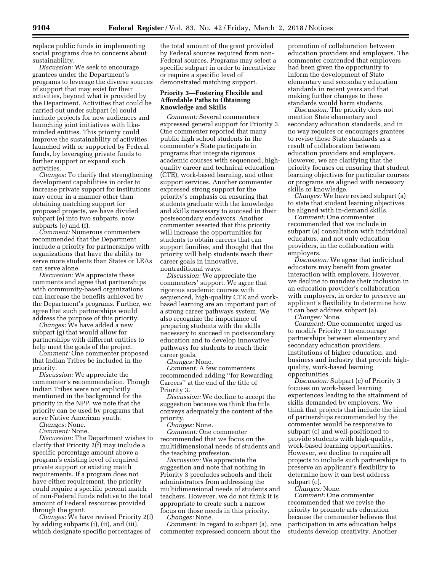replace public funds in implementing social programs due to concerns about sustainability.

*Discussion:* We seek to encourage grantees under the Department's programs to leverage the diverse sources of support that may exist for their activities, beyond what is provided by the Department. Activities that could be carried out under subpart (e) could include projects for new audiences and launching joint initiatives with likeminded entities. This priority could improve the sustainability of activities launched with or supported by Federal funds, by leveraging private funds to further support or expand such activities.

*Changes:* To clarify that strengthening development capabilities in order to increase private support for institutions may occur in a manner other than obtaining matching support for proposed projects, we have divided subpart (e) into two subparts, now subparts (e) and (f).

*Comment:* Numerous commenters recommended that the Department include a priority for partnerships with organizations that have the ability to serve more students than States or LEAs can serve alone.

*Discussion:* We appreciate these comments and agree that partnerships with community-based organizations can increase the benefits achieved by the Department's programs. Further, we agree that such partnerships would address the purpose of this priority.

*Changes:* We have added a new subpart (g) that would allow for partnerships with different entities to help meet the goals of the project.

*Comment:* One commenter proposed that Indian Tribes be included in the priority.

*Discussion:* We appreciate the commenter's recommendation. Though Indian Tribes were not explicitly mentioned in the background for the priority in the NPP, we note that the priority can be used by programs that serve Native American youth.

*Changes:* None.

*Comment:* None.

*Discussion:* The Department wishes to clarify that Priority 2(f) may include a specific percentage amount above a program's existing level of required private support or existing match requirements. If a program does not have either requirement, the priority could require a specific percent match of non-Federal funds relative to the total amount of Federal resources provided through the grant.

*Changes:* We have revised Priority 2(f) by adding subparts (i), (ii), and (iii), which designate specific percentages of

the total amount of the grant provided by Federal sources required from non-Federal sources. Programs may select a specific subpart in order to incentivize or require a specific level of demonstrated matching support.

### **Priority 3—Fostering Flexible and Affordable Paths to Obtaining Knowledge and Skills**

*Comment:* Several commenters expressed general support for Priority 3. One commenter reported that many public high school students in the commenter's State participate in programs that integrate rigorous academic courses with sequenced, highquality career and technical education (CTE), work-based learning, and other support services. Another commenter expressed strong support for the priority's emphasis on ensuring that students graduate with the knowledge and skills necessary to succeed in their postsecondary endeavors. Another commenter asserted that this priority will increase the opportunities for students to obtain careers that can support families, and thought that the priority will help students reach their career goals in innovative, nontraditional ways.

*Discussion:* We appreciate the commenters' support. We agree that rigorous academic courses with sequenced, high-quality CTE and workbased learning are an important part of a strong career pathways system. We also recognize the importance of preparing students with the skills necessary to succeed in postsecondary education and to develop innovative pathways for students to reach their career goals.

*Changes:* None.

*Comment:* A few commenters recommended adding ''for Rewarding Careers'' at the end of the title of Priority 3.

*Discussion:* We decline to accept the suggestion because we think the title conveys adequately the content of the priority.

*Changes:* None.

*Comment:* One commenter recommended that we focus on the multidimensional needs of students and the teaching profession.

*Discussion:* We appreciate the suggestion and note that nothing in Priority 3 precludes schools and their administrators from addressing the multidimensional needs of students and teachers. However, we do not think it is appropriate to create such a narrow focus on those needs in this priority.

*Changes:* None.

*Comment:* In regard to subpart (a), one commenter expressed concern about the

promotion of collaboration between education providers and employers. The commenter contended that employers had been given the opportunity to inform the development of State elementary and secondary education standards in recent years and that making further changes to these standards would harm students.

*Discussion:* The priority does not mention State elementary and secondary education standards, and in no way requires or encourages grantees to revise these State standards as a result of collaboration between education providers and employers. However, we are clarifying that the priority focuses on ensuring that student learning objectives for particular courses or programs are aligned with necessary skills or knowledge.

*Changes:* We have revised subpart (a) to state that student learning objectives be aligned with in-demand skills.

*Comment:* One commenter recommended that we include in subpart (a) consultation with individual educators, and not only education providers, in the collaboration with employers.

*Discussion:* We agree that individual educators may benefit from greater interaction with employers. However, we decline to mandate their inclusion in an education provider's collaboration with employers, in order to preserve an applicant's flexibility to determine how it can best address subpart (a).

*Changes:* None.

*Comment:* One commenter urged us to modify Priority 3 to encourage partnerships between elementary and secondary education providers, institutions of higher education, and business and industry that provide highquality, work-based learning opportunities.

*Discussion:* Subpart (c) of Priority 3 focuses on work-based learning experiences leading to the attainment of skills demanded by employers. We think that projects that include the kind of partnerships recommended by the commenter would be responsive to subpart (c) and well-positioned to provide students with high-quality, work-based learning opportunities. However, we decline to require all projects to include such partnerships to preserve an applicant's flexibility to determine how it can best address subpart (c).

*Changes:* None.

*Comment:* One commenter recommended that we revise the priority to promote arts education because the commenter believes that participation in arts education helps students develop creativity. Another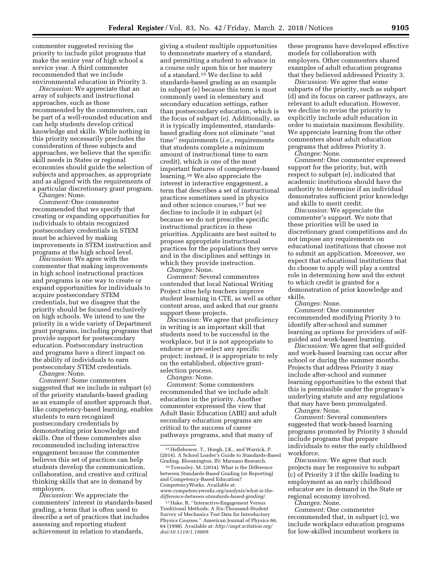commenter suggested revising the priority to include pilot programs that make the senior year of high school a service year. A third commenter recommended that we include environmental education in Priority 3.

*Discussion:* We appreciate that an array of subjects and instructional approaches, such as those recommended by the commenters, can be part of a well-rounded education and can help students develop critical knowledge and skills. While nothing in this priority necessarily precludes the consideration of these subjects and approaches, we believe that the specific skill needs in States or regional economies should guide the selection of subjects and approaches, as appropriate and as aligned with the requirements of a particular discretionary grant program.

*Changes:* None.

*Comment:* One commenter recommended that we specify that creating or expanding opportunities for individuals to obtain recognized postsecondary credentials in STEM must be achieved by making improvements in STEM instruction and programs at the high school level.

*Discussion:* We agree with the commenter that making improvements in high school instructional practices and programs is one way to create or expand opportunities for individuals to acquire postsecondary STEM credentials, but we disagree that the priority should be focused exclusively on high schools. We intend to use the priority in a wide variety of Department grant programs, including programs that provide support for postsecondary education. Postsecondary instruction and programs have a direct impact on the ability of individuals to earn postsecondary STEM credentials.

*Changes:* None.

*Comment:* Some commenters suggested that we include in subpart (e) of the priority standards-based grading as an example of another approach that, like competency-based learning, enables students to earn recognized postsecondary credentials by demonstrating prior knowledge and skills. One of these commenters also recommended including interactive engagement because the commenter believes this set of practices can help students develop the communication, collaboration, and creative and critical thinking skills that are in demand by employers.

*Discussion:* We appreciate the commenters' interest in standards-based grading, a term that is often used to describe a set of practices that includes assessing and reporting student achievement in relation to standards,

giving a student multiple opportunities to demonstrate mastery of a standard, and permitting a student to advance in a course only upon his or her mastery of a standard.15 We decline to add standards-based grading as an example in subpart (e) because this term is most commonly used in elementary and secondary education settings, rather than postsecondary education, which is the focus of subpart (e). Additionally, as it is typically implemented, standardsbased grading does not eliminate ''seat time'' requirements (*i.e.,* requirements that students complete a minimum amount of instructional time to earn credit), which is one of the most important features of competency-based learning.16 We also appreciate the interest in interactive engagement, a term that describes a set of instructional practices sometimes used in physics and other science courses,17 but we decline to include it in subpart (e) because we do not prescribe specific instructional practices in these priorities. Applicants are best suited to propose appropriate instructional practices for the populations they serve and in the disciplines and settings in which they provide instruction.

*Changes:* None.

*Comment:* Several commenters contended that local National Writing Project sites help teachers improve student learning in CTE, as well as other content areas, and asked that our grants support these projects.

*Discussion:* We agree that proficiency in writing is an important skill that students need to be successful in the workplace, but it is not appropriate to endorse or pre-select any specific project; instead, it is appropriate to rely on the established, objective grantselection process.

*Changes:* None.

*Comment:* Some commenters recommended that we include adult education in the priority. Another commenter expressed the view that Adult Basic Education (ABE) and adult secondary education programs are critical to the success of career pathways programs, and that many of

16Townsley, M. (2014). What is the Difference between Standards-Based Grading (or Reporting) and Competency-Based Education? CompetencyWorks. Available at: *[www.competencyworks.org/analysis/what-is-the](http://www.competencyworks.org/analysis/what-is-the-difference-between-standards-based-grading/)[difference-between-standards-based-grading/.](http://www.competencyworks.org/analysis/what-is-the-difference-between-standards-based-grading/)* 

17Hake, R. ''Interactive-Engagement Versus Traditional Methods: A Six-Thousand-Student Survey of Mechanics Test Data for Introductory Physics Courses.'' American Journal of Physics 66, 64 (1998). Available at: *[http://aapt.scitation.org/](http://aapt.scitation.org/doi/10.1119/1.18809)  [doi/10.1119/1.18809.](http://aapt.scitation.org/doi/10.1119/1.18809)* 

these programs have developed effective models for collaboration with employers. Other commenters shared examples of adult education programs that they believed addressed Priority 3.

*Discussion:* We agree that some subparts of the priority, such as subpart (d) and its focus on career pathways, are relevant to adult education. However, we decline to revise the priority to explicitly include adult education in order to maintain maximum flexibility. We appreciate learning from the other commenters about adult education programs that address Priority 3.

*Changes:* None.

*Comment:* One commenter expressed support for the priority, but, with respect to subpart (e), indicated that academic institutions should have the authority to determine if an individual demonstrates sufficient prior knowledge and skills to merit credit.

*Discussion:* We appreciate the commenter's support. We note that these priorities will be used in discretionary grant competitions and do not impose any requirements on educational institutions that choose not to submit an application. Moreover, we expect that educational institutions that do choose to apply will play a central role in determining how and the extent to which credit is granted for a demonstration of prior knowledge and skills.

*Changes:* None.

*Comment:* One commenter recommended modifying Priority 3 to identify after-school and summer learning as options for providers of selfguided and work-based learning.

*Discussion:* We agree that self-guided and work-based learning can occur after school or during the summer months. Projects that address Priority 3 may include after-school and summer learning opportunities to the extent that this is permissible under the program's underlying statute and any regulations that may have been promulgated. *Changes:* None.

*Comment:* Several commenters suggested that work-based learning programs promoted by Priority 3 should include programs that prepare individuals to enter the early childhood workforce.

*Discussion:* We agree that such projects may be responsive to subpart (c) of Priority 3 if the skills leading to employment as an early childhood educator are in demand in the State or regional economy involved.

*Changes:* None.

*Comment:* One commenter recommended that, in subpart (c), we include workplace education programs for low-skilled incumbent workers in

<sup>15</sup>Heflebower, T., Hoegh, J.K., and Warrick, P. (2014). A School Leader's Guide to Standards-Based Grading. Bloomington, IN: Marzano Research.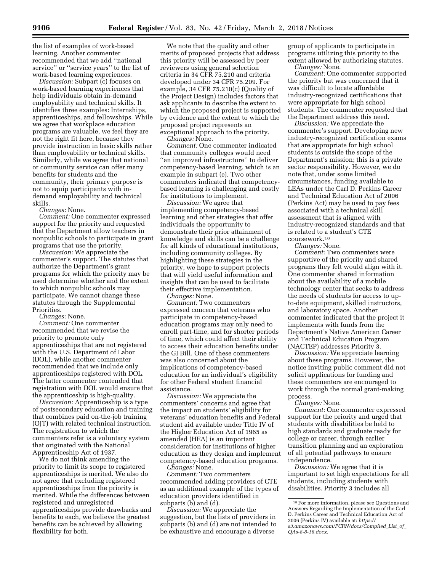the list of examples of work-based learning. Another commenter recommended that we add ''national service'' or ''service years'' to the list of work-based learning experiences.

*Discussion:* Subpart (c) focuses on work-based learning experiences that help individuals obtain in-demand employability and technical skills. It identifies three examples: Internships, apprenticeships, and fellowships. While we agree that workplace education programs are valuable, we feel they are not the right fit here, because they provide instruction in basic skills rather than employability or technical skills. Similarly, while we agree that national or community service can offer many benefits for students and the community, their primary purpose is not to equip participants with indemand employability and technical skills.

*Changes:* None.

*Comment:* One commenter expressed support for the priority and requested that the Department allow teachers in nonpublic schools to participate in grant programs that use the priority.

*Discussion:* We appreciate the commenter's support. The statutes that authorize the Department's grant programs for which the priority may be used determine whether and the extent to which nonpublic schools may participate. We cannot change these statutes through the Supplemental Priorities.

*Changes:* None.

*Comment:* One commenter recommended that we revise the priority to promote only apprenticeships that are not registered with the U.S. Department of Labor (DOL), while another commenter recommended that we include only apprenticeships registered with DOL. The latter commenter contended that registration with DOL would ensure that the apprenticeship is high-quality.

*Discussion:* Apprenticeship is a type of postsecondary education and training that combines paid on-the-job training (OJT) with related technical instruction. The registration to which the commenters refer is a voluntary system that originated with the National Apprenticeship Act of 1937.

We do not think amending the priority to limit its scope to registered apprenticeships is merited. We also do not agree that excluding registered apprenticeships from the priority is merited. While the differences between registered and unregistered apprenticeships provide drawbacks and benefits to each, we believe the greatest benefits can be achieved by allowing flexibility for both.

We note that the quality and other merits of proposed projects that address this priority will be assessed by peer reviewers using general selection criteria in 34 CFR 75.210 and criteria developed under 34 CFR 75.209. For example, 34 CFR 75.210(c) (Quality of the Project Design) includes factors that ask applicants to describe the extent to which the proposed project is supported by evidence and the extent to which the proposed project represents an exceptional approach to the priority.

*Changes:* None.

*Comment:* One commenter indicated that community colleges would need ''an improved infrastructure'' to deliver competency-based learning, which is an example in subpart (e). Two other commenters indicated that competencybased learning is challenging and costly for institutions to implement.

*Discussion:* We agree that implementing competency-based learning and other strategies that offer individuals the opportunity to demonstrate their prior attainment of knowledge and skills can be a challenge for all kinds of educational institutions, including community colleges. By highlighting these strategies in the priority, we hope to support projects that will yield useful information and insights that can be used to facilitate their effective implementation.

*Changes:* None.

*Comment:* Two commenters expressed concern that veterans who participate in competency-based education programs may only need to enroll part-time, and for shorter periods of time, which could affect their ability to access their education benefits under the GI Bill. One of these commenters was also concerned about the implications of competency-based education for an individual's eligibility for other Federal student financial assistance.

*Discussion:* We appreciate the commenters' concerns and agree that the impact on students' eligibility for veterans' education benefits and Federal student aid available under Title IV of the Higher Education Act of 1965 as amended (HEA) is an important consideration for institutions of higher education as they design and implement competency-based education programs. *Changes:* None.

*Comment:* Two commenters recommended adding providers of CTE

as an additional example of the types of education providers identified in subparts (b) and (d).

*Discussion:* We appreciate the suggestion, but the lists of providers in subparts (b) and (d) are not intended to be exhaustive and encourage a diverse

group of applicants to participate in programs utilizing this priority to the extent allowed by authorizing statutes. *Changes:* None.

*Comment:* One commenter supported the priority but was concerned that it was difficult to locate affordable industry-recognized certifications that were appropriate for high school students. The commenter requested that the Department address this need.

*Discussion:* We appreciate the commenter's support. Developing new industry-recognized certification exams that are appropriate for high school students is outside the scope of the Department's mission; this is a private sector responsibility. However, we do note that, under some limited circumstances, funding available to LEAs under the Carl D. Perkins Career and Technical Education Act of 2006 (Perkins Act) may be used to pay fees associated with a technical skill assessment that is aligned with industry-recognized standards and that is related to a student's CTE coursework.18

*Changes:* None.

*Comment:* Two commenters were supportive of the priority and shared programs they felt would align with it. One commenter shared information about the availability of a mobile technology center that seeks to address the needs of students for access to upto-date equipment, skilled instructors, and laboratory space. Another commenter indicated that the project it implements with funds from the Department's Native American Career and Technical Education Program (NACTEP) addresses Priority 3.

*Discussion:* We appreciate learning about these programs. However, the notice inviting public comment did not solicit applications for funding and these commenters are encouraged to work through the normal grant-making process.

*Changes:* None.

*Comment:* One commenter expressed support for the priority and urged that students with disabilities be held to high standards and graduate ready for college or career, through earlier transition planning and an exploration of all potential pathways to ensure independence.

*Discussion:* We agree that it is important to set high expectations for all students, including students with disabilities. Priority 3 includes all

<sup>18</sup>For more information, please see Questions and Answers Regarding the Implementation of the Carl D. Perkins Career and Technical Education Act of 2006 (Perkins IV) available at: *[https://](https://s3.amazonaws.com/PCRN/docs/Compiled_List_of_QAs-8-8-16.docx) [s3.amazonaws.com/PCRN/docs/Compiled](https://s3.amazonaws.com/PCRN/docs/Compiled_List_of_QAs-8-8-16.docx)*\_*List*\_*of*\_ *[QAs-8-8-16.docx.](https://s3.amazonaws.com/PCRN/docs/Compiled_List_of_QAs-8-8-16.docx)*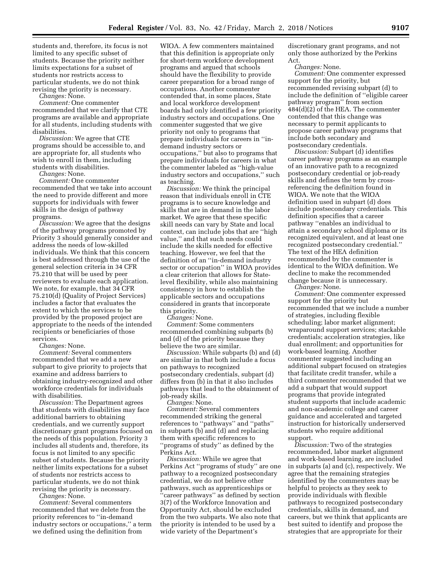students and, therefore, its focus is not limited to any specific subset of students. Because the priority neither limits expectations for a subset of students nor restricts access to particular students, we do not think revising the priority is necessary.

*Changes:* None.

*Comment:* One commenter recommended that we clarify that CTE programs are available and appropriate for all students, including students with disabilities.

*Discussion:* We agree that CTE programs should be accessible to, and are appropriate for, all students who wish to enroll in them, including students with disabilities.

*Changes:* None.

*Comment:* One commenter recommended that we take into account the need to provide different and more supports for individuals with fewer skills in the design of pathway programs.

*Discussion:* We agree that the designs of the pathway programs promoted by Priority 3 should generally consider and address the needs of low-skilled individuals. We think that this concern is best addressed through the use of the general selection criteria in 34 CFR 75.210 that will be used by peer reviewers to evaluate each application. We note, for example, that 34 CFR 75.210(d) (Quality of Project Services) includes a factor that evaluates the extent to which the services to be provided by the proposed project are appropriate to the needs of the intended recipients or beneficiaries of those services.

*Changes:* None.

*Comment:* Several commenters recommended that we add a new subpart to give priority to projects that examine and address barriers to obtaining industry-recognized and other workforce credentials for individuals with disabilities.

*Discussion:* The Department agrees that students with disabilities may face additional barriers to obtaining credentials, and we currently support discretionary grant programs focused on the needs of this population. Priority 3 includes all students and, therefore, its focus is not limited to any specific subset of students. Because the priority neither limits expectations for a subset of students nor restricts access to particular students, we do not think revising the priority is necessary.

*Changes:* None.

*Comment:* Several commenters recommended that we delete from the priority references to ''in-demand industry sectors or occupations,'' a term we defined using the definition from

WIOA. A few commenters maintained that this definition is appropriate only for short-term workforce development programs and argued that schools should have the flexibility to provide career preparation for a broad range of occupations. Another commenter contended that, in some places, State and local workforce development boards had only identified a few priority industry sectors and occupations. One commenter suggested that we give priority not only to programs that prepare individuals for careers in ''indemand industry sectors or occupations,'' but also to programs that prepare individuals for careers in what the commenter labeled as ''high-value industry sectors and occupations,'' such as teaching.

*Discussion:* We think the principal reason that individuals enroll in CTE programs is to secure knowledge and skills that are in demand in the labor market. We agree that these specific skill needs can vary by State and local context, can include jobs that are ''high value,'' and that such needs could include the skills needed for effective teaching. However, we feel that the definition of an ''in-demand industry sector or occupation'' in WIOA provides a clear criterion that allows for Statelevel flexibility, while also maintaining consistency in how to establish the applicable sectors and occupations considered in grants that incorporate this priority.

*Changes:* None.

*Comment:* Some commenters recommended combining subparts (b) and (d) of the priority because they believe the two are similar.

*Discussion:* While subparts (b) and (d) are similar in that both include a focus on pathways to recognized postsecondary credentials, subpart (d) differs from (b) in that it also includes pathways that lead to the obtainment of job-ready skills.

*Changes:* None.

*Comment:* Several commenters recommended striking the general references to ''pathways'' and ''paths'' in subparts (b) and (d) and replacing them with specific references to ''programs of study'' as defined by the Perkins Act.

*Discussion:* While we agree that Perkins Act ''programs of study'' are one pathway to a recognized postsecondary credential, we do not believe other pathways, such as apprenticeships or ''career pathways'' as defined by section 3(7) of the Workforce Innovation and Opportunity Act, should be excluded from the two subparts. We also note that the priority is intended to be used by a wide variety of the Department's

discretionary grant programs, and not only those authorized by the Perkins Act.

*Changes:* None.

*Comment:* One commenter expressed support for the priority, but recommended revising subpart (d) to include the definition of ''eligible career pathway program'' from section 484(d)(2) of the HEA. The commenter contended that this change was necessary to permit applicants to propose career pathway programs that include both secondary and postsecondary credentials.

*Discussion:* Subpart (d) identifies career pathway programs as an example of an innovative path to a recognized postsecondary credential or job-ready skills and defines the term by crossreferencing the definition found in WIOA. We note that the WIOA definition used in subpart (d) does include postsecondary credentials. This definition specifies that a career pathway ''enables an individual to attain a secondary school diploma or its recognized equivalent, and at least one recognized postsecondary credential.'' The text of the HEA definition recommended by the commenter is identical to the WIOA definition. We decline to make the recommended change because it is unnecessary.

*Changes:* None.

*Comment:* One commenter expressed support for the priority but recommended that we include a number of strategies, including flexible scheduling; labor market alignment; wraparound support services; stackable credentials; acceleration strategies, like dual enrollment; and opportunities for work-based learning. Another commenter suggested including an additional subpart focused on strategies that facilitate credit transfer, while a third commenter recommended that we add a subpart that would support programs that provide integrated student supports that include academic and non-academic college and career guidance and accelerated and targeted instruction for historically underserved students who require additional support.

*Discussion:* Two of the strategies recommended, labor market alignment and work-based learning, are included in subparts (a) and (c), respectively. We agree that the remaining strategies identified by the commenters may be helpful to projects as they seek to provide individuals with flexible pathways to recognized postsecondary credentials, skills in demand, and careers, but we think that applicants are best suited to identify and propose the strategies that are appropriate for their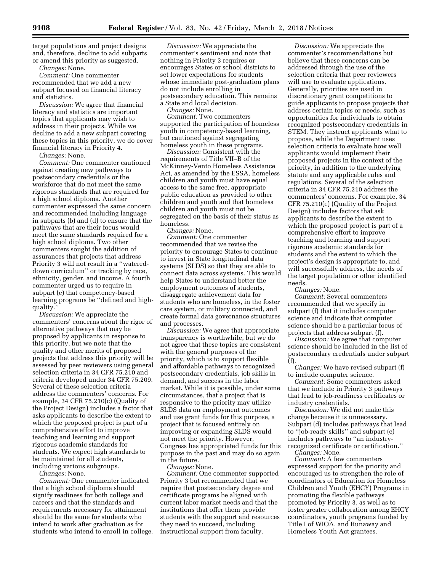target populations and project designs and, therefore, decline to add subparts or amend this priority as suggested.

*Changes:* None.

*Comment:* One commenter recommended that we add a new subpart focused on financial literacy and statistics.

*Discussion:* We agree that financial literacy and statistics are important topics that applicants may wish to address in their projects. While we decline to add a new subpart covering these topics in this priority, we do cover financial literacy in Priority 4.

*Changes:* None.

*Comment:* One commenter cautioned against creating new pathways to postsecondary credentials or the workforce that do not meet the same rigorous standards that are required for a high school diploma. Another commenter expressed the same concern and recommended including language in subparts (b) and (d) to ensure that the pathways that are their focus would meet the same standards required for a high school diploma. Two other commenters sought the addition of assurances that projects that address Priority 3 will not result in a ''watereddown curriculum'' or tracking by race, ethnicity, gender, and income. A fourth commenter urged us to require in subpart (e) that competency-based learning programs be ''defined and highquality.

*Discussion:* We appreciate the commenters' concerns about the rigor of alternative pathways that may be proposed by applicants in response to this priority, but we note that the quality and other merits of proposed projects that address this priority will be assessed by peer reviewers using general selection criteria in 34 CFR 75.210 and criteria developed under 34 CFR 75.209. Several of these selection criteria address the commenters' concerns. For example, 34 CFR 75.210(c) (Quality of the Project Design) includes a factor that asks applicants to describe the extent to which the proposed project is part of a comprehensive effort to improve teaching and learning and support rigorous academic standards for students. We expect high standards to be maintained for all students, including various subgroups.

*Changes:* None.

*Comment:* One commenter indicated that a high school diploma should signify readiness for both college and careers and that the standards and requirements necessary for attainment should be the same for students who intend to work after graduation as for students who intend to enroll in college.

*Discussion:* We appreciate the commenter's sentiment and note that nothing in Priority 3 requires or encourages States or school districts to set lower expectations for students whose immediate post-graduation plans do not include enrolling in postsecondary education. This remains a State and local decision.

*Changes:* None.

*Comment:* Two commenters supported the participation of homeless youth in competency-based learning, but cautioned against segregating homeless youth in these programs.

*Discussion:* Consistent with the requirements of Title VII–B of the McKinney-Vento Homeless Assistance Act, as amended by the ESSA, homeless children and youth must have equal access to the same free, appropriate public education as provided to other children and youth and that homeless children and youth must not be segregated on the basis of their status as homeless.

*Changes:* None.

*Comment:* One commenter recommended that we revise the priority to encourage States to continue to invest in State longitudinal data systems (SLDS) so that they are able to connect data across systems. This would help States to understand better the employment outcomes of students, disaggregate achievement data for students who are homeless, in the foster care system, or military connected, and create formal data governance structures and processes.

*Discussion:* We agree that appropriate transparency is worthwhile, but we do not agree that these topics are consistent with the general purposes of the priority, which is to support flexible and affordable pathways to recognized postsecondary credentials, job skills in demand, and success in the labor market. While it is possible, under some circumstances, that a project that is responsive to the priority may utilize SLDS data on employment outcomes and use grant funds for this purpose, a project that is focused entirely on improving or expanding SLDS would not meet the priority. However, Congress has appropriated funds for this purpose in the past and may do so again in the future.

*Changes:* None.

*Comment:* One commenter supported Priority 3 but recommended that we require that postsecondary degree and certificate programs be aligned with current labor market needs and that the institutions that offer them provide students with the support and resources they need to succeed, including instructional support from faculty.

*Discussion:* We appreciate the commenter's recommendations but believe that these concerns can be addressed through the use of the selection criteria that peer reviewers will use to evaluate applications. Generally, priorities are used in discretionary grant competitions to guide applicants to propose projects that address certain topics or needs, such as opportunities for individuals to obtain recognized postsecondary credentials in STEM. They instruct applicants what to propose, while the Department uses selection criteria to evaluate how well applicants would implement their proposed projects in the context of the priority, in addition to the underlying statute and any applicable rules and regulations. Several of the selection criteria in 34 CFR 75.210 address the commenters' concerns. For example, 34 CFR 75.210(c) (Quality of the Project Design) includes factors that ask applicants to describe the extent to which the proposed project is part of a comprehensive effort to improve teaching and learning and support rigorous academic standards for students and the extent to which the project's design is appropriate to, and will successfully address, the needs of the target population or other identified needs.

*Changes:* None.

*Comment:* Several commenters recommended that we specify in subpart (f) that it includes computer science and indicate that computer science should be a particular focus of projects that address subpart (f).

*Discussion:* We agree that computer science should be included in the list of postsecondary credentials under subpart (f).

*Changes:* We have revised subpart (f) to include computer science.

*Comment:* Some commenters asked that we include in Priority 3 pathways that lead to job-readiness certificates or industry credentials.

*Discussion:* We did not make this change because it is unnecessary. Subpart (d) includes pathways that lead to ''job-ready skills'' and subpart (e) includes pathways to ''an industryrecognized certificate or certification.''

*Changes:* None.

*Comment:* A few commenters expressed support for the priority and encouraged us to strengthen the role of coordinators of Education for Homeless Children and Youth (EHCY) Programs in promoting the flexible pathways promoted by Priority 3, as well as to foster greater collaboration among EHCY coordinators, youth programs funded by Title I of WIOA, and Runaway and Homeless Youth Act grantees.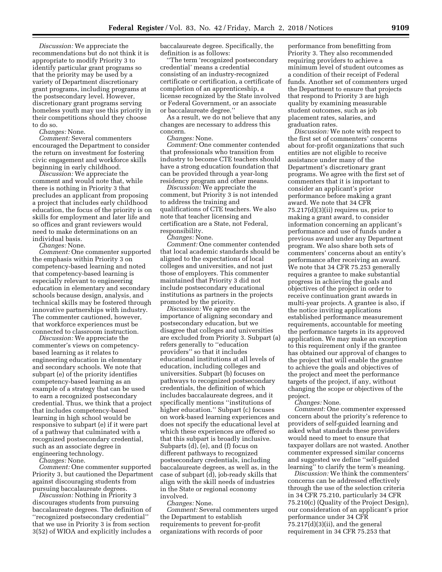*Discussion:* We appreciate the recommendations but do not think it is appropriate to modify Priority 3 to identify particular grant programs so that the priority may be used by a variety of Department discretionary grant programs, including programs at the postsecondary level. However, discretionary grant programs serving homeless youth may use this priority in their competitions should they choose to do so.

*Changes:* None.

*Comment:* Several commenters encouraged the Department to consider the return on investment for fostering civic engagement and workforce skills beginning in early childhood.

*Discussion:* We appreciate the comment and would note that, while there is nothing in Priority 3 that precludes an applicant from proposing a project that includes early childhood education, the focus of the priority is on skills for employment and later life and so offices and grant reviewers would need to make determinations on an individual basis.

*Changes:* None.

*Comment:* One commenter supported the emphasis within Priority 3 on competency-based learning and noted that competency-based learning is especially relevant to engineering education in elementary and secondary schools because design, analysis, and technical skills may be fostered through innovative partnerships with industry. The commenter cautioned, however, that workforce experiences must be connected to classroom instruction.

*Discussion:* We appreciate the commenter's views on competencybased learning as it relates to engineering education in elementary and secondary schools. We note that subpart (e) of the priority identifies competency-based learning as an example of a strategy that can be used to earn a recognized postsecondary credential. Thus, we think that a project that includes competency-based learning in high school would be responsive to subpart (e) if it were part of a pathway that culminated with a recognized postsecondary credential, such as an associate degree in engineering technology.

*Changes:* None.

*Comment:* One commenter supported Priority 3, but cautioned the Department against discouraging students from pursuing baccalaureate degrees.

*Discussion:* Nothing in Priority 3 discourages students from pursuing baccalaureate degrees. The definition of ''recognized postsecondary credential'' that we use in Priority 3 is from section 3(52) of WIOA and explicitly includes a baccalaureate degree. Specifically, the definition is as follows:

'The term 'recognized postsecondary credential' means a credential consisting of an industry-recognized certificate or certification, a certificate of completion of an apprenticeship, a license recognized by the State involved or Federal Government, or an associate or baccalaureate degree.''

As a result, we do not believe that any changes are necessary to address this concern.

*Changes:* None.

*Comment:* One commenter contended that professionals who transition from industry to become CTE teachers should have a strong education foundation that can be provided through a year-long residency program and other means.

*Discussion:* We appreciate the comment, but Priority 3 is not intended to address the training and qualifications of CTE teachers. We also note that teacher licensing and certification are a State, not Federal, responsibility.

*Changes:* None.

*Comment:* One commenter contended that local academic standards should be aligned to the expectations of local colleges and universities, and not just those of employers. This commenter maintained that Priority 3 did not include postsecondary educational institutions as partners in the projects promoted by the priority.

*Discussion:* We agree on the importance of aligning secondary and postsecondary education, but we disagree that colleges and universities are excluded from Priority 3. Subpart (a) refers generally to ''education providers'' so that it includes educational institutions at all levels of education, including colleges and universities. Subpart (b) focuses on pathways to recognized postsecondary credentials, the definition of which includes baccalaureate degrees, and it specifically mentions ''institutions of higher education.'' Subpart (c) focuses on work-based learning experiences and does not specify the educational level at which these experiences are offered so that this subpart is broadly inclusive. Subparts (d), (e), and (f) focus on different pathways to recognized postsecondary credentials, including baccalaureate degrees, as well as, in the case of subpart (d), job-ready skills that align with the skill needs of industries in the State or regional economy involved.

*Changes:* None.

*Comment:* Several commenters urged the Department to establish requirements to prevent for-profit organizations with records of poor

performance from benefitting from Priority 3. They also recommended requiring providers to achieve a minimum level of student outcomes as a condition of their receipt of Federal funds. Another set of commenters urged the Department to ensure that projects that respond to Priority 3 are high quality by examining measurable student outcomes, such as job placement rates, salaries, and graduation rates.

*Discussion:* We note with respect to the first set of commenters' concerns about for-profit organizations that such entities are not eligible to receive assistance under many of the Department's discretionary grant programs. We agree with the first set of commenters that it is important to consider an applicant's prior performance before making a grant award. We note that 34 CFR  $75.217(d)(3)(ii)$  requires us, prior to making a grant award, to consider information concerning an applicant's performance and use of funds under a previous award under any Department program. We also share both sets of commenters' concerns about an entity's performance after receiving an award. We note that 34 CFR 75.253 generally requires a grantee to make substantial progress in achieving the goals and objectives of the project in order to receive continuation grant awards in multi-year projects. A grantee is also, if the notice inviting applications established performance measurement requirements, accountable for meeting the performance targets in its approved application. We may make an exception to this requirement only if the grantee has obtained our approval of changes to the project that will enable the grantee to achieve the goals and objectives of the project and meet the performance targets of the project, if any, without changing the scope or objectives of the project.

*Changes:* None.

*Comment:* One commenter expressed concern about the priority's reference to providers of self-guided learning and asked what standards these providers would need to meet to ensure that taxpayer dollars are not wasted. Another commenter expressed similar concerns and suggested we define ''self-guided learning'' to clarify the term's meaning.

*Discussion:* We think the commenters' concerns can be addressed effectively through the use of the selection criteria in 34 CFR 75.210, particularly 34 CFR 75.210(c) (Quality of the Project Design), our consideration of an applicant's prior performance under 34 CFR  $75.217(d)(3)(ii)$ , and the general requirement in 34 CFR 75.253 that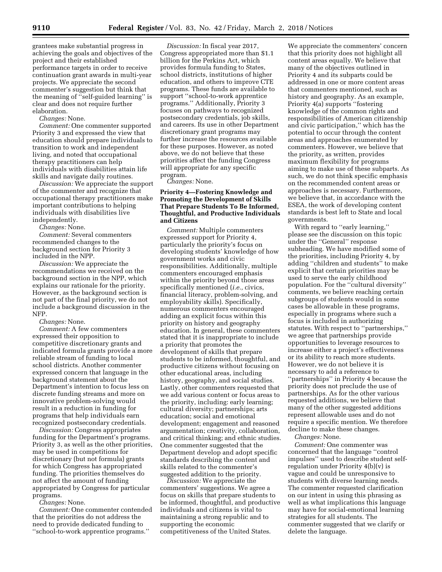grantees make substantial progress in achieving the goals and objectives of the project and their established performance targets in order to receive continuation grant awards in multi-year projects. We appreciate the second commenter's suggestion but think that the meaning of ''self-guided learning'' is clear and does not require further elaboration.

*Changes:* None.

*Comment:* One commenter supported Priority 3 and expressed the view that education should prepare individuals to transition to work and independent living, and noted that occupational therapy practitioners can help individuals with disabilities attain life skills and navigate daily routines.

*Discussion:* We appreciate the support of the commenter and recognize that occupational therapy practitioners make important contributions to helping individuals with disabilities live independently.

*Changes:* None.

*Comment:* Several commenters recommended changes to the background section for Priority 3 included in the NPP.

*Discussion:* We appreciate the recommendations we received on the background section in the NPP, which explains our rationale for the priority. However, as the background section is not part of the final priority, we do not include a background discussion in the NFP.

*Changes:* None.

*Comment:* A few commenters expressed their opposition to competitive discretionary grants and indicated formula grants provide a more reliable stream of funding to local school districts. Another commenter expressed concern that language in the background statement about the Department's intention to focus less on discrete funding streams and more on innovative problem-solving would result in a reduction in funding for programs that help individuals earn recognized postsecondary credentials.

*Discussion:* Congress appropriates funding for the Department's programs. Priority 3, as well as the other priorities, may be used in competitions for discretionary (but not formula) grants for which Congress has appropriated funding. The priorities themselves do not affect the amount of funding appropriated by Congress for particular programs.

*Changes:* None.

*Comment:* One commenter contended that the priorities do not address the need to provide dedicated funding to ''school-to-work apprentice programs.''

*Discussion:* In fiscal year 2017, Congress appropriated more than \$1.1 billion for the Perkins Act, which provides formula funding to States, school districts, institutions of higher education, and others to improve CTE programs. These funds are available to support ''school-to-work apprentice programs.'' Additionally, Priority 3 focuses on pathways to recognized postsecondary credentials, job skills, and careers. Its use in other Department discretionary grant programs may further increase the resources available for these purposes. However, as noted above, we do not believe that these priorities affect the funding Congress will appropriate for any specific program.

*Changes:* None.

# **Priority 4—Fostering Knowledge and Promoting the Development of Skills That Prepare Students To Be Informed, Thoughtful, and Productive Individuals and Citizens**

*Comment:* Multiple commenters expressed support for Priority 4, particularly the priority's focus on developing students' knowledge of how government works and civic responsibilities. Additionally, multiple commenters encouraged emphasis within the priority beyond those areas specifically mentioned (*i.e.,* civics, financial literacy, problem-solving, and employability skills). Specifically, numerous commenters encouraged adding an explicit focus within this priority on history and geography education. In general, these commenters stated that it is inappropriate to include a priority that promotes the development of skills that prepare students to be informed, thoughtful, and productive citizens without focusing on other educational areas, including history, geography, and social studies. Lastly, other commenters requested that we add various content or focus areas to the priority, including: early learning; cultural diversity; partnerships; arts education; social and emotional development; engagement and reasoned argumentation; creativity, collaboration, and critical thinking; and ethnic studies. One commenter suggested that the Department develop and adopt specific standards describing the content and skills related to the commenter's suggested addition to the priority.

*Discussion:* We appreciate the commenters' suggestions. We agree a focus on skills that prepare students to be informed, thoughtful, and productive individuals and citizens is vital to maintaining a strong republic and to supporting the economic competitiveness of the United States.

We appreciate the commenters' concern that this priority does not highlight all content areas equally. We believe that many of the objectives outlined in Priority 4 and its subparts could be addressed in one or more content areas that commenters mentioned, such as history and geography. As an example, Priority 4(a) supports ''fostering knowledge of the common rights and responsibilities of American citizenship and civic participation,'' which has the potential to occur through the content areas and approaches enumerated by commenters. However, we believe that the priority, as written, provides maximum flexibility for programs aiming to make use of these subparts. As such, we do not think specific emphasis on the recommended content areas or approaches is necessary. Furthermore, we believe that, in accordance with the ESEA, the work of developing content standards is best left to State and local governments.

With regard to "early learning," please see the discussion on this topic under the ''General'' response subheading. We have modified some of the priorities, including Priority 4, by adding ''children and students'' to make explicit that certain priorities may be used to serve the early childhood population. For the ''cultural diversity'' comments, we believe reaching certain subgroups of students would in some cases be allowable in these programs, especially in programs where such a focus is included in authorizing statutes. With respect to ''partnerships,'' we agree that partnerships provide opportunities to leverage resources to increase either a project's effectiveness or its ability to reach more students. However, we do not believe it is necessary to add a reference to ''partnerships'' in Priority 4 because the priority does not preclude the use of partnerships. As for the other various requested additions, we believe that many of the other suggested additions represent allowable uses and do not require a specific mention. We therefore decline to make these changes.

*Changes:* None.

*Comment:* One commenter was concerned that the language ''control impulses'' used to describe student selfregulation under Priority 4(b)(v) is vague and could be unresponsive to students with diverse learning needs. The commenter requested clarification on our intent in using this phrasing as well as what implications this language may have for social-emotional learning strategies for all students. The commenter suggested that we clarify or delete the language.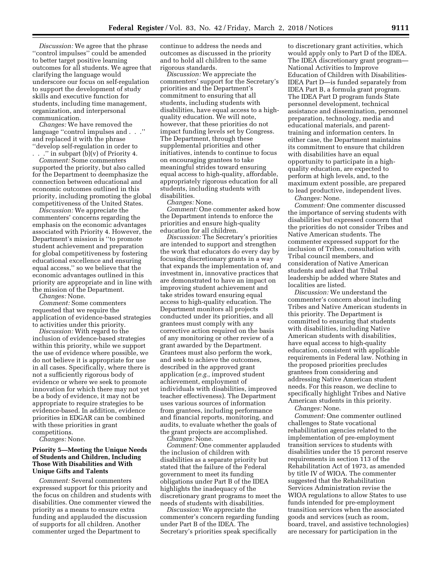*Discussion:* We agree that the phrase ''control impulses'' could be amended to better target positive learning outcomes for all students. We agree that clarifying the language would underscore our focus on self-regulation to support the development of study skills and executive function for students, including time management, organization, and interpersonal communication.

*Changes:* We have removed the language ''control impulses and . . .'' and replaced it with the phrase ''develop self-regulation in order to

." in subpart (b)(v) of Priority 4. *Comment:* Some commenters supported the priority, but also called for the Department to deemphasize the connection between educational and economic outcomes outlined in this priority, including promoting the global competitiveness of the United States.

*Discussion:* We appreciate the commenters' concerns regarding the emphasis on the economic advantages associated with Priority 4. However, the Department's mission is ''to promote student achievement and preparation for global competitiveness by fostering educational excellence and ensuring equal access,'' so we believe that the economic advantages outlined in this priority are appropriate and in line with the mission of the Department.

*Changes:* None.

*Comment:* Some commenters requested that we require the application of evidence-based strategies to activities under this priority.

*Discussion:* With regard to the inclusion of evidence-based strategies within this priority, while we support the use of evidence where possible, we do not believe it is appropriate for use in all cases. Specifically, where there is not a sufficiently rigorous body of evidence or where we seek to promote innovation for which there may not yet be a body of evidence, it may not be appropriate to require strategies to be evidence-based. In addition, evidence priorities in EDGAR can be combined with these priorities in grant competitions.

*Changes:* None.

# **Priority 5—Meeting the Unique Needs of Students and Children, Including Those With Disabilities and With Unique Gifts and Talents**

*Comment:* Several commenters expressed support for this priority and the focus on children and students with disabilities. One commenter viewed the priority as a means to ensure extra funding and applauded the discussion of supports for all children. Another commenter urged the Department to

continue to address the needs and outcomes as discussed in the priority and to hold all children to the same rigorous standards.

*Discussion:* We appreciate the commenters' support for the Secretary's priorities and the Department's commitment to ensuring that all students, including students with disabilities, have equal access to a highquality education. We will note, however, that these priorities do not impact funding levels set by Congress. The Department, through these supplemental priorities and other initiatives, intends to continue to focus on encouraging grantees to take meaningful strides toward ensuring equal access to high-quality, affordable, appropriately rigorous education for all students, including students with disabilities.

*Changes:* None.

*Comment:* One commenter asked how the Department intends to enforce the priorities and ensure high-quality education for all children.

*Discussion:* The Secretary's priorities are intended to support and strengthen the work that educators do every day by focusing discretionary grants in a way that expands the implementation of, and investment in, innovative practices that are demonstrated to have an impact on improving student achievement and take strides toward ensuring equal access to high-quality education. The Department monitors all projects conducted under its priorities, and all grantees must comply with any corrective action required on the basis of any monitoring or other review of a grant awarded by the Department. Grantees must also perform the work, and seek to achieve the outcomes, described in the approved grant application (*e.g.,* improved student achievement, employment of individuals with disabilities, improved teacher effectiveness). The Department uses various sources of information from grantees, including performance and financial reports, monitoring, and audits, to evaluate whether the goals of the grant projects are accomplished. *Changes:* None.

*Comment:* One commenter applauded the inclusion of children with disabilities as a separate priority but stated that the failure of the Federal government to meet its funding obligations under Part B of the IDEA highlights the inadequacy of the discretionary grant programs to meet the needs of students with disabilities.

*Discussion:* We appreciate the commenter's concern regarding funding under Part B of the IDEA. The Secretary's priorities speak specifically

to discretionary grant activities, which would apply only to Part D of the IDEA. The IDEA discretionary grant program— National Activities to Improve Education of Children with Disabilities-IDEA Part D—is funded separately from IDEA Part B, a formula grant program. The IDEA Part D program funds State personnel development, technical assistance and dissemination, personnel preparation, technology, media and educational materials, and parenttraining and information centers. In either case, the Department maintains its commitment to ensure that children with disabilities have an equal opportunity to participate in a highquality education, are expected to perform at high levels, and, to the maximum extent possible, are prepared to lead productive, independent lives. *Changes:* None.

*Comment:* One commenter discussed the importance of serving students with disabilities but expressed concern that the priorities do not consider Tribes and Native American students. The commenter expressed support for the inclusion of Tribes, consultation with Tribal council members, and consideration of Native American students and asked that Tribal leadership be added where States and localities are listed.

*Discussion:* We understand the commenter's concern about including Tribes and Native American students in this priority. The Department is committed to ensuring that students with disabilities, including Native American students with disabilities, have equal access to high-quality education, consistent with applicable requirements in Federal law. Nothing in the proposed priorities precludes grantees from considering and addressing Native American student needs. For this reason, we decline to specifically highlight Tribes and Native American students in this priority.

*Changes:* None.

*Comment:* One commenter outlined challenges to State vocational rehabilitation agencies related to the implementation of pre-employment transition services to students with disabilities under the 15 percent reserve requirements in section 113 of the Rehabilitation Act of 1973, as amended by title IV of WIOA. The commenter suggested that the Rehabilitation Services Administration revise the WIOA regulations to allow States to use funds intended for pre-employment transition services when the associated goods and services (such as room, board, travel, and assistive technologies) are necessary for participation in the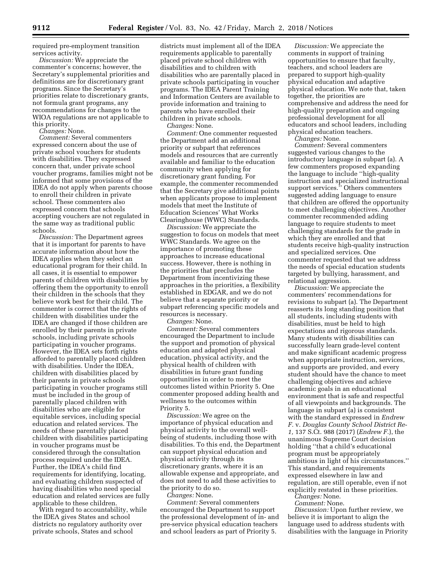required pre-employment transition services activity.

*Discussion:* We appreciate the commenter's concerns; however, the Secretary's supplemental priorities and definitions are for discretionary grant programs. Since the Secretary's priorities relate to discretionary grants, not formula grant programs, any recommendations for changes to the WIOA regulations are not applicable to this priority.

*Changes:* None.

*Comment:* Several commenters expressed concern about the use of private school vouchers for students with disabilities. They expressed concern that, under private school voucher programs, families might not be informed that some provisions of the IDEA do not apply when parents choose to enroll their children in private school. These commenters also expressed concern that schools accepting vouchers are not regulated in the same way as traditional public schools.

*Discussion:* The Department agrees that it is important for parents to have accurate information about how the IDEA applies when they select an educational program for their child. In all cases, it is essential to empower parents of children with disabilities by offering them the opportunity to enroll their children in the schools that they believe work best for their child. The commenter is correct that the rights of children with disabilities under the IDEA are changed if those children are enrolled by their parents in private schools, including private schools participating in voucher programs. However, the IDEA sets forth rights afforded to parentally placed children with disabilities. Under the IDEA, children with disabilities placed by their parents in private schools participating in voucher programs still must be included in the group of parentally placed children with disabilities who are eligible for equitable services, including special education and related services. The needs of these parentally placed children with disabilities participating in voucher programs must be considered through the consultation process required under the IDEA. Further, the IDEA's child find requirements for identifying, locating, and evaluating children suspected of having disabilities who need special education and related services are fully applicable to these children.

With regard to accountability, while the IDEA gives States and school districts no regulatory authority over private schools, States and school

districts must implement all of the IDEA requirements applicable to parentally placed private school children with disabilities and to children with disabilities who are parentally placed in private schools participating in voucher programs. The IDEA Parent Training and Information Centers are available to provide information and training to parents who have enrolled their children in private schools.

*Changes:* None.

*Comment:* One commenter requested the Department add an additional priority or subpart that references models and resources that are currently available and familiar to the education community when applying for discretionary grant funding. For example, the commenter recommended that the Secretary give additional points when applicants propose to implement models that meet the Institute of Education Sciences' What Works Clearinghouse (WWC) Standards.

*Discussion:* We appreciate the suggestion to focus on models that meet WWC Standards. We agree on the importance of promoting these approaches to increase educational success. However, there is nothing in the priorities that precludes the Department from incentivizing these approaches in the priorities, a flexibility established in EDGAR, and we do not believe that a separate priority or subpart referencing specific models and resources is necessary.

*Changes:* None.

*Comment:* Several commenters encouraged the Department to include the support and promotion of physical education and adapted physical education, physical activity, and the physical health of children with disabilities in future grant funding opportunities in order to meet the outcomes listed within Priority 5. One commenter proposed adding health and wellness to the outcomes within Priority 5.

*Discussion:* We agree on the importance of physical education and physical activity to the overall wellbeing of students, including those with disabilities. To this end, the Department can support physical education and physical activity through its discretionary grants, where it is an allowable expense and appropriate, and does not need to add these activities to the priority to do so.

*Changes:* None.

*Comment:* Several commenters encouraged the Department to support the professional development of in- and pre-service physical education teachers and school leaders as part of Priority 5.

*Discussion:* We appreciate the comments in support of training opportunities to ensure that faculty, teachers, and school leaders are prepared to support high-quality physical education and adaptive physical education. We note that, taken together, the priorities are comprehensive and address the need for high-quality preparation and ongoing professional development for all educators and school leaders, including physical education teachers.

*Changes:* None.

*Comment:* Several commenters suggested various changes to the introductory language in subpart (a). A few commenters proposed expanding the language to include ''high-quality instruction and specialized instructional support services.'' Others commenters suggested adding language to ensure that children are offered the opportunity to meet challenging objectives. Another commenter recommended adding language to require students to meet challenging standards for the grade in which they are enrolled and that students receive high-quality instruction and specialized services. One commenter requested that we address the needs of special education students targeted by bullying, harassment, and relational aggression.

*Discussion:* We appreciate the commenters' recommendations for revisions to subpart (a). The Department reasserts its long standing position that all students, including students with disabilities, must be held to high expectations and rigorous standards. Many students with disabilities can successfully learn grade-level content and make significant academic progress when appropriate instruction, services, and supports are provided, and every student should have the chance to meet challenging objectives and achieve academic goals in an educational environment that is safe and respectful of all viewpoints and backgrounds. The language in subpart (a) is consistent with the standard expressed in *Endrew F.* v. *Douglas County School District Re-1,* 137 S.Ct. 988 (2017) (*Endrew F.*), the unanimous Supreme Court decision holding ''that a child's educational program must be appropriately ambitious in light of his circumstances.'' This standard, and requirements expressed elsewhere in law and regulation, are still operable, even if not explicitly restated in these priorities.

*Changes:* None. *Comment:* None.

*Discussion:* Upon further review, we believe it is important to align the language used to address students with disabilities with the language in Priority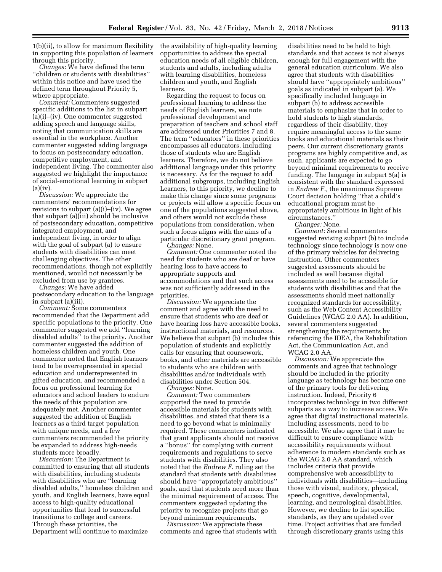1(b)(ii), to allow for maximum flexibility in supporting this population of learners through this priority.

*Changes:* We have defined the term ''children or students with disabilities'' within this notice and have used the defined term throughout Priority 5, where appropriate.

*Comment:* Commenters suggested specific additions to the list in subpart (a)(i)–(iv). One commenter suggested adding speech and language skills, noting that communication skills are essential in the workplace. Another commenter suggested adding language to focus on postsecondary education, competitive employment, and independent living. The commenter also suggested we highlight the importance of social-emotional learning in subpart  $(a)(iv)$ .

*Discussion:* We appreciate the commenters' recommendations for revisions to subpart (a)(i)–(iv). We agree that subpart (a)(iii) should be inclusive of postsecondary education, competitive integrated employment, and independent living, in order to align with the goal of subpart (a) to ensure students with disabilities can meet challenging objectives. The other recommendations, though not explicitly mentioned, would not necessarily be excluded from use by grantees.

*Changes:* We have added postsecondary education to the language in subpart (a)(iii).

*Comment:* Some commenters recommended that the Department add specific populations to the priority. One commenter suggested we add ''learning disabled adults'' to the priority. Another commenter suggested the addition of homeless children and youth. One commenter noted that English learners tend to be overrepresented in special education and underrepresented in gifted education, and recommended a focus on professional learning for educators and school leaders to endure the needs of this population are adequately met. Another commenter suggested the addition of English learners as a third target population with unique needs, and a few commenters recommended the priority be expanded to address high-needs students more broadly.

*Discussion:* The Department is committed to ensuring that all students with disabilities, including students with disabilities who are ''learning disabled adults,'' homeless children and youth, and English learners, have equal access to high-quality educational opportunities that lead to successful transitions to college and careers. Through these priorities, the Department will continue to maximize

the availability of high-quality learning opportunities to address the special education needs of all eligible children, students and adults, including adults with learning disabilities, homeless children and youth, and English learners.

Regarding the request to focus on professional learning to address the needs of English learners, we note professional development and preparation of teachers and school staff are addressed under Priorities 7 and 8. The term ''educators'' in these priorities encompasses all educators, including those of students who are English learners. Therefore, we do not believe additional language under this priority is necessary. As for the request to add additional subgroups, including English Learners, to this priority, we decline to make this change since some programs or projects will allow a specific focus on one of the populations suggested above, and others would not exclude these populations from consideration, when such a focus aligns with the aims of a particular discretionary grant program. *Changes:* None.

*Comment:* One commenter noted the need for students who are deaf or have hearing loss to have access to appropriate supports and accommodations and that such access was not sufficiently addressed in the priorities.

*Discussion:* We appreciate the comment and agree with the need to ensure that students who are deaf or have hearing loss have accessible books, instructional materials, and resources. We believe that subpart (b) includes this population of students and explicitly calls for ensuring that coursework, books, and other materials are accessible to students who are children with disabilities and/or individuals with disabilities under Section 504.

*Changes:* None.

*Comment:* Two commenters supported the need to provide accessible materials for students with disabilities, and stated that there is a need to go beyond what is minimally required. These commenters indicated that grant applicants should not receive a ''bonus'' for complying with current requirements and regulations to serve students with disabilities. They also noted that the *Endrew F.* ruling set the standard that students with disabilities should have ''appropriately ambitious'' goals, and that students need more than the minimal requirement of access. The commenters suggested updating the priority to recognize projects that go beyond minimum requirements.

*Discussion:* We appreciate these comments and agree that students with

disabilities need to be held to high standards and that access is not always enough for full engagement with the general education curriculum. We also agree that students with disabilities should have ''appropriately ambitious'' goals as indicated in subpart (a). We specifically included language in subpart (b) to address accessible materials to emphasize that in order to hold students to high standards, regardless of their disability, they require meaningful access to the same books and educational materials as their peers. Our current discretionary grants programs are highly competitive and, as such, applicants are expected to go beyond minimal requirements to receive funding. The language in subpart 5(a) is consistent with the standard expressed in *Endrew F.,* the unanimous Supreme Court decision holding ''that a child's educational program must be appropriately ambitious in light of his circumstances.''

*Changes:* None.

*Comment:* Several commenters suggested revising subpart (b) to include technology since technology is now one of the primary vehicles for delivering instruction. Other commenters suggested assessments should be included as well because digital assessments need to be accessible for students with disabilities and that the assessments should meet nationally recognized standards for accessibility, such as the Web Content Accessibility Guidelines (WCAG 2.0 AA). In addition, several commenters suggested strengthening the requirements by referencing the IDEA, the Rehabilitation Act, the Communication Act, and WCAG 2.0 AA.

*Discussion:* We appreciate the comments and agree that technology should be included in the priority language as technology has become one of the primary tools for delivering instruction. Indeed, Priority 6 incorporates technology in two different subparts as a way to increase access. We agree that digital instructional materials, including assessments, need to be accessible. We also agree that it may be difficult to ensure compliance with accessibility requirements without adherence to modern standards such as the WCAG 2.0 AA standard, which includes criteria that provide comprehensive web accessibility to individuals with disabilities—including those with visual, auditory, physical, speech, cognitive, developmental, learning, and neurological disabilities. However, we decline to list specific standards, as they are updated over time. Project activities that are funded through discretionary grants using this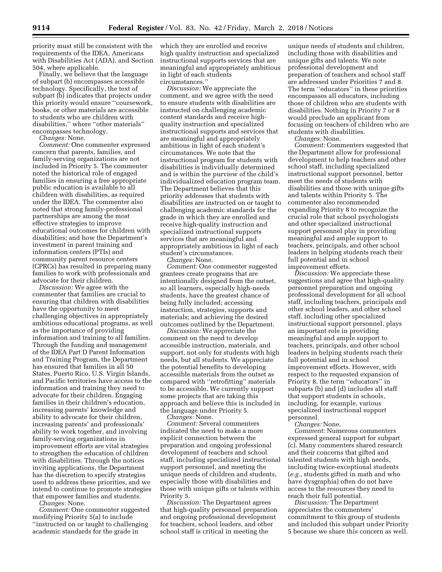priority must still be consistent with the requirements of the IDEA, Americans with Disabilities Act (ADA), and Section 504, where applicable.

Finally, we believe that the language of subpart (b) encompasses accessible technology. Specifically, the text of subpart (b) indicates that projects under this priority would ensure ''coursework, books, or other materials are accessible to students who are children with disabilities,'' where ''other materials'' encompasses technology.

*Changes:* None.

*Comment:* One commenter expressed concern that parents, families, and family-serving organizations are not included in Priority 5. The commenter noted the historical role of engaged families in ensuring a free appropriate public education is available to all children with disabilities, as required under the IDEA. The commenter also noted that strong family-professional partnerships are among the most effective strategies to improve educational outcomes for children with disabilities; and how the Department's investment in parent training and information centers (PTIs) and community parent resource centers (CPRCs) has resulted in preparing many families to work with professionals and advocate for their children.

*Discussion:* We agree with the commenter that families are crucial to ensuring that children with disabilities have the opportunity to meet challenging objectives in appropriately ambitious educational programs, as well as the importance of providing information and training to all families. Through the funding and management of the IDEA Part D Parent Information and Training Program, the Department has ensured that families in all 50 States, Puerto Rico, U.S. Virgin Islands, and Pacific territories have access to the information and training they need to advocate for their children. Engaging families in their children's education, increasing parents' knowledge and ability to advocate for their children, increasing parents' and professionals' ability to work together, and involving family-serving organizations in improvement efforts are vital strategies to strengthen the education of children with disabilities. Through the notices inviting applications, the Department has the discretion to specify strategies used to address these priorities, and we intend to continue to promote strategies that empower families and students.

*Changes:* None.

*Comment:* One commenter suggested modifying Priority 5(a) to include ''instructed on or taught to challenging academic standards for the grade in

which they are enrolled and receive high quality instruction and specialized instructional supports services that are meaningful and appropriately ambitious in light of each students circumstances.''

*Discussion:* We appreciate the comment, and we agree with the need to ensure students with disabilities are instructed on challenging academic content standards and receive highquality instruction and specialized instructional supports and services that are meaningful and appropriately ambitious in light of each student's circumstances. We note that the instructional program for students with disabilities is individually determined and is within the purview of the child's individualized education program team. The Department believes that this priority addresses that students with disabilities are instructed on or taught to challenging academic standards for the grade in which they are enrolled and receive high-quality instruction and specialized instructional supports services that are meaningful and appropriately ambitious in light of each student's circumstances. *Changes:* None.

*Comment:* One commenter suggested grantees create programs that are intentionally designed from the outset, so all learners, especially high-needs students, have the greatest chance of being fully included; accessing instruction, strategies, supports and materials; and achieving the desired outcomes outlined by the Department.

*Discussion:* We appreciate the comment on the need to develop accessible instruction, materials, and support, not only for students with high needs, but all students. We appreciate the potential benefits to developing accessible materials from the outset as compared with ''retrofitting'' materials to be accessible. We currently support some projects that are taking this approach and believe this is included in the language under Priority 5.

*Changes:* None. *Comment:* Several commenters indicated the need to make a more explicit connection between the preparation and ongoing professional development of teachers and school staff, including specialized instructional support personnel, and meeting the unique needs of children and students, especially those with disabilities and those with unique gifts or talents within Priority 5.

*Discussion:* The Department agrees that high-quality personnel preparation and ongoing professional development for teachers, school leaders, and other school staff is critical in meeting the

unique needs of students and children, including those with disabilities and unique gifts and talents. We note professional development and preparation of teachers and school staff are addressed under Priorities 7 and 8. The term ''educators'' in these priorities encompasses all educators, including those of children who are students with disabilities. Nothing in Priority 7 or 8 would preclude an applicant from focusing on teachers of children who are students with disabilities.

*Changes:* None.

*Comment:* Commenters suggested that the Department allow for professional development to help teachers and other school staff, including specialized instructional support personnel, better meet the needs of students with disabilities and those with unique gifts and talents within Priority 5. The commenter also recommended expanding Priority 8 to recognize the crucial role that school psychologists and other specialized instructional support personnel play in providing meaningful and ample support to teachers, principals, and other school leaders in helping students reach their full potential and in school improvement efforts.

*Discussion:* We appreciate these suggestions and agree that high-quality personnel preparation and ongoing professional development for all school staff, including teachers, principals and other school leaders, and other school staff, including other specialized instructional support personnel, plays an important role in providing meaningful and ample support to teachers, principals, and other school leaders in helping students reach their full potential and in school improvement efforts. However, with respect to the requested expansion of Priority 8, the term ''educators'' in subparts (b) and (d) includes all staff that support students in schools, including, for example, various specialized instructional support personnel.

*Changes:* None.

*Comment:* Numerous commenters expressed general support for subpart (c). Many commenters shared research and their concerns that gifted and talented students with high needs, including twice-exceptional students (*e.g.,* students gifted in math and who have dysgraphia) often do not have access to the resources they need to reach their full potential.

*Discussion:* The Department appreciates the commenters' commitment to this group of students and included this subpart under Priority 5 because we share this concern as well.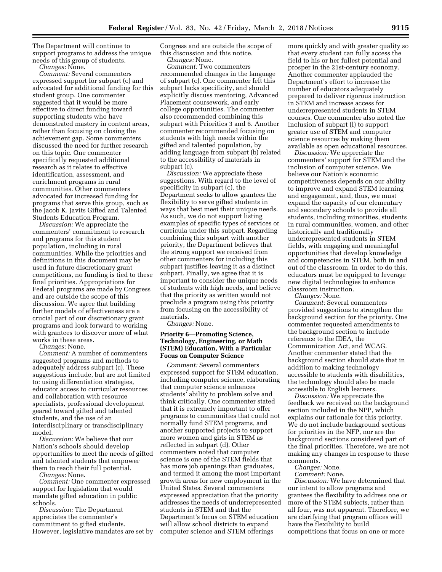The Department will continue to support programs to address the unique needs of this group of students.

*Changes:* None. *Comment:* Several commenters expressed support for subpart (c) and advocated for additional funding for this student group. One commenter suggested that it would be more effective to direct funding toward supporting students who have demonstrated mastery in content areas, rather than focusing on closing the achievement gap. Some commenters discussed the need for further research on this topic. One commenter specifically requested additional research as it relates to effective identification, assessment, and enrichment programs in rural communities. Other commenters advocated for increased funding for programs that serve this group, such as the Jacob K. Javits Gifted and Talented Students Education Program.

*Discussion:* We appreciate the commenters' commitment to research and programs for this student population, including in rural communities. While the priorities and definitions in this document may be used in future discretionary grant competitions, no funding is tied to these final priorities. Appropriations for Federal programs are made by Congress and are outside the scope of this discussion. We agree that building further models of effectiveness are a crucial part of our discretionary grant programs and look forward to working with grantees to discover more of what works in these areas.

*Changes:* None.

*Comment:* A number of commenters suggested programs and methods to adequately address subpart (c). These suggestions include, but are not limited to: using differentiation strategies, educator access to curricular resources and collaboration with resource specialists, professional development geared toward gifted and talented students, and the use of an interdisciplinary or transdisciplinary model.

*Discussion:* We believe that our Nation's schools should develop opportunities to meet the needs of gifted and talented students that empower them to reach their full potential.

*Changes:* None.

*Comment:* One commenter expressed support for legislation that would mandate gifted education in public schools.

*Discussion:* The Department appreciates the commenter's commitment to gifted students. However, legislative mandates are set by Congress and are outside the scope of this discussion and this notice. *Changes:* None.

*Comment:* Two commenters recommended changes in the language of subpart (c). One commenter felt this subpart lacks specificity, and should explicitly discuss mentoring, Advanced Placement coursework, and early college opportunities. The commenter also recommended combining this subpart with Priorities 3 and 6. Another commenter recommended focusing on students with high needs within the gifted and talented population, by adding language from subpart (b) related to the accessibility of materials in subpart (c).

*Discussion:* We appreciate these suggestions. With regard to the level of specificity in subpart (c), the Department seeks to allow grantees the flexibility to serve gifted students in ways that best meet their unique needs. As such, we do not support listing examples of specific types of services or curricula under this subpart. Regarding combining this subpart with another priority, the Department believes that the strong support we received from other commenters for including this subpart justifies leaving it as a distinct subpart. Finally, we agree that it is important to consider the unique needs of students with high needs, and believe that the priority as written would not preclude a program using this priority from focusing on the accessibility of materials.

*Changes:* None.

# **Priority 6—Promoting Science, Technology, Engineering, or Math (STEM) Education, With a Particular Focus on Computer Science**

*Comment:* Several commenters expressed support for STEM education, including computer science, elaborating that computer science enhances students' ability to problem solve and think critically. One commenter stated that it is extremely important to offer programs to communities that could not normally fund STEM programs, and another supported projects to support more women and girls in STEM as reflected in subpart (d). Other commenters noted that computer science is one of the STEM fields that has more job openings than graduates, and termed it among the most important growth areas for new employment in the United States. Several commenters expressed appreciation that the priority addresses the needs of underrepresented students in STEM and that the Department's focus on STEM education will allow school districts to expand computer science and STEM offerings

more quickly and with greater quality so that every student can fully access the field to his or her fullest potential and prosper in the 21st-century economy. Another commenter applauded the Department's effort to increase the number of educators adequately prepared to deliver rigorous instruction in STEM and increase access for underrepresented students in STEM courses. One commenter also noted the inclusion of subpart (l) to support greater use of STEM and computer science resources by making them available as open educational resources.

*Discussion:* We appreciate the commenters' support for STEM and the inclusion of computer science. We believe our Nation's economic competitiveness depends on our ability to improve and expand STEM learning and engagement, and, thus, we must expand the capacity of our elementary and secondary schools to provide all students, including minorities, students in rural communities, women, and other historically and traditionally underrepresented students in STEM fields, with engaging and meaningful opportunities that develop knowledge and competencies in STEM, both in and out of the classroom. In order to do this, educators must be equipped to leverage new digital technologies to enhance classroom instruction.

*Changes:* None.

*Comment:* Several commenters provided suggestions to strengthen the background section for the priority. One commenter requested amendments to the background section to include reference to the IDEA, the Communication Act, and WCAG. Another commenter stated that the background section should state that in addition to making technology accessible to students with disabilities, the technology should also be made accessible to English learners.

*Discussion:* We appreciate the feedback we received on the background section included in the NPP, which explains our rationale for this priority. We do not include background sections for priorities in the NFP, nor are the background sections considered part of the final priorities. Therefore, we are not making any changes in response to these comments.

*Changes:* None.

*Comment:* None.

*Discussion:* We have determined that our intent to allow programs and grantees the flexibility to address one or more of the STEM subjects, rather than all four, was not apparent. Therefore, we are clarifying that program offices will have the flexibility to build competitions that focus on one or more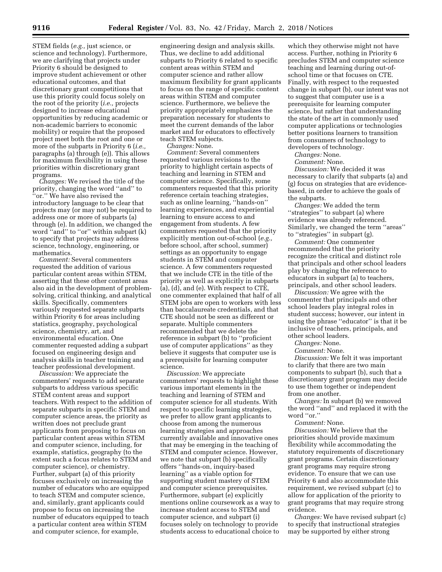STEM fields (*e.g.,* just science, or science and technology). Furthermore, we are clarifying that projects under Priority 6 should be designed to improve student achievement or other educational outcomes, and that discretionary grant competitions that use this priority could focus solely on the root of the priority (*i.e.,* projects designed to increase educational opportunities by reducing academic or non-academic barriers to economic mobility) or require that the proposed project meet both the root and one or more of the subparts in Priority 6 (*i.e.,*  paragraphs (a) through (e)). This allows for maximum flexibility in using these priorities within discretionary grant programs.

*Changes:* We revised the title of the priority, changing the word ''and'' to ''or.'' We have also revised the introductory language to be clear that projects may (or may not) be required to address one or more of subparts (a) through (e). In addition, we changed the word "and" to "or" within subpart (k) to specify that projects may address science, technology, engineering, or mathematics.

*Comment:* Several commenters requested the addition of various particular content areas within STEM, asserting that these other content areas also aid in the development of problemsolving, critical thinking, and analytical skills. Specifically, commenters variously requested separate subparts within Priority 6 for areas including statistics, geography, psychological science, chemistry, art, and environmental education. One commenter requested adding a subpart focused on engineering design and analysis skills in teacher training and teacher professional development.

*Discussion:* We appreciate the commenters' requests to add separate subparts to address various specific STEM content areas and support teachers. With respect to the addition of separate subparts in specific STEM and computer science areas, the priority as written does not preclude grant applicants from proposing to focus on particular content areas within STEM and computer science, including, for example, statistics, geography (to the extent such a focus relates to STEM and computer science), or chemistry. Further, subpart (a) of this priority focuses exclusively on increasing the number of educators who are equipped to teach STEM and computer science, and, similarly, grant applicants could propose to focus on increasing the number of educators equipped to teach a particular content area within STEM and computer science, for example,

engineering design and analysis skills. Thus, we decline to add additional subparts to Priority 6 related to specific content areas within STEM and computer science and rather allow maximum flexibility for grant applicants to focus on the range of specific content areas within STEM and computer science. Furthermore, we believe the priority appropriately emphasizes the preparation necessary for students to meet the current demands of the labor market and for educators to effectively teach STEM subjects.

*Changes:* None.

*Comment:* Several commenters requested various revisions to the priority to highlight certain aspects of teaching and learning in STEM and computer science. Specifically, some commenters requested that this priority reference certain teaching strategies, such as online learning, ''hands-on'' learning experiences, and experiential learning to ensure access to and engagement from students. A few commenters requested that the priority explicitly mention out-of-school (*e.g.,*  before school, after school, summer) settings as an opportunity to engage students in STEM and computer science. A few commenters requested that we include CTE in the title of the priority as well as explicitly in subparts (a), (d), and (e). With respect to CTE, one commenter explained that half of all STEM jobs are open to workers with less than baccalaureate credentials, and that CTE should not be seen as different or separate. Multiple commenters recommended that we delete the reference in subpart (b) to ''proficient use of computer applications'' as they believe it suggests that computer use is a prerequisite for learning computer science.

*Discussion:* We appreciate commenters' requests to highlight these various important elements in the teaching and learning of STEM and computer science for all students. With respect to specific learning strategies, we prefer to allow grant applicants to choose from among the numerous learning strategies and approaches currently available and innovative ones that may be emerging in the teaching of STEM and computer science. However, we note that subpart (b) specifically offers ''hands-on, inquiry-based learning'' as a viable option for supporting student mastery of STEM and computer science prerequisites. Furthermore, subpart (e) explicitly mentions online coursework as a way to increase student access to STEM and computer science, and subpart (i) focuses solely on technology to provide students access to educational choice to

which they otherwise might not have access. Further, nothing in Priority 6 precludes STEM and computer science teaching and learning during out-ofschool time or that focuses on CTE. Finally, with respect to the requested change in subpart (b), our intent was not to suggest that computer use is a prerequisite for learning computer science, but rather that understanding the state of the art in commonly used computer applications or technologies better positions learners to transition from consumers of technology to developers of technology.

*Changes:* None.

*Comment:* None.

*Discussion:* We decided it was necessary to clarify that subparts (a) and (g) focus on strategies that are evidencebased, in order to achieve the goals of the subparts.

*Changes:* We added the term ''strategies'' to subpart (a) where evidence was already referenced. Similarly, we changed the term ''areas'' to ''strategies'' in subpart (g).

*Comment:* One commenter recommended that the priority recognize the critical and distinct role that principals and other school leaders play by changing the reference to educators in subpart (a) to teachers, principals, and other school leaders.

*Discussion:* We agree with the commenter that principals and other school leaders play integral roles in student success; however, our intent in using the phrase ''educator'' is that it be inclusive of teachers, principals, and other school leaders.

*Changes:* None.

*Comment:* None.

*Discussion:* We felt it was important to clarify that there are two main components to subpart (b), such that a discretionary grant program may decide to use them together or independent from one another.

*Changes:* In subpart (b) we removed the word ''and'' and replaced it with the word ''or.''

*Comment:* None.

*Discussion:* We believe that the priorities should provide maximum flexibility while accommodating the statutory requirements of discretionary grant programs. Certain discretionary grant programs may require strong evidence. To ensure that we can use Priority 6 and also accommodate this requirement, we revised subpart (c) to allow for application of the priority to grant programs that may require strong evidence.

*Changes:* We have revised subpart (c) to specify that instructional strategies may be supported by either strong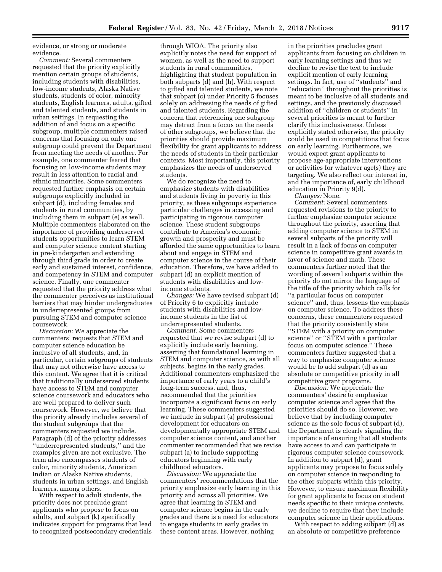evidence, or strong or moderate evidence.

*Comment:* Several commenters requested that the priority explicitly mention certain groups of students, including students with disabilities, low-income students, Alaska Native students, students of color, minority students, English learners, adults, gifted and talented students, and students in urban settings. In requesting the addition of and focus on a specific subgroup, multiple commenters raised concerns that focusing on only one subgroup could prevent the Department from meeting the needs of another. For example, one commenter feared that focusing on low-income students may result in less attention to racial and ethnic minorities. Some commenters requested further emphasis on certain subgroups explicitly included in subpart (d), including females and students in rural communities, by including them in subpart (e) as well. Multiple commenters elaborated on the importance of providing underserved students opportunities to learn STEM and computer science content starting in pre-kindergarten and extending through third grade in order to create early and sustained interest, confidence, and competency in STEM and computer science. Finally, one commenter requested that the priority address what the commenter perceives as institutional barriers that may hinder undergraduates in underrepresented groups from pursuing STEM and computer science coursework.

*Discussion:* We appreciate the commenters' requests that STEM and computer science education be inclusive of all students, and, in particular, certain subgroups of students that may not otherwise have access to this content. We agree that it is critical that traditionally underserved students have access to STEM and computer science coursework and educators who are well prepared to deliver such coursework. However, we believe that the priority already includes several of the student subgroups that the commenters requested we include. Paragraph (d) of the priority addresses ''underrepresented students,'' and the examples given are not exclusive. The term also encompasses students of color, minority students, American Indian or Alaska Native students, students in urban settings, and English learners, among others.

With respect to adult students, the priority does not preclude grant applicants who propose to focus on adults, and subpart (k) specifically indicates support for programs that lead to recognized postsecondary credentials through WIOA. The priority also explicitly notes the need for support of women, as well as the need to support students in rural communities, highlighting that student population in both subparts (d) and (h). With respect to gifted and talented students, we note that subpart (c) under Priority 5 focuses solely on addressing the needs of gifted and talented students. Regarding the concern that referencing one subgroup may detract from a focus on the needs of other subgroups, we believe that the priorities should provide maximum flexibility for grant applicants to address the needs of students in their particular contexts. Most importantly, this priority emphasizes the needs of underserved students.

We do recognize the need to emphasize students with disabilities and students living in poverty in this priority, as these subgroups experience particular challenges in accessing and participating in rigorous computer science. These student subgroups contribute to America's economic growth and prosperity and must be afforded the same opportunities to learn about and engage in STEM and computer science in the course of their education. Therefore, we have added to subpart (d) an explicit mention of students with disabilities and lowincome students.

*Changes:* We have revised subpart (d) of Priority 6 to explicitly include students with disabilities and lowincome students in the list of underrepresented students.

*Comment:* Some commenters requested that we revise subpart (d) to explicitly include early learning, asserting that foundational learning in STEM and computer science, as with all subjects, begins in the early grades. Additional commenters emphasized the importance of early years to a child's long-term success, and, thus, recommended that the priorities incorporate a significant focus on early learning. These commenters suggested we include in subpart (a) professional development for educators on developmentally appropriate STEM and computer science content, and another commenter recommended that we revise subpart (a) to include supporting educators beginning with early childhood educators.

*Discussion:* We appreciate the commenters' recommendations that the priority emphasize early learning in this priority and across all priorities. We agree that learning in STEM and computer science begins in the early grades and there is a need for educators to engage students in early grades in these content areas. However, nothing

in the priorities precludes grant applicants from focusing on children in early learning settings and thus we decline to revise the text to include explicit mention of early learning settings. In fact, use of ''students'' and ''education'' throughout the priorities is meant to be inclusive of all students and settings, and the previously discussed addition of ''children or students'' in several priorities is meant to further clarify this inclusiveness. Unless explicitly stated otherwise, the priority could be used in competitions that focus on early learning. Furthermore, we would expect grant applicants to propose age-appropriate interventions or activities for whatever age(s) they are targeting. We also reflect our interest in, and the importance of, early childhood education in Priority 9(d).

*Changes:* None.

*Comment:* Several commenters requested revisions to the priority to further emphasize computer science throughout the priority, asserting that adding computer science to STEM in several subparts of the priority will result in a lack of focus on computer science in competitive grant awards in favor of science and math. These commenters further noted that the wording of several subparts within the priority do not mirror the language of the title of the priority which calls for ''a particular focus on computer science'' and, thus, lessens the emphasis on computer science. To address these concerns, these commenters requested that the priority consistently state ''STEM with a priority on computer science'' or ''STEM with a particular focus on computer science.'' These commenters further suggested that a way to emphasize computer science would be to add subpart (d) as an absolute or competitive priority in all competitive grant programs.

*Discussion:* We appreciate the commenters' desire to emphasize computer science and agree that the priorities should do so. However, we believe that by including computer science as the sole focus of subpart (d), the Department is clearly signaling the importance of ensuring that all students have access to and can participate in rigorous computer science coursework. In addition to subpart (d), grant applicants may propose to focus solely on computer science in responding to the other subparts within this priority. However, to ensure maximum flexibility for grant applicants to focus on student needs specific to their unique contexts, we decline to require that they include computer science in their applications.

With respect to adding subpart (d) as an absolute or competitive preference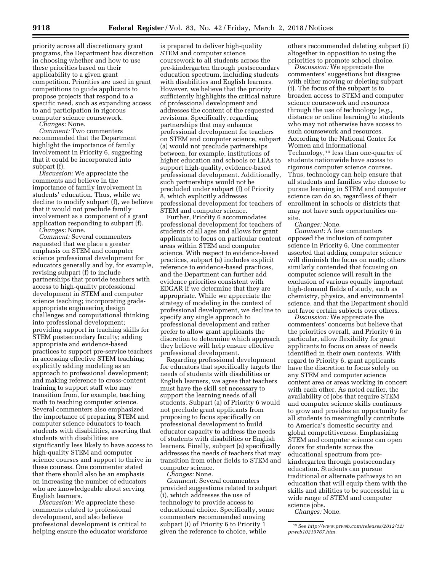priority across all discretionary grant programs, the Department has discretion in choosing whether and how to use these priorities based on their applicability to a given grant competition. Priorities are used in grant competitions to guide applicants to propose projects that respond to a specific need, such as expanding access to and participation in rigorous computer science coursework.

*Changes:* None.

*Comment:* Two commenters recommended that the Department highlight the importance of family involvement in Priority 6, suggesting that it could be incorporated into subpart (f).

*Discussion:* We appreciate the comments and believe in the importance of family involvement in students' education. Thus, while we decline to modify subpart (f), we believe that it would not preclude family involvement as a component of a grant application responding to subpart (f).

*Changes:* None.

*Comment:* Several commenters requested that we place a greater emphasis on STEM and computer science professional development for educators generally and by, for example, revising subpart (f) to include partnerships that provide teachers with access to high-quality professional development in STEM and computer science teaching; incorporating gradeappropriate engineering design challenges and computational thinking into professional development; providing support in teaching skills for STEM postsecondary faculty; adding appropriate and evidence-based practices to support pre-service teachers in accessing effective STEM teaching; explicitly adding modeling as an approach to professional development; and making reference to cross-content training to support staff who may transition from, for example, teaching math to teaching computer science. Several commenters also emphasized the importance of preparing STEM and computer science educators to teach students with disabilities, asserting that students with disabilities are significantly less likely to have access to high-quality STEM and computer science courses and support to thrive in these courses. One commenter stated that there should also be an emphasis on increasing the number of educators who are knowledgeable about serving English learners.

*Discussion:* We appreciate these comments related to professional development, and also believe professional development is critical to helping ensure the educator workforce

is prepared to deliver high-quality STEM and computer science coursework to all students across the pre-kindergarten through postsecondary education spectrum, including students with disabilities and English learners. However, we believe that the priority sufficiently highlights the critical nature of professional development and addresses the content of the requested revisions. Specifically, regarding partnerships that may enhance professional development for teachers on STEM and computer science, subpart (a) would not preclude partnerships between, for example, institutions of higher education and schools or LEAs to support high-quality, evidence-based professional development. Additionally, such partnerships would not be precluded under subpart (f) of Priority 8, which explicitly addresses professional development for teachers of STEM and computer science.

Further, Priority 6 accommodates professional development for teachers of students of all ages and allows for grant applicants to focus on particular content areas within STEM and computer science. With respect to evidence-based practices, subpart (a) includes explicit reference to evidence-based practices, and the Department can further add evidence priorities consistent with EDGAR if we determine that they are appropriate. While we appreciate the strategy of modeling in the context of professional development, we decline to specify any single approach to professional development and rather prefer to allow grant applicants the discretion to determine which approach they believe will help ensure effective professional development.

Regarding professional development for educators that specifically targets the needs of students with disabilities or English learners, we agree that teachers must have the skill set necessary to support the learning needs of all students. Subpart (a) of Priority 6 would not preclude grant applicants from proposing to focus specifically on professional development to build educator capacity to address the needs of students with disabilities or English learners. Finally, subpart (a) specifically addresses the needs of teachers that may transition from other fields to STEM and computer science.

*Changes:* None. *Comment:* Several commenters provided suggestions related to subpart (i), which addresses the use of technology to provide access to educational choice. Specifically, some commenters recommended moving subpart (i) of Priority 6 to Priority 1

given the reference to choice, while

others recommended deleting subpart (i) altogether in opposition to using the priorities to promote school choice.

*Discussion:* We appreciate the commenters' suggestions but disagree with either moving or deleting subpart (i). The focus of the subpart is to broaden access to STEM and computer science coursework and resources through the use of technology (*e.g.,*  distance or online learning) to students who may not otherwise have access to such coursework and resources. According to the National Center for Women and Informational Technology,19 less than one-quarter of students nationwide have access to rigorous computer science courses. Thus, technology can help ensure that all students and families who choose to pursue learning in STEM and computer science can do so, regardless of their enrollment in schools or districts that may not have such opportunities onsite.

*Changes:* None.

*Comment:* A few commenters opposed the inclusion of computer science in Priority 6. One commenter asserted that adding computer science will diminish the focus on math; others similarly contended that focusing on computer science will result in the exclusion of various equally important high-demand fields of study, such as chemistry, physics, and environmental science, and that the Department should not favor certain subjects over others.

*Discussion:* We appreciate the commenters' concerns but believe that the priorities overall, and Priority 6 in particular, allow flexibility for grant applicants to focus on areas of needs identified in their own contexts. With regard to Priority 6, grant applicants have the discretion to focus solely on any STEM and computer science content area or areas working in concert with each other. As noted earlier, the availability of jobs that require STEM and computer science skills continues to grow and provides an opportunity for all students to meaningfully contribute to America's domestic security and global competitiveness. Emphasizing STEM and computer science can open doors for students across the educational spectrum from prekindergarten through postsecondary education. Students can pursue traditional or alternate pathways to an education that will equip them with the skills and abilities to be successful in a wide range of STEM and computer science jobs.

*Changes:* None.

<sup>19</sup>See *[http://www.prweb.com/releases/2012/12/](http://www.prweb.com/releases/2012/12/prweb10219767.htm)  [prweb10219767.htm.](http://www.prweb.com/releases/2012/12/prweb10219767.htm)*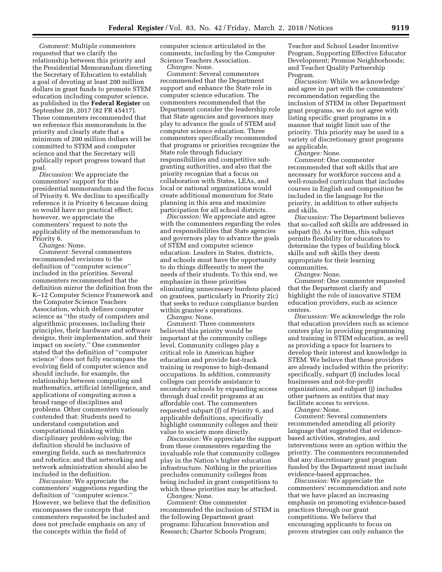*Comment:* Multiple commenters requested that we clarify the relationship between this priority and the Presidential Memorandum directing the Secretary of Education to establish a goal of devoting at least 200 million dollars in grant funds to promote STEM education including computer science, as published in the **Federal Register** on September 28, 2017 (82 FR 45417). These commenters recommended that we reference this memorandum in the priority and clearly state that a minimum of 200 million dollars will be committed to STEM and computer science and that the Secretary will publically report progress toward that goal.

*Discussion:* We appreciate the commenters' support for this presidential memorandum and the focus of Priority 6. We decline to specifically reference it in Priority 6 because doing so would have no practical effect; however, we appreciate the commenters' request to note the applicability of the memorandum to Priority 6.

*Changes:* None.

*Comment:* Several commenters recommended revisions to the definition of ''computer science'' included in the priorities. Several commenters recommended that the definition mirror the definition from the K–12 Computer Science Framework and the Computer Science Teachers Association, which defines computer science as ''the study of computers and algorithmic processes, including their principles, their hardware and software designs, their implementation, and their impact on society.'' One commenter stated that the definition of ''computer science'' does not fully encompass the evolving field of computer science and should include, for example, the relationship between computing and mathematics, artificial intelligence, and applications of computing across a broad range of disciplines and problems. Other commenters variously contended that: Students need to understand computation and computational thinking within disciplinary problem-solving; the definition should be inclusive of emerging fields, such as mechatronics and robotics; and that networking and network administration should also be included in the definition.

*Discussion:* We appreciate the commenters' suggestions regarding the definition of ''computer science.'' However, we believe that the definition encompasses the concepts that commenters requested be included and does not preclude emphasis on any of the concepts within the field of

computer science articulated in the comments, including by the Computer Science Teachers Association.

*Changes:* None.

*Comment:* Several commenters recommended that the Department support and enhance the State role in computer science education. The commenters recommended that the Department consider the leadership role that State agencies and governors may play to advance the goals of STEM and computer science education. Three commenters specifically recommended that programs or priorities recognize the State role through fiduciary responsibilities and competitive subgranting authorities, and also that the priority recognize that a focus on collaboration with States, LEAs, and local or national organizations would create additional momentum for State planning in this area and maximize participation for all school districts.

*Discussion:* We appreciate and agree with the commenters regarding the roles and responsibilities that State agencies and governors play to advance the goals of STEM and computer science education. Leaders in States, districts, and schools must have the opportunity to do things differently to meet the needs of their students. To this end, we emphasize in these priorities eliminating unnecessary burdens placed on grantees, particularly in Priority 2(c) that seeks to reduce compliance burden within grantee's operations.

*Changes:* None.

*Comment:* Three commenters believed this priority would be important at the community college level. Community colleges play a critical role in American higher education and provide fast-track training in response to high-demand occupations. In addition, community colleges can provide assistance to secondary schools by expanding access through dual credit programs at an affordable cost. The commenters requested subpart (f) of Priority 6, and applicable definitions, specifically highlight community colleges and their value to society more directly.

*Discussion:* We appreciate the support from these commenters regarding the invaluable role that community colleges play in the Nation's higher education infrastructure. Nothing in the priorities precludes community colleges from being included in grant competitions to which these priorities may be attached. *Changes:* None.

*Comment:* One commenter recommended the inclusion of STEM in the following Department grant programs: Education Innovation and Research; Charter Schools Program;

Teacher and School Leader Incentive Program, Supporting Effective Educator Development; Promise Neighborhoods; and Teacher Quality Partnership Program.

*Discussion:* While we acknowledge and agree in part with the commenters' recommendation regarding the inclusion of STEM in other Department grant programs, we do not agree with listing specific grant programs in a manner that might limit use of the priority. This priority may be used in a variety of discretionary grant programs as applicable.

*Changes:* None.

*Comment:* One commenter recommended that soft skills that are necessary for workforce success and a well-rounded curriculum that includes courses in English and composition be included in the language for the priority, in addition to other subjects and skills.

*Discussion:* The Department believes that so-called soft skills are addressed in subpart (b). As written, this subpart permits flexibility for educators to determine the types of building block skills and soft skills they deem appropriate for their learning communities.

*Changes:* None.

*Comment:* One commenter requested that the Department clarify and highlight the role of innovative STEM education providers, such as science centers.

*Discussion:* We acknowledge the role that education providers such as science centers play in providing programming and training in STEM education, as well as providing a space for learners to develop their interest and knowledge in STEM. We believe that these providers are already included within the priority; specifically, subpart (f) includes local businesses and not-for-profit organizations, and subpart (j) includes other partners as entities that may facilitate access to services.

*Changes:* None.

*Comment:* Several commenters recommended amending all priority language that suggested that evidencebased activities, strategies, and interventions were an option within the priority. The commenters recommended that any discretionary grant program funded by the Department must include evidence-based approaches.

*Discussion:* We appreciate the commenters' recommendation and note that we have placed an increasing emphasis on promoting evidence-based practices through our grant competitions. We believe that encouraging applicants to focus on proven strategies can only enhance the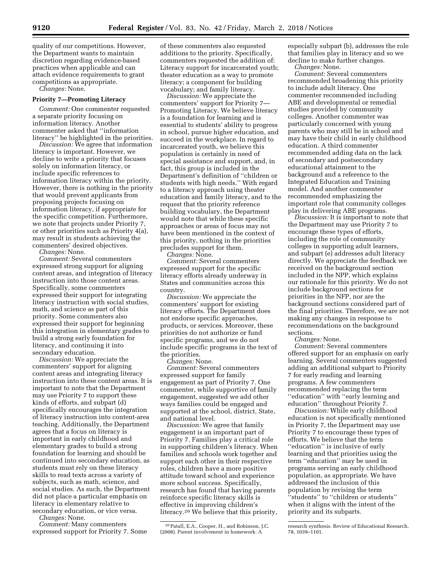quality of our competitions. However, the Department wants to maintain discretion regarding evidence-based practices when applicable and can attach evidence requirements to grant competitions as appropriate.

*Changes:* None.

#### **Priority 7—Promoting Literacy**

*Comment:* One commenter requested a separate priority focusing on information literacy. Another commenter asked that ''information literacy'' be highlighted in the priorities.

*Discussion:* We agree that information literacy is important. However, we decline to write a priority that focuses solely on information literacy, or include specific references to information literacy within the priority. However, there is nothing in the priority that would prevent applicants from proposing projects focusing on information literacy, if appropriate for the specific competition. Furthermore, we note that projects under Priority 7, or other priorities such as Priority 4(a), may result in students achieving the commenters' desired objectives.

*Changes:* None.

*Comment:* Several commenters expressed strong support for aligning content areas, and integration of literacy instruction into those content areas. Specifically, some commenters expressed their support for integrating literacy instruction with social studies, math, and science as part of this priority. Some commenters also expressed their support for beginning this integration in elementary grades to build a strong early foundation for literacy, and continuing it into secondary education.

*Discussion:* We appreciate the commenters' support for aligning content areas and integrating literacy instruction into these content areas. It is important to note that the Department may use Priority 7 to support these kinds of efforts, and subpart (d) specifically encourages the integration of literacy instruction into content-area teaching. Additionally, the Department agrees that a focus on literacy is important in early childhood and elementary grades to build a strong foundation for learning and should be continued into secondary education, as students must rely on these literacy skills to read texts across a variety of subjects, such as math, science, and social studies. As such, the Department did not place a particular emphasis on literacy in elementary relative to secondary education, or vice versa.

*Changes:* None.

*Comment:* Many commenters expressed support for Priority 7. Some of these commenters also requested additions to the priority. Specifically, commenters requested the addition of: Literacy support for incarcerated youth; theater education as a way to promote literacy; a component for building vocabulary; and family literacy.

*Discussion:* We appreciate the commenters' support for Priority 7— Promoting Literacy. We believe literacy is a foundation for learning and is essential to students' ability to progress in school, pursue higher education, and succeed in the workplace. In regard to incarcerated youth, we believe this population is certainly in need of special assistance and support, and, in fact, this group is included in the Department's definition of ''children or students with high needs.'' With regard to a literacy approach using theater education and family literacy, and to the request that the priority reference building vocabulary, the Department would note that while these specific approaches or areas of focus may not have been mentioned in the context of this priority, nothing in the priorities precludes support for them.

*Changes:* None.

*Comment:* Several commenters expressed support for the specific literacy efforts already underway in States and communities across this country.

*Discussion:* We appreciate the commenters' support for existing literacy efforts. The Department does not endorse specific approaches, products, or services. Moreover, these priorities do not authorize or fund specific programs, and we do not include specific programs in the text of the priorities.

*Changes:* None.

*Comment:* Several commenters expressed support for family engagement as part of Priority 7. One commenter, while supportive of family engagement, suggested we add other ways families could be engaged and supported at the school, district, State, and national level.

*Discussion:* We agree that family engagement is an important part of Priority 7. Families play a critical role in supporting children's literacy. When families and schools work together and support each other in their respective roles, children have a more positive attitude toward school and experience more school success. Specifically, research has found that having parents reinforce specific literacy skills is effective in improving children's literacy.20 We believe that this priority,

20Patall, E.A., Cooper, H., and Robinson, J.C. (2008). Parent involvement in homework: A

especially subpart (b), addresses the role that families play in literacy and so we decline to make further changes.

*Changes:* None. *Comment:* Several commenters recommended broadening this priority to include adult literacy. One commenter recommended including ABE and developmental or remedial studies provided by community colleges. Another commenter was particularly concerned with young parents who may still be in school and may have their child in early childhood education. A third commenter recommended adding data on the lack of secondary and postsecondary educational attainment to the background and a reference to the Integrated Education and Training model. And another commenter recommended emphasizing the important role that community colleges

play in delivering ABE programs. *Discussion:* It is important to note that the Department may use Priority 7 to encourage these types of efforts, including the role of community colleges in supporting adult learners, and subpart (e) addresses adult literacy directly. We appreciate the feedback we received on the background section included in the NPP, which explains our rationale for this priority. We do not include background sections for priorities in the NFP, nor are the background sections considered part of the final priorities. Therefore, we are not making any changes in response to recommendations on the background sections.

*Changes:* None.

*Comment:* Several commenters offered support for an emphasis on early learning. Several commenters suggested adding an additional subpart to Priority 7 for early reading and learning programs. A few commenters recommended replacing the term ''education'' with ''early learning and education'' throughout Priority 7.

*Discussion:* While early childhood education is not specifically mentioned in Priority 7, the Department may use Priority 7 to encourage these types of efforts. We believe that the term ''education'' is inclusive of early learning and that priorities using the term ''education'' may be used in programs serving an early childhood population, as appropriate. We have addressed the inclusion of this population by revising the term ''students'' to ''children or students'' when it aligns with the intent of the priority and its subparts.

research synthesis. Review of Educational Research, 78, 1039–1101.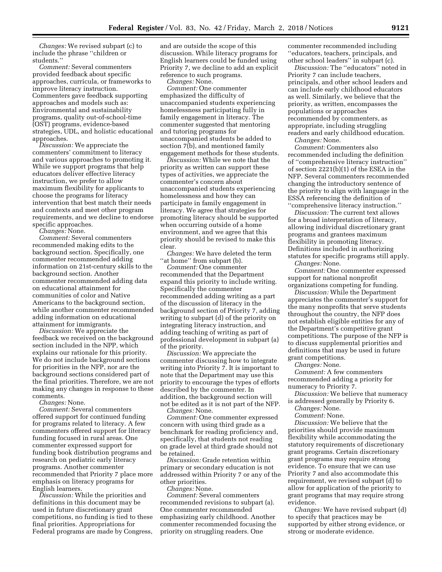*Changes:* We revised subpart (c) to include the phrase ''children or students.''

*Comment:* Several commenters provided feedback about specific approaches, curricula, or frameworks to improve literacy instruction. Commenters gave feedback supporting approaches and models such as: Environmental and sustainability programs, quality out-of-school-time (OST) programs, evidence-based strategies, UDL, and holistic educational approaches.

*Discussion:* We appreciate the commenters' commitment to literacy and various approaches to promoting it. While we support programs that help educators deliver effective literacy instruction, we prefer to allow maximum flexibility for applicants to choose the programs for literacy intervention that best match their needs and contexts and meet other program requirements, and we decline to endorse specific approaches.

*Changes:* None.

*Comment:* Several commenters recommended making edits to the background section. Specifically, one commenter recommended adding information on 21st-century skills to the background section. Another commenter recommended adding data on educational attainment for communities of color and Native Americans to the background section, while another commenter recommended adding information on educational attainment for immigrants.

*Discussion:* We appreciate the feedback we received on the background section included in the NPP, which explains our rationale for this priority. We do not include background sections for priorities in the NFP, nor are the background sections considered part of the final priorities. Therefore, we are not making any changes in response to these comments.

*Changes:* None.

*Comment:* Several commenters offered support for continued funding for programs related to literacy. A few commenters offered support for literacy funding focused in rural areas. One commenter expressed support for funding book distribution programs and research on pediatric early literacy programs. Another commenter recommended that Priority 7 place more emphasis on literacy programs for English learners.

*Discussion:* While the priorities and definitions in this document may be used in future discretionary grant competitions, no funding is tied to these final priorities. Appropriations for Federal programs are made by Congress,

and are outside the scope of this discussion. While literacy programs for English learners could be funded using Priority 7, we decline to add an explicit reference to such programs.

*Changes:* None.

*Comment:* One commenter emphasized the difficulty of unaccompanied students experiencing homelessness participating fully in family engagement in literacy. The commenter suggested that mentoring and tutoring programs for unaccompanied students be added to section 7(b), and mentioned family engagement methods for these students.

*Discussion:* While we note that the priority as written can support these types of activities, we appreciate the commenter's concern about unaccompanied students experiencing homelessness and how they can participate in family engagement in literacy. We agree that strategies for promoting literacy should be supported when occurring outside of a home environment, and we agree that this priority should be revised to make this clear.

*Changes:* We have deleted the term ''at home'' from subpart (b).

*Comment:* One commenter recommended that the Department expand this priority to include writing. Specifically the commenter recommended adding writing as a part of the discussion of literacy in the background section of Priority 7, adding writing to subpart (d) of the priority on integrating literacy instruction, and adding teaching of writing as part of professional development in subpart (a) of the priority.

*Discussion:* We appreciate the commenter discussing how to integrate writing into Priority 7. It is important to note that the Department may use this priority to encourage the types of efforts described by the commenter. In addition, the background section will not be edited as it is not part of the NFP. *Changes:* None.

*Comment:* One commenter expressed concern with using third grade as a benchmark for reading proficiency and, specifically, that students not reading on grade level at third grade should not be retained.

*Discussion:* Grade retention within primary or secondary education is not addressed within Priority 7 or any of the other priorities.

*Changes:* None.

*Comment:* Several commenters recommended revisions to subpart (a). One commenter recommended emphasizing early childhood. Another commenter recommended focusing the priority on struggling readers. One

commenter recommended including ''educators, teachers, principals, and other school leaders'' in subpart (c).

*Discussion:* The ''educators'' noted in Priority 7 can include teachers, principals, and other school leaders and can include early childhood educators as well. Similarly, we believe that the priority, as written, encompasses the populations or approaches recommended by commenters, as appropriate, including struggling readers and early childhood education.

*Changes:* None.

*Comment:* Commenters also recommended including the definition of ''comprehensive literacy instruction'' of section 2221(b)(1) of the ESEA in the NFP. Several commenters recommended changing the introductory sentence of the priority to align with language in the ESSA referencing the definition of ''comprehensive literacy instruction.''

*Discussion:* The current text allows for a broad interpretation of literacy, allowing individual discretionary grant programs and grantees maximum flexibility in promoting literacy. Definitions included in authorizing statutes for specific programs still apply. *Changes:* None.

*Comment:* One commenter expressed support for national nonprofit organizations competing for funding.

*Discussion:* While the Department appreciates the commenter's support for the many nonprofits that serve students throughout the country, the NFP does not establish eligible entities for any of the Department's competitive grant competitions. The purpose of the NFP is to discuss supplemental priorities and definitions that may be used in future grant competitions.

*Changes:* None.

*Comment:* A few commenters recommended adding a priority for numeracy to Priority 7.

*Discussion:* We believe that numeracy is addressed generally by Priority 6.

*Changes:* None.

*Comment:* None.

*Discussion:* We believe that the priorities should provide maximum flexibility while accommodating the statutory requirements of discretionary grant programs. Certain discretionary grant programs may require strong evidence. To ensure that we can use Priority 7 and also accommodate this requirement, we revised subpart (d) to allow for application of the priority to grant programs that may require strong evidence.

*Changes:* We have revised subpart (d) to specify that practices may be supported by either strong evidence, or strong or moderate evidence.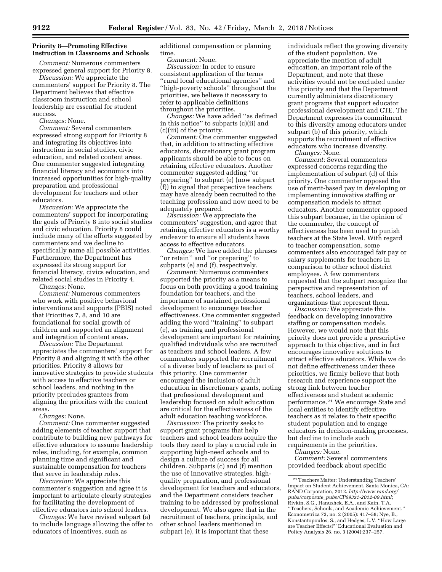### **Priority 8—Promoting Effective Instruction in Classrooms and Schools**

*Comment:* Numerous commenters expressed general support for Priority 8.

*Discussion:* We appreciate the commenters' support for Priority 8. The Department believes that effective classroom instruction and school leadership are essential for student success.

*Changes:* None.

*Comment:* Several commenters expressed strong support for Priority 8 and integrating its objectives into instruction in social studies, civic education, and related content areas. One commenter suggested integrating financial literacy and economics into increased opportunities for high-quality preparation and professional development for teachers and other educators.

*Discussion:* We appreciate the commenters' support for incorporating the goals of Priority 8 into social studies and civic education. Priority 8 could include many of the efforts suggested by commenters and we decline to specifically name all possible activities. Furthermore, the Department has expressed its strong support for financial literacy, civics education, and related social studies in Priority 4.

*Changes:* None.

*Comment:* Numerous commenters who work with positive behavioral interventions and supports (PBIS) noted that Priorities 7, 8, and 10 are foundational for social growth of children and supported an alignment and integration of content areas.

*Discussion:* The Department appreciates the commenters' support for Priority 8 and aligning it with the other priorities. Priority 8 allows for innovative strategies to provide students with access to effective teachers or school leaders, and nothing in the priority precludes grantees from aligning the priorities with the content areas.

*Changes:* None.

*Comment:* One commenter suggested adding elements of teacher support that contribute to building new pathways for effective educators to assume leadership roles, including, for example, common planning time and significant and sustainable compensation for teachers that serve in leadership roles.

*Discussion:* We appreciate this commenter's suggestion and agree it is important to articulate clearly strategies for facilitating the development of effective educators into school leaders.

*Changes:* We have revised subpart (a) to include language allowing the offer to educators of incentives, such as

additional compensation or planning time.

*Comment:* None.

*Discussion:* In order to ensure consistent application of the terms ''rural local educational agencies'' and ''high-poverty schools'' throughout the priorities, we believe it necessary to refer to applicable definitions throughout the priorities.

*Changes:* We have added ''as defined in this notice'' to subparts (c)(ii) and (c)(iii) of the priority.

*Comment:* One commenter suggested that, in addition to attracting effective educators, discretionary grant program applicants should be able to focus on retaining effective educators. Another commenter suggested adding ''or preparing'' to subpart (e) (now subpart (f)) to signal that prospective teachers may have already been recruited to the teaching profession and now need to be adequately prepared.

*Discussion:* We appreciate the commenters' suggestion, and agree that retaining effective educators is a worthy endeavor to ensure all students have access to effective educators.

*Changes:* We have added the phrases ''or retain'' and ''or preparing'' to subparts (e) and (f), respectively.

*Comment:* Numerous commenters supported the priority as a means to focus on both providing a good training foundation for teachers, and the importance of sustained professional development to encourage teacher effectiveness. One commenter suggested adding the word ''training'' to subpart (e), as training and professional development are important for retaining qualified individuals who are recruited as teachers and school leaders. A few commenters supported the recruitment of a diverse body of teachers as part of this priority. One commenter encouraged the inclusion of adult education in discretionary grants, noting that professional development and leadership focused on adult education are critical for the effectiveness of the adult education teaching workforce.

*Discussion:* The priority seeks to support grant programs that help teachers and school leaders acquire the tools they need to play a crucial role in supporting high-need schools and to design a culture of success for all children. Subparts (c) and (f) mention the use of innovative strategies, highquality preparation, and professional development for teachers and educators, and the Department considers teacher training to be addressed by professional development. We also agree that in the recruitment of teachers, principals, and other school leaders mentioned in subpart (e), it is important that these

individuals reflect the growing diversity of the student population. We appreciate the mention of adult education, an important role of the Department, and note that these activities would not be excluded under this priority and that the Department currently administers discretionary grant programs that support educator professional development and CTE. The Department expresses its commitment to this diversity among educators under subpart (b) of this priority, which supports the recruitment of effective educators who increase diversity.

*Changes:* None.

*Comment:* Several commenters expressed concerns regarding the implementation of subpart (d) of this priority. One commenter opposed the use of merit-based pay in developing or implementing innovative staffing or compensation models to attract educators. Another commenter opposed this subpart because, in the opinion of the commenter, the concept of effectiveness has been used to punish teachers at the State level. With regard to teacher compensation, some commenters also encouraged fair pay or salary supplements for teachers in comparison to other school district employees. A few commenters requested that the subpart recognize the perspective and representation of teachers, school leaders, and organizations that represent them.

*Discussion:* We appreciate this feedback on developing innovative staffing or compensation models. However, we would note that this priority does not provide a prescriptive approach to this objective, and in fact encourages innovative solutions to attract effective educators. While we do not define effectiveness under these priorities, we firmly believe that both research and experience support the strong link between teacher effectiveness and student academic performance.21 We encourage State and local entities to identify effective teachers as it relates to their specific student population and to engage educators in decision-making processes, but decline to include such requirements in the priorities.

*Changes:* None.

*Comment:* Several commenters provided feedback about specific

<sup>21</sup>Teachers Matter: Understanding Teachers' Impact on Student Achievement. Santa Monica, CA: RAND Corporation, 2012. *[http://www.rand.org/](http://www.rand.org/pubs/corporate_pubs/CP693z1-2012-09.html)  pubs/corporate*\_*[pubs/CP693z1-2012-09.html](http://www.rand.org/pubs/corporate_pubs/CP693z1-2012-09.html)*; Rivkin, S.G., Hanushek, E.A., and Kain, T.A. ''Teachers, Schools, and Academic Achievement.'' Econometrica 73, no. 2 (2005): 417–58; Nye, B., Konstantopoulos, S., and Hedges, L.V. ''How Large are Teacher Effects?'' Educational Evaluation and Policy Analysis 26, no. 3 (2004):237–257.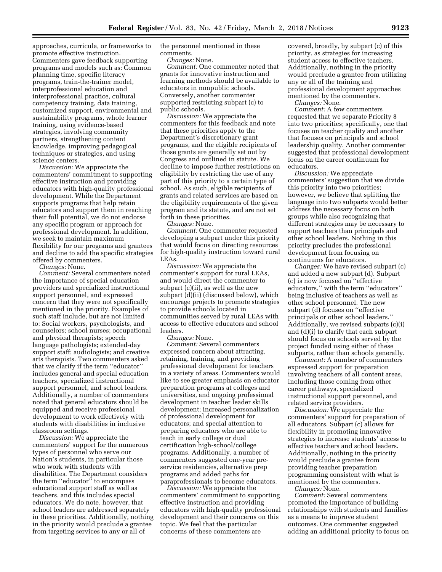approaches, curricula, or frameworks to promote effective instruction. Commenters gave feedback supporting programs and models such as: Common planning time, specific literacy programs, train-the-trainer model, interprofessional education and interprofessional practice, cultural competency training, data training, customized support, environmental and sustainability programs, whole learner training, using evidence-based strategies, involving community partners, strengthening content knowledge, improving pedagogical techniques or strategies, and using science centers.

*Discussion:* We appreciate the commenters' commitment to supporting effective instruction and providing educators with high-quality professional development. While the Department supports programs that help retain educators and support them in reaching their full potential, we do not endorse any specific program or approach for professional development. In addition, we seek to maintain maximum flexibility for our programs and grantees and decline to add the specific strategies offered by commenters.

*Changes:* None.

*Comment:* Several commenters noted the importance of special education providers and specialized instructional support personnel, and expressed concern that they were not specifically mentioned in the priority. Examples of such staff include, but are not limited to: Social workers, psychologists, and counselors; school nurses; occupational and physical therapists; speech language pathologists; extended-day support staff; audiologists; and creative arts therapists. Two commenters asked that we clarify if the term ''educator'' includes general and special education teachers, specialized instructional support personnel, and school leaders. Additionally, a number of commenters noted that general educators should be equipped and receive professional development to work effectively with students with disabilities in inclusive classroom settings.

*Discussion:* We appreciate the commenters' support for the numerous types of personnel who serve our Nation's students, in particular those who work with students with disabilities. The Department considers the term ''educator'' to encompass educational support staff as well as teachers, and this includes special educators. We do note, however, that school leaders are addressed separately in these priorities. Additionally, nothing in the priority would preclude a grantee from targeting services to any or all of

the personnel mentioned in these comments.

*Changes:* None.

*Comment:* One commenter noted that grants for innovative instruction and learning methods should be available to educators in nonpublic schools. Conversely, another commenter supported restricting subpart (c) to public schools.

*Discussion:* We appreciate the commenters for this feedback and note that these priorities apply to the Department's discretionary grant programs, and the eligible recipients of those grants are generally set out by Congress and outlined in statute. We decline to impose further restrictions on eligibility by restricting the use of any part of this priority to a certain type of school. As such, eligible recipients of grants and related services are based on the eligibility requirements of the given program and its statute, and are not set forth in these priorities.

*Changes:* None.

*Comment:* One commenter requested developing a subpart under this priority that would focus on directing resources for high-quality instruction toward rural LEAs.

*Discussion:* We appreciate the commenter's support for rural LEAs, and would direct the commenter to subpart (c)(ii), as well as the new subpart (d)(ii) (discussed below), which encourage projects to promote strategies to provide schools located in communities served by rural LEAs with access to effective educators and school leaders.

*Changes:* None.

*Comment:* Several commenters expressed concern about attracting, retaining, training, and providing professional development for teachers in a variety of areas. Commenters would like to see greater emphasis on educator preparation programs at colleges and universities, and ongoing professional development in teacher leader skills development; increased personalization of professional development for educators; and special attention to preparing educators who are able to teach in early college or dual certification high-school/college programs. Additionally, a number of commenters suggested one-year preservice residencies, alternative prep programs and added paths for paraprofessionals to become educators.

*Discussion:* We appreciate the commenters' commitment to supporting effective instruction and providing educators with high-quality professional development and their concerns on this topic. We feel that the particular concerns of these commenters are

covered, broadly, by subpart (c) of this priority, as strategies for increasing student access to effective teachers. Additionally, nothing in the priority would preclude a grantee from utilizing any or all of the training and professional development approaches mentioned by the commenters.

*Changes:* None.

*Comment:* A few commenters requested that we separate Priority 8 into two priorities; specifically, one that focuses on teacher quality and another that focuses on principals and school leadership quality. Another commenter suggested that professional development focus on the career continuum for educators.

*Discussion:* We appreciate commenters' suggestion that we divide this priority into two priorities; however, we believe that splitting the language into two subparts would better address the necessary focus on both groups while also recognizing that different strategies may be necessary to support teachers than principals and other school leaders. Nothing in this priority precludes the professional development from focusing on continuums for educators.

*Changes:* We have revised subpart (c) and added a new subpart (d). Subpart (c) is now focused on ''effective educators,'' with the term ''educators'' being inclusive of teachers as well as other school personnel. The new subpart (d) focuses on ''effective principals or other school leaders.'' Additionally, we revised subparts (c)(i) and (d)(i) to clarify that each subpart should focus on schools served by the project funded using either of these subparts, rather than schools generally.

*Comment:* A number of commenters expressed support for preparation involving teachers of all content areas, including those coming from other career pathways, specialized instructional support personnel, and related service providers.

*Discussion:* We appreciate the commenters' support for preparation of all educators. Subpart (c) allows for flexibility in promoting innovative strategies to increase students' access to effective teachers and school leaders. Additionally, nothing in the priority would preclude a grantee from providing teacher preparation programming consistent with what is mentioned by the commenters.

*Changes:* None.

*Comment:* Several commenters promoted the importance of building relationships with students and families as a means to improve student outcomes. One commenter suggested adding an additional priority to focus on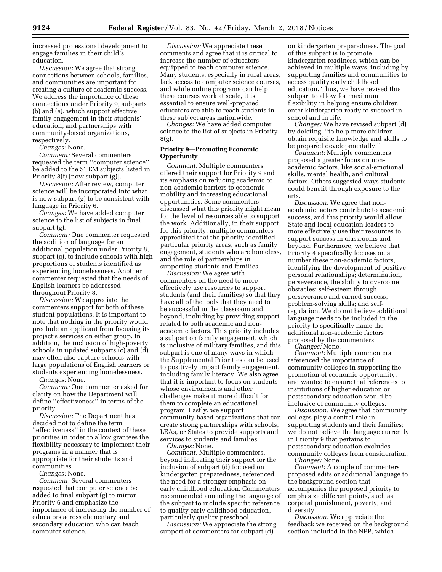increased professional development to engage families in their child's education.

*Discussion:* We agree that strong connections between schools, families, and communities are important for creating a culture of academic success. We address the importance of these connections under Priority 9, subparts (b) and (e), which support effective family engagement in their students' education, and partnerships with community-based organizations, respectively.

*Changes:* None.

*Comment:* Several commenters requested the term ''computer science'' be added to the STEM subjects listed in Priority 8(f) [now subpart (g)].

*Discussion:* After review, computer science will be incorporated into what is now subpart (g) to be consistent with language in Priority 6.

*Changes:* We have added computer science to the list of subjects in final subpart (g).

*Comment:* One commenter requested the addition of language for an additional population under Priority 8, subpart (c), to include schools with high proportions of students identified as experiencing homelessness. Another commenter requested that the needs of English learners be addressed throughout Priority 8.

*Discussion:* We appreciate the commenters support for both of these student populations. It is important to note that nothing in the priority would preclude an applicant from focusing its project's services on either group. In addition, the inclusion of high-poverty schools in updated subparts (c) and (d) may often also capture schools with large populations of English learners or students experiencing homelessness.

*Changes:* None.

*Comment:* One commenter asked for clarity on how the Department will define ''effectiveness'' in terms of the priority.

*Discussion:* The Department has decided not to define the term ''effectiveness'' in the context of these priorities in order to allow grantees the flexibility necessary to implement their programs in a manner that is appropriate for their students and communities.

*Changes:* None.

*Comment:* Several commenters requested that computer science be added to final subpart (g) to mirror Priority 6 and emphasize the importance of increasing the number of educators across elementary and secondary education who can teach computer science.

*Discussion:* We appreciate these comments and agree that it is critical to increase the number of educators equipped to teach computer science. Many students, especially in rural areas, lack access to computer science courses, and while online programs can help these courses work at scale, it is essential to ensure well-prepared educators are able to reach students in these subject areas nationwide.

*Changes:* We have added computer science to the list of subjects in Priority 8(g).

### **Priority 9—Promoting Economic Opportunity**

*Comment:* Multiple commenters offered their support for Priority 9 and its emphasis on reducing academic or non-academic barriers to economic mobility and increasing educational opportunities. Some commenters discussed what this priority might mean for the level of resources able to support the work. Additionally, in their support for this priority, multiple commenters appreciated that the priority identified particular priority areas, such as family engagement, students who are homeless, and the role of partnerships in supporting students and families.

*Discussion:* We agree with commenters on the need to more effectively use resources to support students (and their families) so that they have all of the tools that they need to be successful in the classroom and beyond, including by providing support related to both academic and nonacademic factors. This priority includes a subpart on family engagement, which is inclusive of military families, and this subpart is one of many ways in which the Supplemental Priorities can be used to positively impact family engagement, including family literacy. We also agree that it is important to focus on students whose environments and other challenges make it more difficult for them to complete an educational program. Lastly, we support community-based organizations that can create strong partnerships with schools, LEAs, or States to provide supports and services to students and families.

*Changes:* None.

*Comment:* Multiple commenters, beyond indicating their support for the inclusion of subpart (d) focused on kindergarten preparedness, referenced the need for a stronger emphasis on early childhood education. Commenters recommended amending the language of the subpart to include specific reference to quality early childhood education, particularly quality preschool.

*Discussion:* We appreciate the strong support of commenters for subpart (d)

on kindergarten preparedness. The goal of this subpart is to promote kindergarten readiness, which can be achieved in multiple ways, including by supporting families and communities to access quality early childhood education. Thus, we have revised this subpart to allow for maximum flexibility in helping ensure children enter kindergarten ready to succeed in school and in life.

*Changes:* We have revised subpart (d) by deleting, ''to help more children obtain requisite knowledge and skills to be prepared developmentally.''

*Comment:* Multiple commenters proposed a greater focus on nonacademic factors, like social-emotional skills, mental health, and cultural factors. Others suggested ways students could benefit through exposure to the arts.

*Discussion:* We agree that nonacademic factors contribute to academic success, and this priority would allow State and local education leaders to more effectively use their resources to support success in classrooms and beyond. Furthermore, we believe that Priority 4 specifically focuses on a number these non-academic factors, identifying the development of positive personal relationships; determination, perseverance, the ability to overcome obstacles; self-esteem through perseverance and earned success; problem-solving skills; and selfregulation. We do not believe additional language needs to be included in the priority to specifically name the additional non-academic factors proposed by the commenters.

*Changes:* None.

*Comment:* Multiple commenters referenced the importance of community colleges in supporting the promotion of economic opportunity, and wanted to ensure that references to institutions of higher education or postsecondary education would be inclusive of community colleges.

*Discussion:* We agree that community colleges play a central role in supporting students and their families; we do not believe the language currently in Priority 9 that pertains to postsecondary education excludes community colleges from consideration. *Changes:* None.

*Comment:* A couple of commenters proposed edits or additional language to the background section that accompanies the proposed priority to emphasize different points, such as corporal punishment, poverty, and diversity.

*Discussion:* We appreciate the feedback we received on the background section included in the NPP, which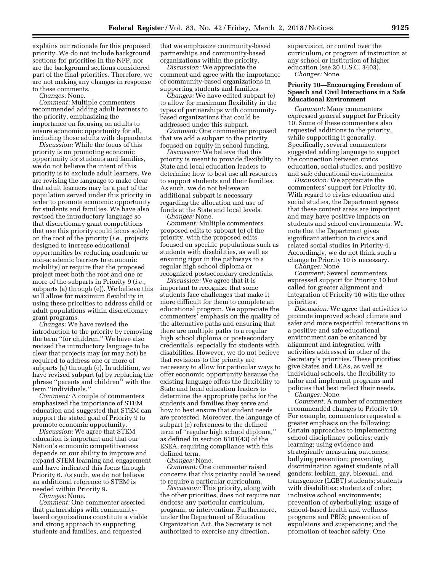explains our rationale for this proposed priority. We do not include background sections for priorities in the NFP, nor are the background sections considered part of the final priorities. Therefore, we are not making any changes in response to these comments.

*Changes:* None.

*Comment:* Multiple commenters recommended adding adult learners to the priority, emphasizing the importance on focusing on adults to ensure economic opportunity for all, including those adults with dependents.

*Discussion:* While the focus of this priority is on promoting economic opportunity for students and families, we do not believe the intent of this priority is to exclude adult learners. We are revising the language to make clear that adult learners may be a part of the population served under this priority in order to promote economic opportunity for students and families. We have also revised the introductory language so that discretionary grant competitions that use this priority could focus solely on the root of the priority (*i.e.,* projects designed to increase educational opportunities by reducing academic or non-academic barriers to economic mobility) or require that the proposed project meet both the root and one or more of the subparts in Priority 9 (*i.e.,*  subparts (a) through (e)). We believe this will allow for maximum flexibility in using these priorities to address child or adult populations within discretionary grant programs.

*Changes:* We have revised the introduction to the priority by removing the term ''for children.'' We have also revised the introductory language to be clear that projects may (or may not) be required to address one or more of subparts (a) through (e). In addition, we have revised subpart (a) by replacing the phrase ''parents and children'' with the term ''individuals.''

*Comment:* A couple of commenters emphasized the importance of STEM education and suggested that STEM can support the stated goal of Priority 9 to promote economic opportunity.

*Discussion:* We agree that STEM education is important and that our Nation's economic competitiveness depends on our ability to improve and expand STEM learning and engagement and have indicated this focus through Priority 6. As such, we do not believe an additional reference to STEM is needed within Priority 9.

*Changes:* None.

*Comment:* One commenter asserted that partnerships with communitybased organizations constitute a viable and strong approach to supporting students and families, and requested

that we emphasize community-based partnerships and community-based organizations within the priority.

*Discussion:* We appreciate the comment and agree with the importance of community-based organizations in supporting students and families.

*Changes:* We have edited subpart (e) to allow for maximum flexibility in the types of partnerships with communitybased organizations that could be addressed under this subpart.

*Comment:* One commenter proposed that we add a subpart to the priority focused on equity in school funding.

*Discussion:* We believe that this priority is meant to provide flexibility to State and local education leaders to determine how to best use all resources to support students and their families. As such, we do not believe an additional subpart is necessary regarding the allocation and use of funds at the State and local levels.

*Changes:* None.

*Comment:* Multiple commenters proposed edits to subpart (c) of the priority, with the proposed edits focused on specific populations such as students with disabilities, as well as ensuring rigor in the pathways to a regular high school diploma or recognized postsecondary credentials.

*Discussion:* We agree that it is important to recognize that some students face challenges that make it more difficult for them to complete an educational program. We appreciate the commenters' emphasis on the quality of the alternative paths and ensuring that there are multiple paths to a regular high school diploma or postsecondary credentials, especially for students with disabilities. However, we do not believe that revisions to the priority are necessary to allow for particular ways to offer economic opportunity because the existing language offers the flexibility to State and local education leaders to determine the appropriate paths for the students and families they serve and how to best ensure that student needs are protected. Moreover, the language of subpart (c) references to the defined term of ''regular high school diploma,'' as defined in section 8101(43) of the ESEA, requiring compliance with this defined term.

*Changes:* None.

*Comment:* One commenter raised concerns that this priority could be used to require a particular curriculum.

*Discussion:* This priority, along with the other priorities, does not require nor endorse any particular curriculum, program, or intervention. Furthermore, under the Department of Education Organization Act, the Secretary is not authorized to exercise any direction,

supervision, or control over the curriculum, or program of instruction at any school or institution of higher education (see 20 U.S.C. 3403). *Changes:* None.

**Priority 10—Encouraging Freedom of Speech and Civil Interactions in a Safe Educational Environment** 

*Comment:* Many commenters expressed general support for Priority 10. Some of these commenters also requested additions to the priority, while supporting it generally. Specifically, several commenters suggested adding language to support the connection between civics education, social studies, and positive and safe educational environments.

*Discussion:* We appreciate the commenters' support for Priority 10. With regard to civics education and social studies, the Department agrees that these content areas are important and may have positive impacts on students and school environments. We note that the Department gives significant attention to civics and related social studies in Priority 4. Accordingly, we do not think such a change to Priority 10 is necessary. *Changes:* None.

*Comment:* Several commenters expressed support for Priority 10 but called for greater alignment and integration of Priority 10 with the other priorities.

*Discussion:* We agree that activities to promote improved school climate and safer and more respectful interactions in a positive and safe educational environment can be enhanced by alignment and integration with activities addressed in other of the Secretary's priorities. These priorities give States and LEAs, as well as individual schools, the flexibility to tailor and implement programs and policies that best reflect their needs. *Changes:* None.

*Comment:* A number of commenters recommended changes to Priority 10. For example, commenters requested a greater emphasis on the following: Certain approaches to implementing school disciplinary policies; early learning; using evidence and strategically measuring outcomes; bullying prevention; preventing discrimination against students of all genders; lesbian, gay, bisexual, and transgender (LGBT) students; students with disabilities; students of color; inclusive school environments; prevention of cyberbullying; usage of school-based health and wellness programs and PBIS; prevention of expulsions and suspensions; and the promotion of teacher safety. One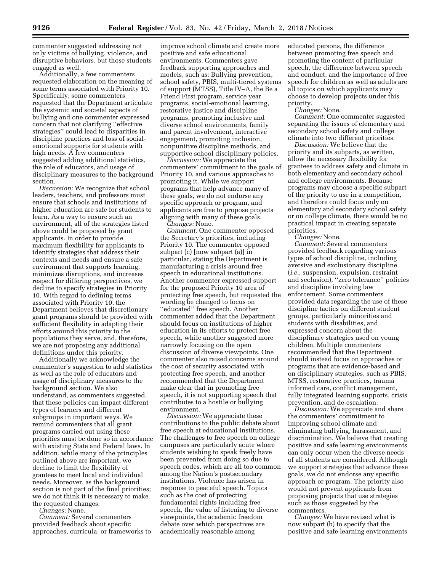commenter suggested addressing not only victims of bullying, violence, and disruptive behaviors, but those students engaged as well.

Additionally, a few commenters requested elaboration on the meaning of some terms associated with Priority 10. Specifically, some commenters requested that the Department articulate the systemic and societal aspects of bullying and one commenter expressed concern that not clarifying ''effective strategies'' could lead to disparities in discipline practices and loss of socialemotional supports for students with high needs. A few commenters suggested adding additional statistics, the role of educators, and usage of disciplinary measures to the background section.

*Discussion:* We recognize that school leaders, teachers, and professors must ensure that schools and institutions of higher education are safe for students to learn. As a way to ensure such an environment, all of the strategies listed above could be proposed by grant applicants. In order to provide maximum flexibility for applicants to identify strategies that address their contexts and needs and ensure a safe environment that supports learning, minimizes disruptions, and increases respect for differing perspectives, we decline to specify strategies in Priority 10. With regard to defining terms associated with Priority 10, the Department believes that discretionary grant programs should be provided with sufficient flexibility in adapting their efforts around this priority to the populations they serve, and, therefore, we are not proposing any additional definitions under this priority.

Additionally we acknowledge the commenter's suggestion to add statistics as well as the role of educators and usage of disciplinary measures to the background section. We also understand, as commenters suggested, that these policies can impact different types of learners and different subgroups in important ways. We remind commenters that all grant programs carried out using these priorities must be done so in accordance with existing State and Federal laws. In addition, while many of the principles outlined above are important, we decline to limit the flexibility of grantees to meet local and individual needs. Moreover, as the background section is not part of the final priorities; we do not think it is necessary to make the requested changes.

*Changes:* None.

*Comment:* Several commenters provided feedback about specific approaches, curricula, or frameworks to

improve school climate and create more positive and safe educational environments. Commenters gave feedback supporting approaches and models, such as: Bullying prevention, school safety, PBIS, multi-tiered systems of support (MTSS), Title IV–A, the Be a Friend First program, service year programs, social-emotional learning, restorative justice and discipline programs, promoting inclusive and diverse school environments, family and parent involvement, interactive engagement, promoting inclusion, nonpunitive discipline methods, and supportive school disciplinary policies.

*Discussion:* We appreciate the commenters' commitment to the goals of Priority 10, and various approaches to promoting it. While we support programs that help advance many of these goals, we do not endorse any specific approach or program, and applicants are free to propose projects aligning with many of these goals.

*Changes:* None. *Comment:* One commenter opposed the Secretary's priorities, including Priority 10. The commenter opposed subpart (c) [now subpart (a)] in particular, stating the Department is manufacturing a crisis around free speech in educational institutions. Another commenter expressed support for the proposed Priority 10 area of protecting free speech, but requested the wording be changed to focus on "educated" free speech. Another commenter added that the Department should focus on institutions of higher education in its efforts to protect free speech, while another suggested more narrowly focusing on the open discussion of diverse viewpoints. One commenter also raised concerns around the cost of security associated with protecting free speech, and another recommended that the Department make clear that in promoting free speech, it is not supporting speech that contributes to a hostile or bullying environment.

*Discussion:* We appreciate these contributions to the public debate about free speech at educational institutions. The challenges to free speech on college campuses are particularly acute where students wishing to speak freely have been prevented from doing so due to speech codes, which are all too common among the Nation's postsecondary institutions. Violence has arisen in response to peaceful speech. Topics such as the cost of protecting fundamental rights including free speech, the value of listening to diverse viewpoints, the academic freedom debate over which perspectives are academically reasonable among

educated persons, the difference between promoting free speech and promoting the content of particular speech, the difference between speech and conduct, and the importance of free speech for children as well as adults are all topics on which applicants may choose to develop projects under this priority.

*Changes:* None.

*Comment:* One commenter suggested separating the issues of elementary and secondary school safety and college climate into two different priorities.

*Discussion:* We believe that the priority and its subparts, as written, allow the necessary flexibility for grantees to address safety and climate in both elementary and secondary school and college environments. Because programs may choose a specific subpart of the priority to use in a competition, and therefore could focus only on elementary and secondary school safety or on college climate, there would be no practical impact in creating separate priorities.

*Changes:* None.

*Comment:* Several commenters provided feedback regarding various types of school discipline, including aversive and exclusionary discipline (*i.e.,* suspension, expulsion, restraint and seclusion), ''zero tolerance'' policies and discipline involving law enforcement. Some commenters provided data regarding the use of these discipline tactics on different student groups, particularly minorities and students with disabilities, and expressed concern about the disciplinary strategies used on young children. Multiple commenters recommended that the Department should instead focus on approaches or programs that are evidence-based and on disciplinary strategies, such as PBIS, MTSS, restorative practices, trauma informed care, conflict management, fully integrated learning supports, crisis prevention, and de-escalation.

*Discussion:* We appreciate and share the commenters' commitment to improving school climate and eliminating bullying, harassment, and discrimination. We believe that creating positive and safe learning environments can only occur when the diverse needs of all students are considered. Although we support strategies that advance these goals, we do not endorse any specific approach or program. The priority also would not prevent applicants from proposing projects that use strategies such as those suggested by the commenters.

*Changes:* We have revised what is now subpart (b) to specify that the positive and safe learning environments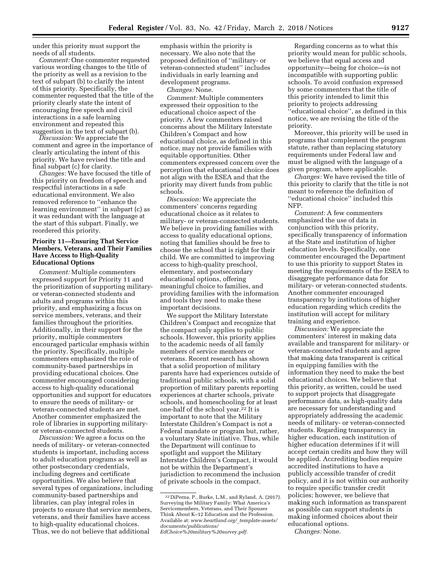under this priority must support the needs of all students.

*Comment:* One commenter requested various wording changes to the title of the priority as well as a revision to the text of subpart (b) to clarify the intent of this priority. Specifically, the commenter requested that the title of the priority clearly state the intent of encouraging free speech and civil interactions in a safe learning environment and repeated this suggestion in the text of subpart (b).

*Discussion:* We appreciate the comment and agree in the importance of clearly articulating the intent of this priority. We have revised the title and final subpart (c) for clarity.

*Changes:* We have focused the title of this priority on freedom of speech and respectful interactions in a safe educational environment. We also removed reference to ''enhance the learning environment'' in subpart (c) as it was redundant with the language at the start of this subpart. Finally, we reordered this priority.

### **Priority 11—Ensuring That Service Members, Veterans, and Their Families Have Access to High-Quality Educational Options**

*Comment:* Multiple commenters expressed support for Priority 11 and the prioritization of supporting militaryor veteran-connected students and adults and programs within this priority, and emphasizing a focus on service members, veterans, and their families throughout the priorities. Additionally, in their support for the priority, multiple commenters encouraged particular emphasis within the priority. Specifically, multiple commenters emphasized the role of community-based partnerships in providing educational choices. One commenter encouraged considering access to high-quality educational opportunities and support for educators to ensure the needs of military- or veteran-connected students are met. Another commenter emphasized the role of libraries in supporting militaryor veteran-connected students.

*Discussion:* We agree a focus on the needs of military- or veteran-connected students is important, including access to adult education programs as well as other postsecondary credentials, including degrees and certificate opportunities. We also believe that several types of organizations, including community-based partnerships and libraries, can play integral roles in projects to ensure that service members, veterans, and their families have access to high-quality educational choices. Thus, we do not believe that additional

emphasis within the priority is necessary. We also note that the proposed definition of ''military- or veteran-connected student'' includes individuals in early learning and development programs.

*Changes:* None.

*Comment:* Multiple commenters expressed their opposition to the educational choice aspect of the priority. A few commenters raised concerns about the Military Interstate Children's Compact and how educational choice, as defined in this notice, may not provide families with equitable opportunities. Other commenters expressed concern over the perception that educational choice does not align with the ESEA and that the priority may divert funds from public schools.

*Discussion:* We appreciate the commenters' concerns regarding educational choice as it relates to military- or veteran-connected students. We believe in providing families with access to quality educational options, noting that families should be free to choose the school that is right for their child. We are committed to improving access to high-quality preschool, elementary, and postsecondary educational options, offering meaningful choice to families, and providing families with the information and tools they need to make these important decisions.

We support the Military Interstate Children's Compact and recognize that the compact only applies to public schools. However, this priority applies to the academic needs of all family members of service members or veterans. Recent research has shown that a solid proportion of military parents have had experiences outside of traditional public schools, with a solid proportion of military parents reporting experiences at charter schools, private schools, and homeschooling for at least one-half of the school year.22 It is important to note that the Military Interstate Children's Compact is not a Federal mandate or program but, rather, a voluntary State initiative. Thus, while the Department will continue to spotlight and support the Military Interstate Children's Compact, it would not be within the Department's jurisdiction to recommend the inclusion of private schools in the compact.

Regarding concerns as to what this priority would mean for public schools, we believe that equal access and opportunity—being for choice—is not incompatible with supporting public schools. To avoid confusion expressed by some commenters that the title of this priority intended to limit this priority to projects addressing "educational choice", as defined in this notice, we are revising the title of the priority.

Moreover, this priority will be used in programs that complement the program statute, rather than replacing statutory requirements under Federal law and must be aligned with the language of a given program, where applicable.

*Changes:* We have revised the title of this priority to clarify that the title is not meant to reference the definition of ''educational choice'' included this NFP.

*Comment:* A few commenters emphasized the use of data in conjunction with this priority, specifically transparency of information at the State and institution of higher education levels. Specifically, one commenter encouraged the Department to use this priority to support States in meeting the requirements of the ESEA to disaggregate performance data for military- or veteran-connected students. Another commenter encouraged transparency by institutions of higher education regarding which credits the institution will accept for military training and experience.

*Discussion:* We appreciate the commenters' interest in making data available and transparent for military- or veteran-connected students and agree that making data transparent is critical in equipping families with the information they need to make the best educational choices. We believe that this priority, as written, could be used to support projects that disaggregate performance data, as high-quality data are necessary for understanding and appropriately addressing the academic needs of military- or veteran-connected students. Regarding transparency in higher education, each institution of higher education determines if it will accept certain credits and how they will be applied. Accrediting bodies require accredited institutions to have a publicly accessible transfer of credit policy, and it is not within our authority to require specific transfer credit policies; however, we believe that making such information as transparent as possible can support students in making informed choices about their educational options.

*Changes:* None.

<sup>22</sup> DiPerna, P., Burke, L.M., and Ryland, A. (2017). Surveying the Military Family: What America's Servicemembers, Veterans, and Their Spouses Think About K–12 Education and the Profession. Available at: *[www.heartland.org/](http://www.heartland.org/_template-assets/documents/publications/EdChoice%20military%20survey.pdf)*\_*template-assets/ [documents/publications/](http://www.heartland.org/_template-assets/documents/publications/EdChoice%20military%20survey.pdf)  [EdChoice%20military%20survey.pdf.](http://www.heartland.org/_template-assets/documents/publications/EdChoice%20military%20survey.pdf)*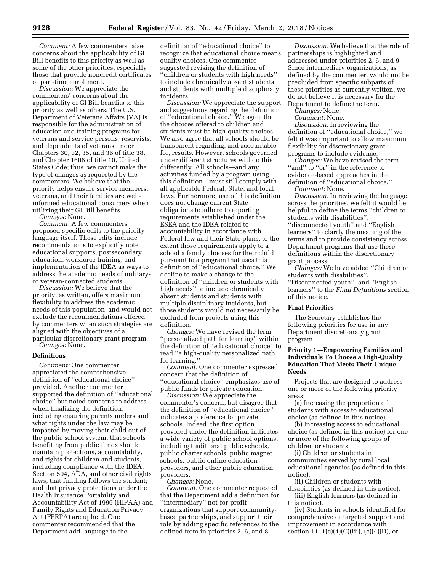*Comment:* A few commenters raised concerns about the applicability of GI Bill benefits to this priority as well as some of the other priorities, especially those that provide noncredit certificates or part-time enrollment.

*Discussion:* We appreciate the commenters' concerns about the applicability of GI Bill benefits to this priority as well as others. The U.S. Department of Veterans Affairs (VA) is responsible for the administration of education and training programs for veterans and service persons, reservists, and dependents of veterans under Chapters 30, 32, 35, and 36 of title 38, and Chapter 1606 of title 10, United States Code; thus, we cannot make the type of changes as requested by the commenters. We believe that the priority helps ensure service members, veterans, and their families are wellinformed educational consumers when utilizing their GI Bill benefits.

*Changes:* None.

*Comment:* A few commenters proposed specific edits to the priority language itself. These edits include recommendations to explicitly note educational supports, postsecondary education, workforce training, and implementation of the IDEA as ways to address the academic needs of militaryor veteran-connected students.

*Discussion:* We believe that the priority, as written, offers maximum flexibility to address the academic needs of this population, and would not exclude the recommendations offered by commenters when such strategies are aligned with the objectives of a particular discretionary grant program. *Changes:* None.

#### **Definitions**

*Comment:* One commenter appreciated the comprehensive definition of ''educational choice'' provided. Another commenter supported the definition of ''educational choice'' but noted concerns to address when finalizing the definition, including ensuring parents understand what rights under the law may be impacted by moving their child out of the public school system; that schools benefiting from public funds should maintain protections, accountability, and rights for children and students, including compliance with the IDEA, Section 504, ADA, and other civil rights laws; that funding follows the student; and that privacy protections under the Health Insurance Portability and Accountability Act of 1996 (HIPAA) and Family Rights and Education Privacy Act (FERPA) are upheld. One commenter recommended that the Department add language to the

definition of ''educational choice'' to recognize that educational choice means quality choices. One commenter suggested revising the definition of ''children or students with high needs'' to include chronically absent students and students with multiple disciplinary incidents.

*Discussion:* We appreciate the support and suggestions regarding the definition of ''educational choice.'' We agree that the choices offered to children and students must be high-quality choices. We also agree that all schools should be transparent regarding, and accountable for, results. However, schools governed under different structures will do this differently. All schools—and any activities funded by a program using this definition—must still comply with all applicable Federal, State, and local laws. Furthermore, use of this definition does not change current State obligations to adhere to reporting requirements established under the ESEA and the IDEA related to accountability in accordance with Federal law and their State plans, to the extent those requirements apply to a school a family chooses for their child pursuant to a program that uses this definition of ''educational choice.'' We decline to make a change to the definition of ''children or students with high needs'' to include chronically absent students and students with multiple disciplinary incidents, but those students would not necessarily be excluded from projects using this definition.

*Changes:* We have revised the term ''personalized path for learning'' within the definition of ''*e*ducational choice'' to read ''a high-quality personalized path for learning.''

*Comment:* One commenter expressed concern that the definition of ''educational choice'' emphasizes use of public funds for private education.

*Discussion:* We appreciate the commenter's concern, but disagree that the definition of ''educational choice'' indicates a preference for private schools. Indeed, the first option provided under the definition indicates a wide variety of public school options, including traditional public schools, public charter schools, public magnet schools, public online education providers, and other public education providers.

*Changes:* None.

*Comment:* One commenter requested that the Department add a definition for ''intermediary'' not-for-profit organizations that support communitybased partnerships, and support their role by adding specific references to the defined term in priorities 2, 6, and 8.

*Discussion:* We believe that the role of partnerships is highlighted and addressed under priorities 2, 6, and 9. Since intermediary organizations, as defined by the commenter, would not be precluded from specific subparts of these priorities as currently written, we do not believe it is necessary for the Department to define the term.

*Changes:* None.

*Comment:* None.

*Discussion:* In reviewing the definition of ''educational choice,'' we felt it was important to allow maximum flexibility for discretionary grant programs to include evidence.

*Changes:* We have revised the term ''and'' to ''or'' in the reference to evidence-based approaches in the definition of ''educational choice.'' *Comment:* None.

*Discussion:* In reviewing the language across the priorities, we felt it would be helpful to define the terms ''children or students with disabilities'', ''disconnected youth'' and ''English learners'' to clarify the meaning of the terms and to provide consistency across Department programs that use these definitions within the discretionary grant process.

*Changes:* We have added ''Children or students with disabilities'', ''Disconnected youth'', and ''English learners'' to the *Final Definitions* section of this notice.

#### **Final Priorities**

The Secretary establishes the following priorities for use in any Department discretionary grant program.

## **Priority 1—Empowering Families and Individuals To Choose a High-Quality Education That Meets Their Unique Needs**

Projects that are designed to address one or more of the following priority areas:

(a) Increasing the proportion of students with access to educational choice (as defined in this notice).

(b) Increasing access to educational choice (as defined in this notice) for one or more of the following groups of children or students:

(i) Children or students in communities served by rural local educational agencies (as defined in this notice).

(ii) Children or students with

disabilities (as defined in this notice). (iii) English learners (as defined in this notice).

(iv) Students in schools identified for comprehensive or targeted support and improvement in accordance with section  $1111(c)(4)(C)(iii)$ ,  $(c)(4)(D)$ , or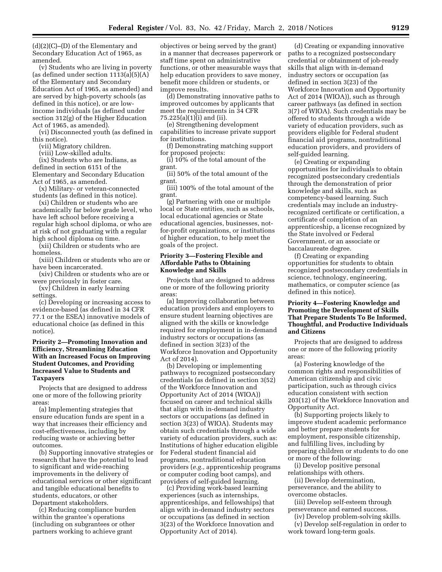(d)(2)(C)–(D) of the Elementary and Secondary Education Act of 1965, as amended.

(v) Students who are living in poverty (as defined under section 1113(a)(5)(A) of the Elementary and Secondary Education Act of 1965, as amended) and are served by high-poverty schools (as defined in this notice), or are lowincome individuals (as defined under section 312(g) of the Higher Education Act of 1965, as amended).

(vi) Disconnected youth (as defined in this notice).

(vii) Migratory children.

(viii) Low-skilled adults.

(ix) Students who are Indians, as defined in section 6151 of the Elementary and Secondary Education Act of 1965, as amended.

(x) Military- or veteran-connected students (as defined in this notice).

(xi) Children or students who are academically far below grade level, who have left school before receiving a regular high school diploma, or who are at risk of not graduating with a regular high school diploma on time.

(xii) Children or students who are homeless.

(xiii) Children or students who are or have been incarcerated.

(xiv) Children or students who are or were previously in foster care.

(xv) Children in early learning settings.

(c) Developing or increasing access to evidence-based (as defined in 34 CFR 77.1 or the ESEA) innovative models of educational choice (as defined in this notice).

# **Priority 2—Promoting Innovation and Efficiency, Streamlining Education With an Increased Focus on Improving Student Outcomes, and Providing Increased Value to Students and Taxpayers**

Projects that are designed to address one or more of the following priority areas:

(a) Implementing strategies that ensure education funds are spent in a way that increases their efficiency and cost-effectiveness, including by reducing waste or achieving better outcomes.

(b) Supporting innovative strategies or research that have the potential to lead to significant and wide-reaching improvements in the delivery of educational services or other significant and tangible educational benefits to students, educators, or other Department stakeholders.

(c) Reducing compliance burden within the grantee's operations (including on subgrantees or other partners working to achieve grant

objectives or being served by the grant) in a manner that decreases paperwork or staff time spent on administrative functions, or other measurable ways that help education providers to save money, benefit more children or students, or improve results.

(d) Demonstrating innovative paths to improved outcomes by applicants that meet the requirements in 34 CFR 75.225(a)(1)(i) and (ii).

(e) Strengthening development capabilities to increase private support for institutions.

(f) Demonstrating matching support for proposed projects:

(i) 10% of the total amount of the grant.

(ii) 50% of the total amount of the grant.

(iii) 100% of the total amount of the grant.

(g) Partnering with one or multiple local or State entities, such as schools, local educational agencies or State educational agencies, businesses, notfor-profit organizations, or institutions of higher education, to help meet the goals of the project.

### **Priority 3—Fostering Flexible and Affordable Paths to Obtaining Knowledge and Skills**

Projects that are designed to address one or more of the following priority areas:

(a) Improving collaboration between education providers and employers to ensure student learning objectives are aligned with the skills or knowledge required for employment in in-demand industry sectors or occupations (as defined in section 3(23) of the Workforce Innovation and Opportunity Act of 2014).

(b) Developing or implementing pathways to recognized postsecondary credentials (as defined in section 3(52) of the Workforce Innovation and Opportunity Act of 2014 (WIOA)) focused on career and technical skills that align with in-demand industry sectors or occupations (as defined in section 3(23) of WIOA). Students may obtain such credentials through a wide variety of education providers, such as: Institutions of higher education eligible for Federal student financial aid programs, nontraditional education providers (*e.g.,* apprenticeship programs or computer coding boot camps), and providers of self-guided learning.

(c) Providing work-based learning experiences (such as internships, apprenticeships, and fellowships) that align with in-demand industry sectors or occupations (as defined in section 3(23) of the Workforce Innovation and Opportunity Act of 2014).

(d) Creating or expanding innovative paths to a recognized postsecondary credential or obtainment of job-ready skills that align with in-demand industry sectors or occupation (as defined in section 3(23) of the Workforce Innovation and Opportunity Act of 2014 (WIOA)), such as through career pathways (as defined in section 3(7) of WIOA). Such credentials may be offered to students through a wide variety of education providers, such as providers eligible for Federal student financial aid programs, nontraditional education providers, and providers of self-guided learning.

(e) Creating or expanding opportunities for individuals to obtain recognized postsecondary credentials through the demonstration of prior knowledge and skills, such as competency-based learning. Such credentials may include an industryrecognized certificate or certification, a certificate of completion of an apprenticeship, a license recognized by the State involved or Federal Government, or an associate or baccalaureate degree.

(f) Creating or expanding opportunities for students to obtain recognized postsecondary credentials in science, technology, engineering, mathematics, or computer science (as defined in this notice).

# **Priority 4—Fostering Knowledge and Promoting the Development of Skills That Prepare Students To Be Informed, Thoughtful, and Productive Individuals and Citizens**

Projects that are designed to address one or more of the following priority areas:

(a) Fostering knowledge of the common rights and responsibilities of American citizenship and civic participation, such as through civics education consistent with section 203(12) of the Workforce Innovation and Opportunity Act.

(b) Supporting projects likely to improve student academic performance and better prepare students for employment, responsible citizenship, and fulfilling lives, including by preparing children or students to do one or more of the following:

(i) Develop positive personal relationships with others.

(ii) Develop determination, perseverance, and the ability to overcome obstacles.

(iii) Develop self-esteem through perseverance and earned success.

(iv) Develop problem-solving skills. (v) Develop self-regulation in order to

work toward long-term goals.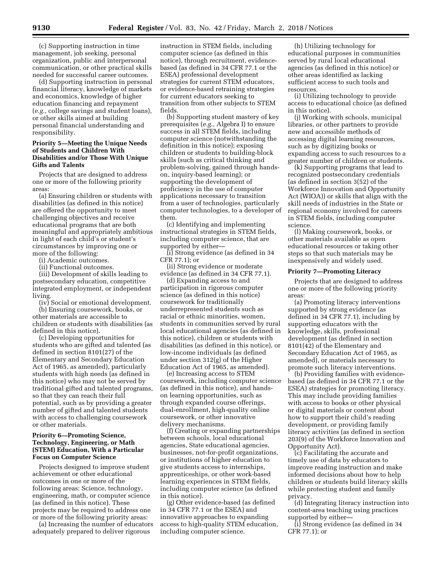(c) Supporting instruction in time management, job seeking, personal organization, public and interpersonal communication, or other practical skills needed for successful career outcomes.

(d) Supporting instruction in personal financial literacy, knowledge of markets and economics, knowledge of higher education financing and repayment (*e.g.,* college savings and student loans), or other skills aimed at building personal financial understanding and responsibility.

#### **Priority 5—Meeting the Unique Needs of Students and Children With Disabilities and/or Those With Unique Gifts and Talents**

Projects that are designed to address one or more of the following priority areas:

(a) Ensuring children or students with disabilities (as defined in this notice) are offered the opportunity to meet challenging objectives and receive educational programs that are both meaningful and appropriately ambitious in light of each child's or student's circumstances by improving one or more of the following:

(i) Academic outcomes.

(ii) Functional outcomes.

(iii) Development of skills leading to postsecondary education, competitive integrated employment, or independent living.

(iv) Social or emotional development. (b) Ensuring coursework, books, or

other materials are accessible to children or students with disabilities (as defined in this notice).

(c) Developing opportunities for students who are gifted and talented (as defined in section 8101(27) of the Elementary and Secondary Education Act of 1965, as amended), particularly students with high needs (as defined in this notice) who may not be served by traditional gifted and talented programs, so that they can reach their full potential, such as by providing a greater number of gifted and talented students with access to challenging coursework or other materials.

# **Priority 6—Promoting Science, Technology, Engineering, or Math (STEM) Education, With a Particular Focus on Computer Science**

Projects designed to improve student achievement or other educational outcomes in one or more of the following areas: Science, technology, engineering, math, or computer science (as defined in this notice). These projects may be required to address one or more of the following priority areas:

(a) Increasing the number of educators adequately prepared to deliver rigorous

instruction in STEM fields, including computer science (as defined in this notice), through recruitment, evidencebased (as defined in 34 CFR 77.1 or the ESEA) professional development strategies for current STEM educators, or evidence-based retraining strategies for current educators seeking to transition from other subjects to STEM fields.

(b) Supporting student mastery of key prerequisites (*e.g.,* Algebra I) to ensure success in all STEM fields, including computer science (notwithstanding the definition in this notice); exposing children or students to building-block skills (such as critical thinking and problem-solving, gained through handson, inquiry-based learning); or supporting the development of proficiency in the use of computer applications necessary to transition from a user of technologies, particularly computer technologies, to a developer of them.

(c) Identifying and implementing instructional strategies in STEM fields, including computer science, that are supported by either—

(i) Strong evidence (as defined in 34 CFR 77.1); or

(ii) Strong evidence or moderate evidence (as defined in 34 CFR 77.1).

(d) Expanding access to and participation in rigorous computer science (as defined in this notice) coursework for traditionally underrepresented students such as racial or ethnic minorities, women, students in communities served by rural local educational agencies (as defined in this notice), children or students with disabilities (as defined in this notice), or low-income individuals (as defined under section 312(g) of the Higher Education Act of 1965, as amended).

(e) Increasing access to STEM coursework, including computer science (as defined in this notice), and handson learning opportunities, such as through expanded course offerings, dual-enrollment, high-quality online coursework, or other innovative delivery mechanisms.

(f) Creating or expanding partnerships between schools, local educational agencies, State educational agencies, businesses, not-for-profit organizations, or institutions of higher education to give students access to internships, apprenticeships, or other work-based learning experiences in STEM fields, including computer science (as defined in this notice).

(g) Other evidence-based (as defined in 34 CFR 77.1 or the ESEA) and innovative approaches to expanding access to high-quality STEM education, including computer science.

(h) Utilizing technology for educational purposes in communities served by rural local educational agencies (as defined in this notice) or other areas identified as lacking sufficient access to such tools and resources.

(i) Utilizing technology to provide access to educational choice (as defined in this notice).

(j) Working with schools, municipal libraries, or other partners to provide new and accessible methods of accessing digital learning resources, such as by digitizing books or expanding access to such resources to a greater number of children or students.

(k) Supporting programs that lead to recognized postsecondary credentials (as defined in section 3(52) of the Workforce Innovation and Opportunity Act (WIOA)) or skills that align with the skill needs of industries in the State or regional economy involved for careers in STEM fields, including computer science.

(l) Making coursework, books, or other materials available as open educational resources or taking other steps so that such materials may be inexpensively and widely used.

#### **Priority 7—Promoting Literacy**

Projects that are designed to address one or more of the following priority areas:

(a) Promoting literacy interventions supported by strong evidence (as defined in 34 CFR 77.1), including by supporting educators with the knowledge, skills, professional development (as defined in section 8101(42) of the Elementary and Secondary Education Act of 1965, as amended), or materials necessary to promote such literacy interventions.

(b) Providing families with evidencebased (as defined in 34 CFR 77.1 or the ESEA) strategies for promoting literacy. This may include providing families with access to books or other physical or digital materials or content about how to support their child's reading development, or providing family literacy activities (as defined in section 203(9) of the Workforce Innovation and Opportunity Act).

(c) Facilitating the accurate and timely use of data by educators to improve reading instruction and make informed decisions about how to help children or students build literacy skills while protecting student and family privacy.

(d) Integrating literacy instruction into content-area teaching using practices supported by either—

(i) Strong evidence (as defined in 34 CFR 77.1); or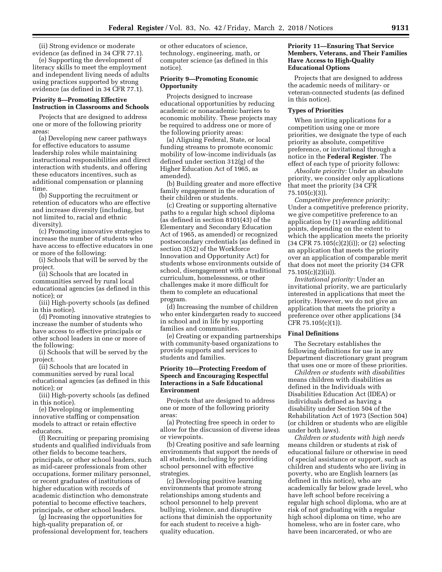(ii) Strong evidence or moderate evidence (as defined in 34 CFR 77.1).

(e) Supporting the development of literacy skills to meet the employment and independent living needs of adults using practices supported by strong evidence (as defined in 34 CFR 77.1).

#### **Priority 8—Promoting Effective Instruction in Classrooms and Schools**

Projects that are designed to address one or more of the following priority areas:

(a) Developing new career pathways for effective educators to assume leadership roles while maintaining instructional responsibilities and direct interaction with students, and offering these educators incentives, such as additional compensation or planning time.

(b) Supporting the recruitment or retention of educators who are effective and increase diversity (including, but not limited to, racial and ethnic diversity).

(c) Promoting innovative strategies to increase the number of students who have access to effective educators in one or more of the following:

(i) Schools that will be served by the project.

(ii) Schools that are located in communities served by rural local educational agencies (as defined in this notice); or

(iii) High-poverty schools (as defined in this notice).

(d) Promoting innovative strategies to increase the number of students who have access to effective principals or other school leaders in one or more of the following:

(i) Schools that will be served by the project.

(ii) Schools that are located in communities served by rural local educational agencies (as defined in this notice); or

(iii) High-poverty schools (as defined in this notice).

(e) Developing or implementing innovative staffing or compensation models to attract or retain effective educators.

(f) Recruiting or preparing promising students and qualified individuals from other fields to become teachers, principals, or other school leaders, such as mid-career professionals from other occupations, former military personnel, or recent graduates of institutions of higher education with records of academic distinction who demonstrate potential to become effective teachers, principals, or other school leaders.

(g) Increasing the opportunities for high-quality preparation of, or professional development for, teachers or other educators of science, technology, engineering, math, or computer science (as defined in this notice).

# **Priority 9—Promoting Economic Opportunity**

Projects designed to increase educational opportunities by reducing academic or nonacademic barriers to economic mobility. These projects may be required to address one or more of the following priority areas:

(a) Aligning Federal, State, or local funding streams to promote economic mobility of low-income individuals (as defined under section 312(g) of the Higher Education Act of 1965, as amended).

(b) Building greater and more effective family engagement in the education of their children or students.

(c) Creating or supporting alternative paths to a regular high school diploma (as defined in section 8101(43) of the Elementary and Secondary Education Act of 1965, as amended) or recognized postsecondary credentials (as defined in section 3(52) of the Workforce Innovation and Opportunity Act) for students whose environments outside of school, disengagement with a traditional curriculum, homelessness, or other challenges make it more difficult for them to complete an educational program.

(d) Increasing the number of children who enter kindergarten ready to succeed in school and in life by supporting families and communities.

(e) Creating or expanding partnerships with community-based organizations to provide supports and services to students and families.

### **Priority 10—Protecting Freedom of Speech and Encouraging Respectful Interactions in a Safe Educational Environment**

Projects that are designed to address one or more of the following priority areas:

(a) Protecting free speech in order to allow for the discussion of diverse ideas or viewpoints.

(b) Creating positive and safe learning environments that support the needs of all students, including by providing school personnel with effective strategies.

(c) Developing positive learning environments that promote strong relationships among students and school personnel to help prevent bullying, violence, and disruptive actions that diminish the opportunity for each student to receive a highquality education.

### **Priority 11—Ensuring That Service Members, Veterans, and Their Families Have Access to High-Quality Educational Options**

Projects that are designed to address the academic needs of military- or veteran-connected students (as defined in this notice).

#### **Types of Priorities**

When inviting applications for a competition using one or more priorities, we designate the type of each priority as absolute, competitive preference, or invitational through a notice in the **Federal Register**. The effect of each type of priority follows:

*Absolute priority:* Under an absolute priority, we consider only applications that meet the priority (34 CFR 75.105(c)(3)).

*Competitive preference priority:*  Under a competitive preference priority, we give competitive preference to an application by (1) awarding additional points, depending on the extent to which the application meets the priority  $(34 \text{ CFR } 75.105(c)(2)(i))$ ; or  $(2)$  selecting an application that meets the priority over an application of comparable merit that does not meet the priority (34 CFR 75.105(c)(2)(ii)).

*Invitational priority:* Under an invitational priority, we are particularly interested in applications that meet the priority. However, we do not give an application that meets the priority a preference over other applications (34 CFR 75.105(c)(1)).

#### **Final Definitions**

The Secretary establishes the following definitions for use in any Department discretionary grant program that uses one or more of these priorities.

*Children or students with disabilities*  means children with disabilities as defined in the Individuals with Disabilities Education Act (IDEA) or individuals defined as having a disability under Section 504 of the Rehabilitation Act of 1973 (Section 504) (or children or students who are eligible under both laws).

*Children or students with high needs*  means children or students at risk of educational failure or otherwise in need of special assistance or support, such as children and students who are living in poverty, who are English learners (as defined in this notice), who are academically far below grade level, who have left school before receiving a regular high school diploma, who are at risk of not graduating with a regular high school diploma on time, who are homeless, who are in foster care, who have been incarcerated, or who are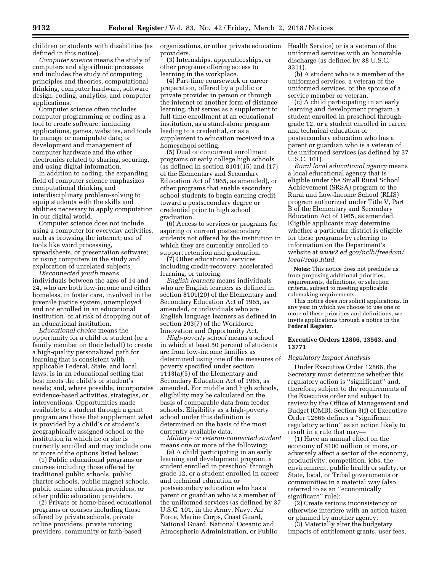children or students with disabilities (as defined in this notice).

*Computer science* means the study of computers and algorithmic processes and includes the study of computing principles and theories, computational thinking, computer hardware, software design, coding, analytics, and computer applications.

Computer science often includes computer programming or coding as a tool to create software, including applications, games, websites, and tools to manage or manipulate data; or development and management of computer hardware and the other electronics related to sharing, securing, and using digital information.

In addition to coding, the expanding field of computer science emphasizes computational thinking and interdisciplinary problem-solving to equip students with the skills and abilities necessary to apply computation in our digital world.

Computer science does not include using a computer for everyday activities, such as browsing the internet; use of tools like word processing, spreadsheets, or presentation software; or using computers in the study and exploration of unrelated subjects.

*Disconnected youth* means individuals between the ages of 14 and 24, who are both low-income and either homeless, in foster care, involved in the juvenile justice system, unemployed and not enrolled in an educational institution, or at risk of dropping out of an educational institution.

*Educational choice* means the opportunity for a child or student (or a family member on their behalf) to create a high-quality personalized path for learning that is consistent with applicable Federal, State, and local laws; is in an educational setting that best meets the child's or student's needs; and, where possible, incorporates evidence-based activities, strategies, or interventions. Opportunities made available to a student through a grant program are those that supplement what is provided by a child's or student's geographically assigned school or the institution in which he or she is currently enrolled and may include one or more of the options listed below:

(1) Public educational programs or courses including those offered by traditional public schools, public charter schools, public magnet schools, public online education providers, or other public education providers.

(2) Private or home-based educational programs or courses including those offered by private schools, private online providers, private tutoring providers, community or faith-based

organizations, or other private education providers.

(3) Internships, apprenticeships, or other programs offering access to learning in the workplace.

(4) Part-time coursework or career preparation, offered by a public or private provider in person or through the internet or another form of distance learning, that serves as a supplement to full-time enrollment at an educational institution, as a stand-alone program leading to a credential, or as a supplement to education received in a homeschool setting.

(5) Dual or concurrent enrollment programs or early college high schools (as defined in section 8101(15) and (17) of the Elementary and Secondary Education Act of 1965, as amended), or other programs that enable secondary school students to begin earning credit toward a postsecondary degree or credential prior to high school graduation.

(6) Access to services or programs for aspiring or current postsecondary students not offered by the institution in which they are currently enrolled to support retention and graduation.

(7) Other educational services including credit-recovery, accelerated learning, or tutoring.

*English learners* means individuals who are English learners as defined in section 8101(20) of the Elementary and Secondary Education Act of 1965, as amended, or individuals who are English language learners as defined in section 203(7) of the Workforce Innovation and Opportunity Act.

*High-poverty school* means a school in which at least 50 percent of students are from low-income families as determined using one of the measures of poverty specified under section 1113(a)(5) of the Elementary and Secondary Education Act of 1965, as amended. For middle and high schools, eligibility may be calculated on the basis of comparable data from feeder schools. Eligibility as a high-poverty school under this definition is determined on the basis of the most currently available data.

*Military- or veteran-connected student*  means one or more of the following:

(a) A child participating in an early learning and development program, a student enrolled in preschool through grade 12, or a student enrolled in career and technical education or postsecondary education who has a parent or guardian who is a member of the uniformed services (as defined by 37 U.S.C. 101, in the Army, Navy, Air Force, Marine Corps, Coast Guard, National Guard, National Oceanic and Atmospheric Administration, or Public

Health Service) or is a veteran of the uniformed services with an honorable discharge (as defined by 38 U.S.C. 3311).

(b) A student who is a member of the uniformed services, a veteran of the uniformed services, or the spouse of a service member or veteran.

(c) A child participating in an early learning and development program, a student enrolled in preschool through grade 12, or a student enrolled in career and technical education or postsecondary education who has a parent or guardian who is a veteran of the uniformed services (as defined by 37 U.S.C. 101).

*Rural local educational agency* means a local educational agency that is eligible under the Small Rural School Achievement (SRSA) program or the Rural and Low-Income School (RLIS) program authorized under Title V, Part B of the Elementary and Secondary Education Act of 1965, as amended. Eligible applicants may determine whether a particular district is eligible for these programs by referring to information on the Department's website at *[www2.ed.gov/nclb/freedom/](http://www2.ed.gov/nclb/freedom/local/reap.html)  [local/reap.html.](http://www2.ed.gov/nclb/freedom/local/reap.html)* 

**Notes:** This notice does not preclude us from proposing additional priorities, requirements, definitions, or selection criteria, subject to meeting applicable rulemaking requirements.

This notice does *not* solicit applications. In any year in which we choose to use one or more of these priorities and definitions, we invite applications through a notice in the **Federal Register**.

### **Executive Orders 12866, 13563, and 13771**

#### *Regulatory Impact Analysis*

Under Executive Order 12866, the Secretary must determine whether this regulatory action is ''significant'' and, therefore, subject to the requirements of the Executive order and subject to review by the Office of Management and Budget (OMB). Section 3(f) of Executive Order 12866 defines a ''significant regulatory action'' as an action likely to result in a rule that may—

(1) Have an annual effect on the economy of \$100 million or more, or adversely affect a sector of the economy, productivity, competition, jobs, the environment, public health or safety, or State, local, or Tribal governments or communities in a material way (also referred to as an ''economically significant'' rule);

(2) Create serious inconsistency or otherwise interfere with an action taken or planned by another agency;

(3) Materially alter the budgetary impacts of entitlement grants, user fees,